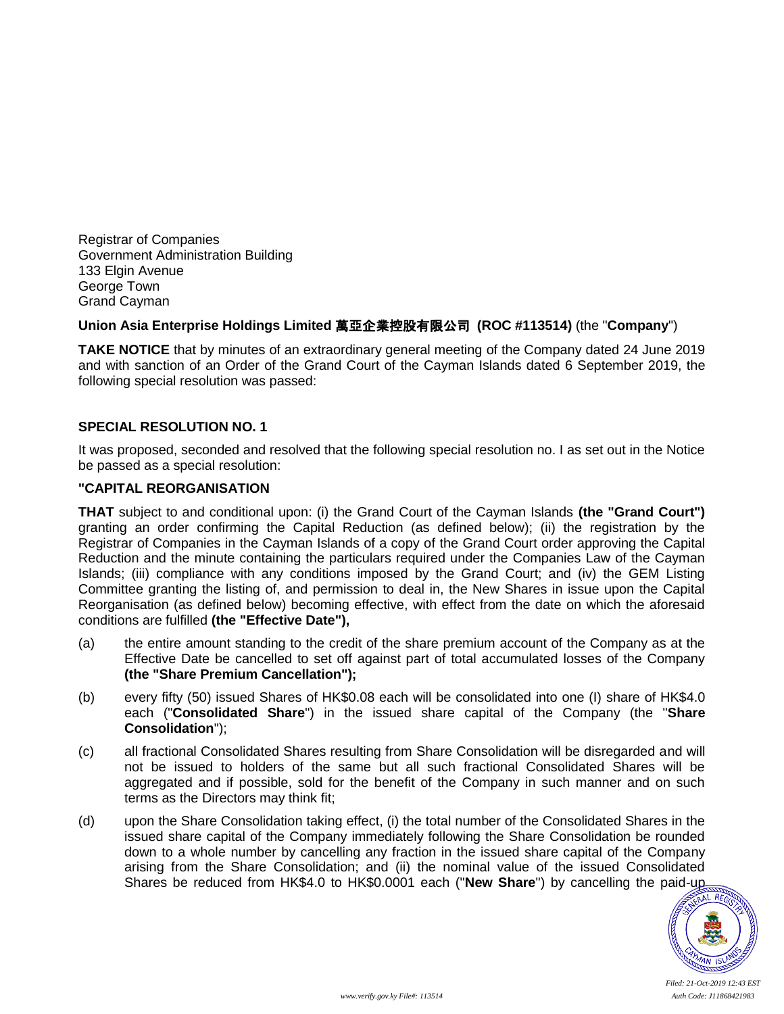Registrar of Companies Government Administration Building 133 Elgin Avenue George Town Grand Cayman

#### **Union Asia Enterprise Holdings Limited** 萬亞企業控股有限公司 **(ROC #113514)** (the "**Company**")

**TAKE NOTICE** that by minutes of an extraordinary general meeting of the Company dated 24 June 2019 and with sanction of an Order of the Grand Court of the Cayman Islands dated 6 September 2019, the following special resolution was passed:

#### **SPECIAL RESOLUTION NO. 1**

It was proposed, seconded and resolved that the following special resolution no. I as set out in the Notice be passed as a special resolution:

#### **"CAPITAL REORGANISATION**

**THAT** subject to and conditional upon: (i) the Grand Court of the Cayman Islands **(the "Grand Court")**  granting an order confirming the Capital Reduction (as defined below); (ii) the registration by the Registrar of Companies in the Cayman Islands of a copy of the Grand Court order approving the Capital Reduction and the minute containing the particulars required under the Companies Law of the Cayman Islands; (iii) compliance with any conditions imposed by the Grand Court; and (iv) the GEM Listing Committee granting the listing of, and permission to deal in, the New Shares in issue upon the Capital Reorganisation (as defined below) becoming effective, with effect from the date on which the aforesaid conditions are fulfilled **(the "Effective Date"),**

- (a) the entire amount standing to the credit of the share premium account of the Company as at the Effective Date be cancelled to set off against part of total accumulated losses of the Company **(the "Share Premium Cancellation");**
- (b) every fifty (50) issued Shares of HK\$0.08 each will be consolidated into one (I) share of HK\$4.0 each ("**Consolidated Share**") in the issued share capital of the Company (the "**Share Consolidation**");
- (c) all fractional Consolidated Shares resulting from Share Consolidation will be disregarded and will not be issued to holders of the same but all such fractional Consolidated Shares will be aggregated and if possible, sold for the benefit of the Company in such manner and on such terms as the Directors may think fit;
- (d) upon the Share Consolidation taking effect, (i) the total number of the Consolidated Shares in the issued share capital of the Company immediately following the Share Consolidation be rounded down to a whole number by cancelling any fraction in the issued share capital of the Company arising from the Share Consolidation; and (ii) the nominal value of the issued Consolidated Shares be reduced from HK\$4.0 to HK\$0.0001 each ("**New Share**") by cancelling the paid-up



*Filed: 21-Oct-2019 12:43 EST*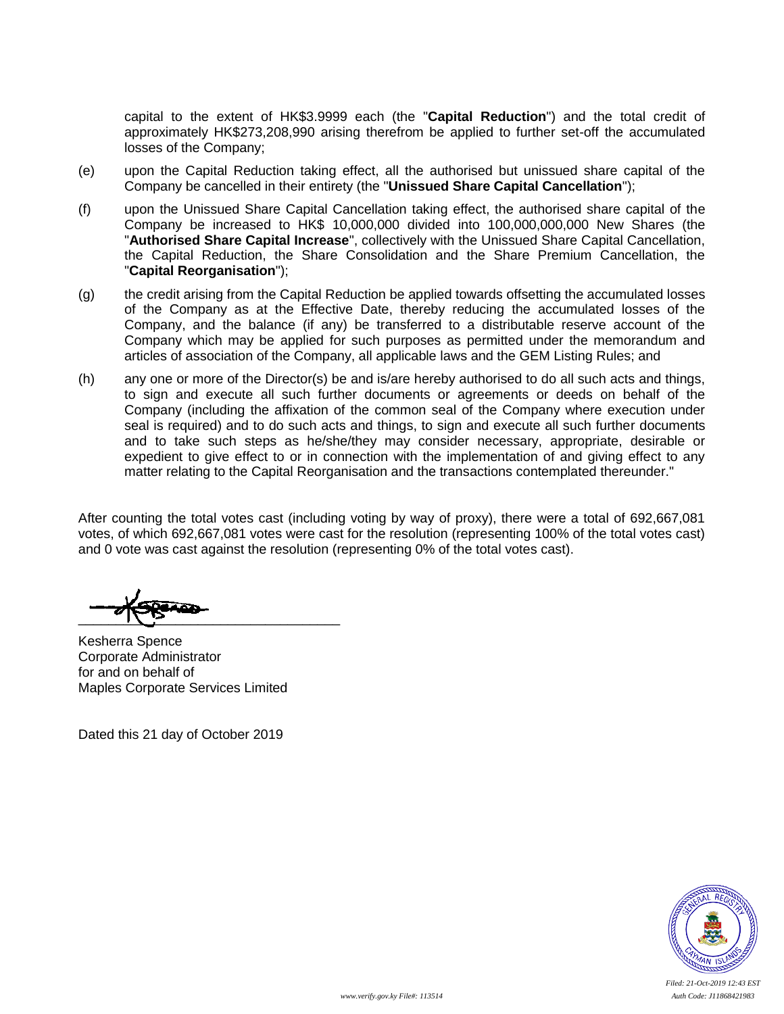capital to the extent of HK\$3.9999 each (the "**Capital Reduction**") and the total credit of approximately HK\$273,208,990 arising therefrom be applied to further set-off the accumulated losses of the Company;

- (e) upon the Capital Reduction taking effect, all the authorised but unissued share capital of the Company be cancelled in their entirety (the "**Unissued Share Capital Cancellation**");
- (f) upon the Unissued Share Capital Cancellation taking effect, the authorised share capital of the Company be increased to HK\$ 10,000,000 divided into 100,000,000,000 New Shares (the "**Authorised Share Capital Increase**", collectively with the Unissued Share Capital Cancellation, the Capital Reduction, the Share Consolidation and the Share Premium Cancellation, the "**Capital Reorganisation**");
- (g) the credit arising from the Capital Reduction be applied towards offsetting the accumulated losses of the Company as at the Effective Date, thereby reducing the accumulated losses of the Company, and the balance (if any) be transferred to a distributable reserve account of the Company which may be applied for such purposes as permitted under the memorandum and articles of association of the Company, all applicable laws and the GEM Listing Rules; and
- (h) any one or more of the Director(s) be and is/are hereby authorised to do all such acts and things, to sign and execute all such further documents or agreements or deeds on behalf of the Company (including the affixation of the common seal of the Company where execution under seal is required) and to do such acts and things, to sign and execute all such further documents and to take such steps as he/she/they may consider necessary, appropriate, desirable or expedient to give effect to or in connection with the implementation of and giving effect to any matter relating to the Capital Reorganisation and the transactions contemplated thereunder."

After counting the total votes cast (including voting by way of proxy), there were a total of 692,667,081 votes, of which 692,667,081 votes were cast for the resolution (representing 100% of the total votes cast) and 0 vote was cast against the resolution (representing 0% of the total votes cast).

 $\frac{1}{2}$ 

Kesherra Spence Corporate Administrator for and on behalf of Maples Corporate Services Limited

Dated this 21 day of October 2019

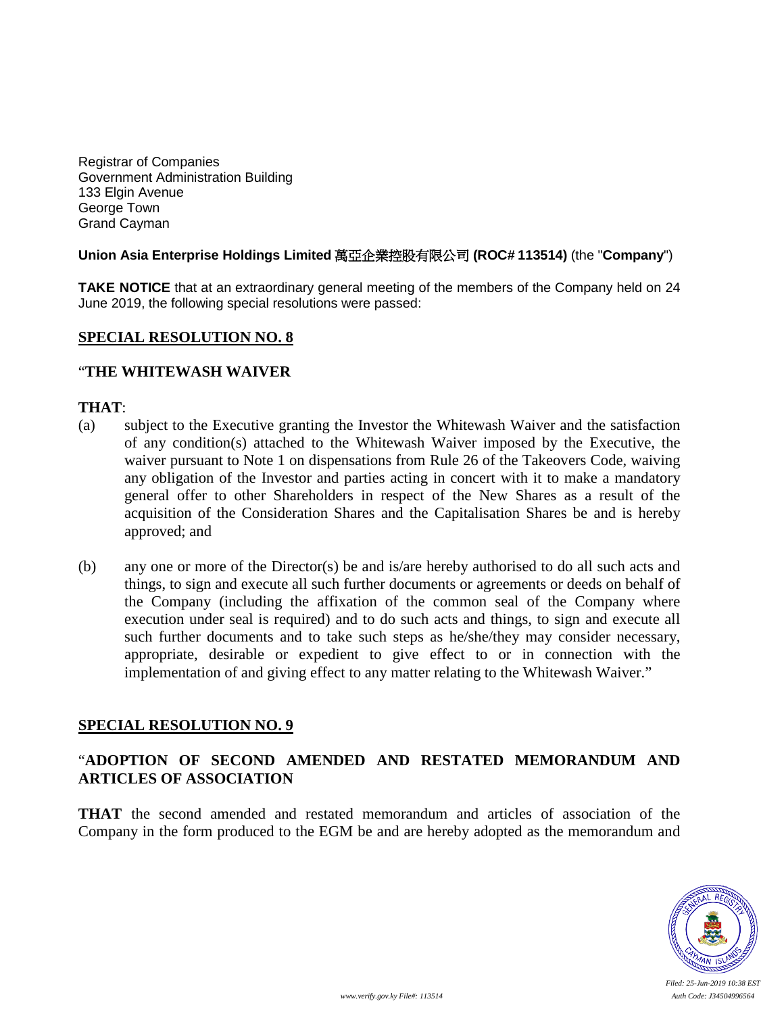Registrar of Companies Government Administration Building 133 Elgin Avenue George Town Grand Cayman

#### **Union Asia Enterprise Holdings Limited** 萬亞企業控股有限公司 **(ROC# 113514)** (the "**Company**")

**TAKE NOTICE** that at an extraordinary general meeting of the members of the Company held on 24 June 2019, the following special resolutions were passed:

### **SPECIAL RESOLUTION NO. 8**

#### "**THE WHITEWASH WAIVER**

#### **THAT**:

- (a) subject to the Executive granting the Investor the Whitewash Waiver and the satisfaction of any condition(s) attached to the Whitewash Waiver imposed by the Executive, the waiver pursuant to Note 1 on dispensations from Rule 26 of the Takeovers Code, waiving any obligation of the Investor and parties acting in concert with it to make a mandatory general offer to other Shareholders in respect of the New Shares as a result of the acquisition of the Consideration Shares and the Capitalisation Shares be and is hereby approved; and
- (b) any one or more of the Director(s) be and is/are hereby authorised to do all such acts and things, to sign and execute all such further documents or agreements or deeds on behalf of the Company (including the affixation of the common seal of the Company where execution under seal is required) and to do such acts and things, to sign and execute all such further documents and to take such steps as he/she/they may consider necessary, appropriate, desirable or expedient to give effect to or in connection with the implementation of and giving effect to any matter relating to the Whitewash Waiver."

#### **SPECIAL RESOLUTION NO. 9**

## "**ADOPTION OF SECOND AMENDED AND RESTATED MEMORANDUM AND ARTICLES OF ASSOCIATION**

**THAT** the second amended and restated memorandum and articles of association of the Company in the form produced to the EGM be and are hereby adopted as the memorandum and

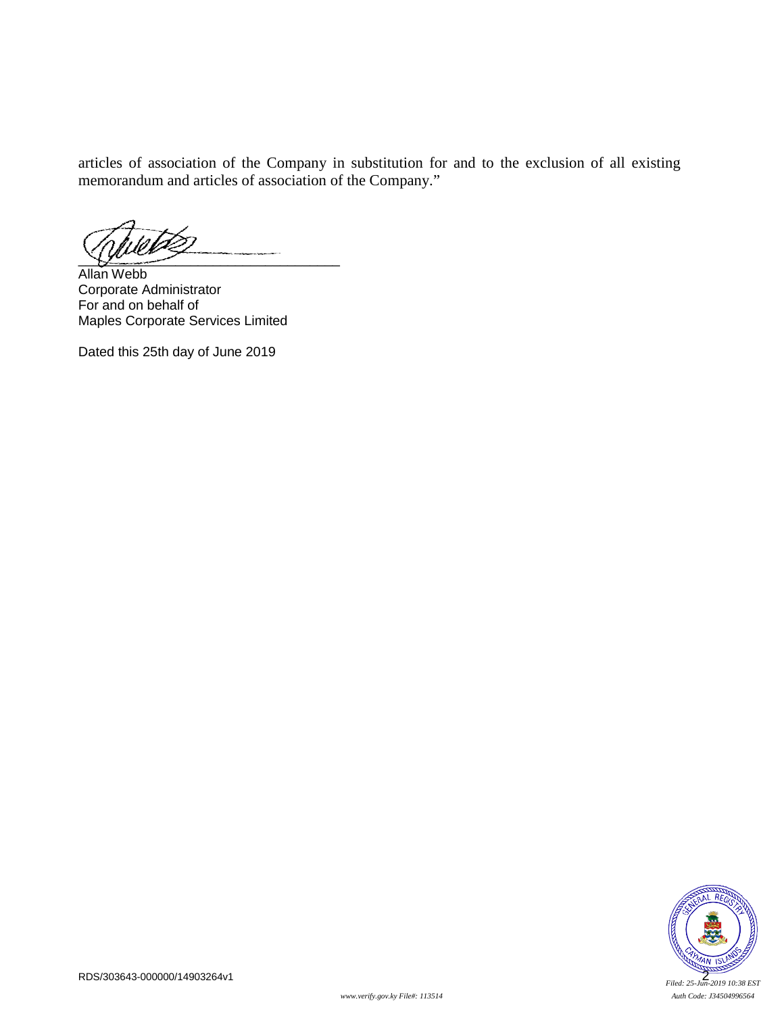articles of association of the Company in substitution for and to the exclusion of all existing memorandum and articles of association of the Company."

 $\sqrt{2}$ 

Allan Webb Corporate Administrator For and on behalf of Maples Corporate Services Limited

Dated this 25th day of June 2019

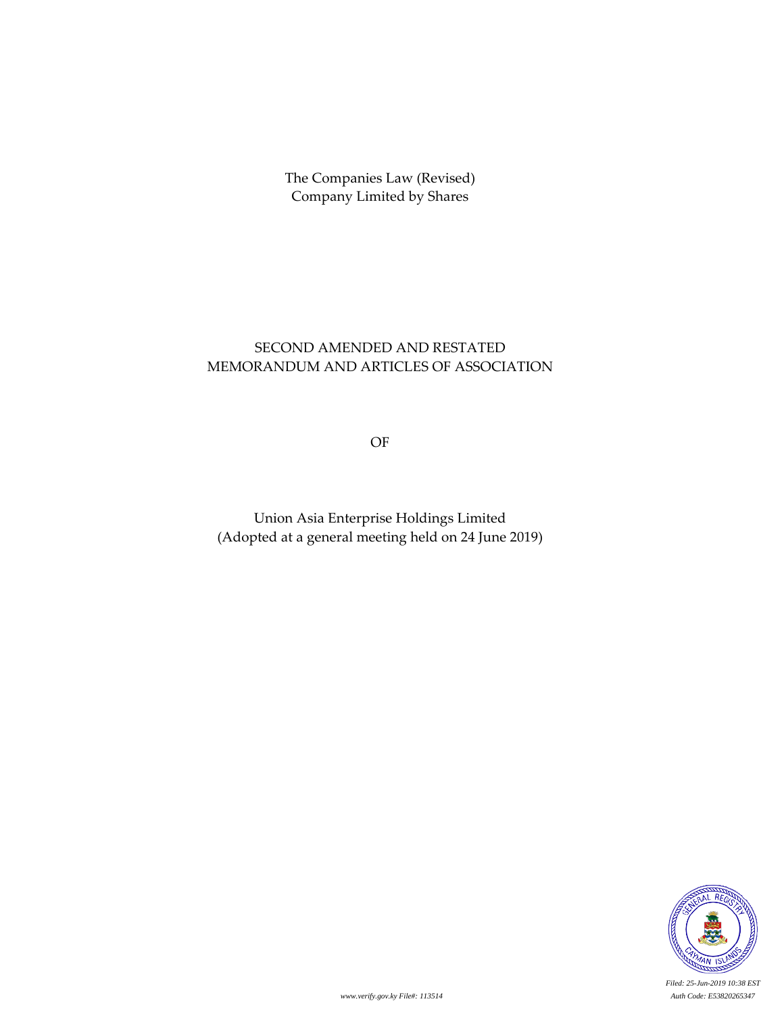# SECOND AMENDED AND RESTATED MEMORANDUM AND ARTICLES OF ASSOCIATION

OF

Union Asia Enterprise Holdings Limited (Adopted at a general meeting held on 24 June 2019)



*Filed: 25-Jun-2019 10:38 EST www.verify.gov.ky File#: 113514 Auth Code: E53820265347*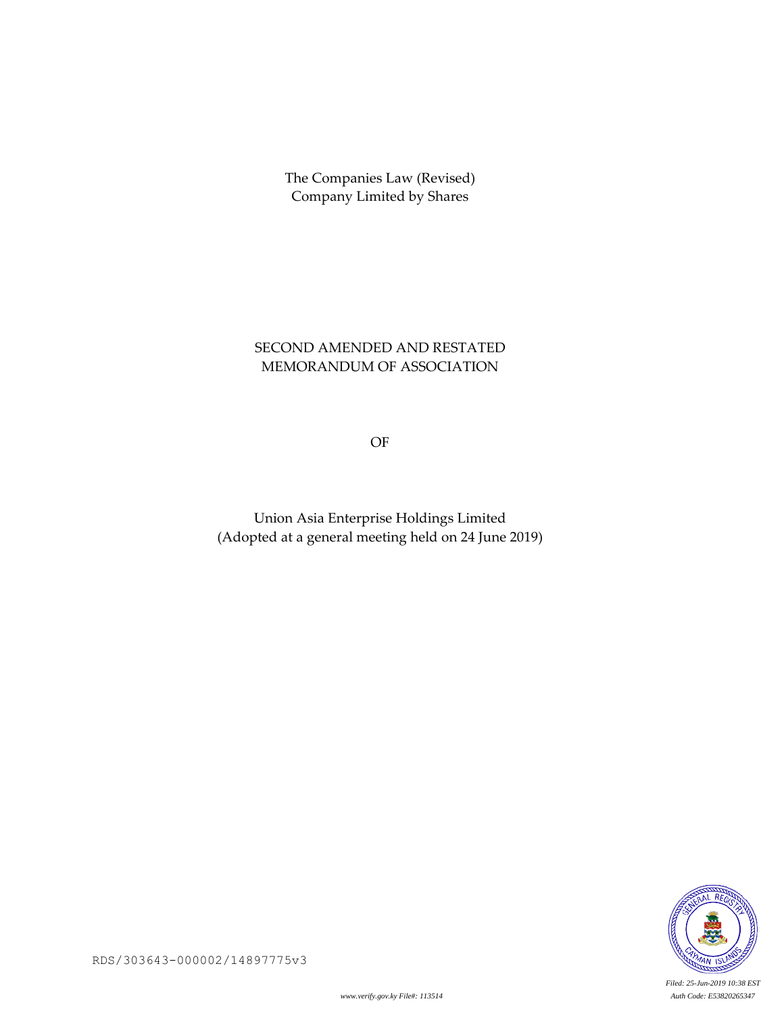# SECOND AMENDED AND RESTATED MEMORANDUM OF ASSOCIATION

OF

Union Asia Enterprise Holdings Limited (Adopted at a general meeting held on 24 June 2019)

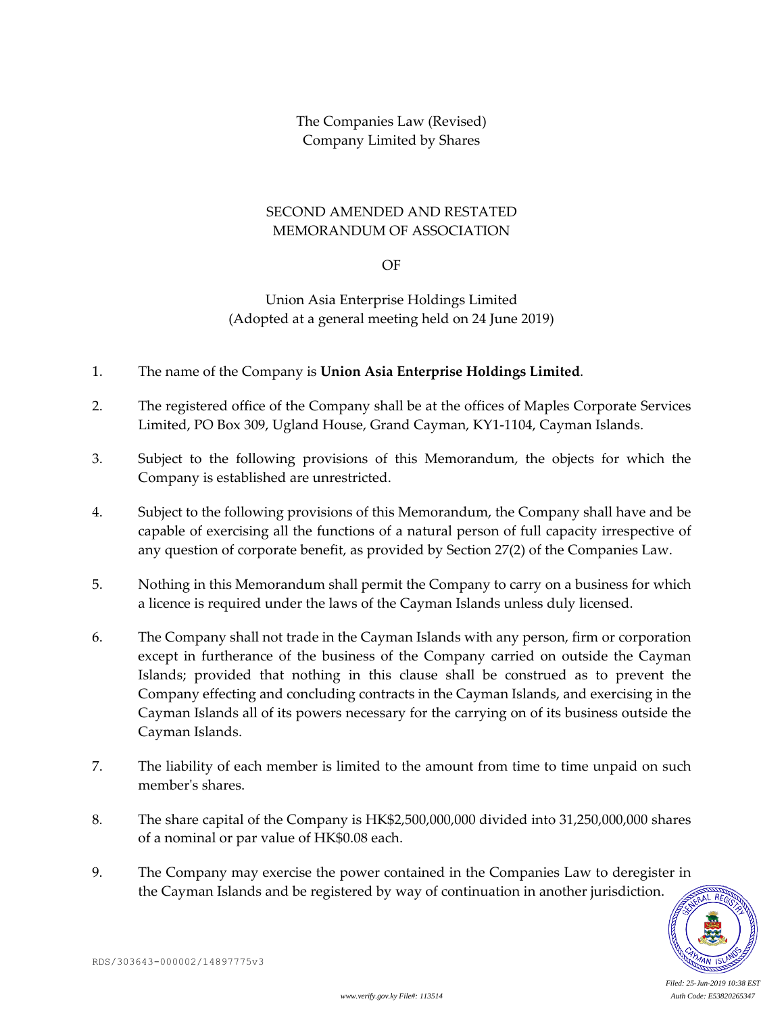### SECOND AMENDED AND RESTATED MEMORANDUM OF ASSOCIATION

OF

Union Asia Enterprise Holdings Limited (Adopted at a general meeting held on 24 June 2019)

- 1. The name of the Company is **Union Asia Enterprise Holdings Limited**.
- 2. The registered office of the Company shall be at the offices of Maples Corporate Services Limited, PO Box 309, Ugland House, Grand Cayman, KY1-1104, Cayman Islands.
- 3. Subject to the following provisions of this Memorandum, the objects for which the Company is established are unrestricted.
- 4. Subject to the following provisions of this Memorandum, the Company shall have and be capable of exercising all the functions of a natural person of full capacity irrespective of any question of corporate benefit, as provided by Section 27(2) of the Companies Law.
- 5. Nothing in this Memorandum shall permit the Company to carry on a business for which a licence is required under the laws of the Cayman Islands unless duly licensed.
- 6. The Company shall not trade in the Cayman Islands with any person, firm or corporation except in furtherance of the business of the Company carried on outside the Cayman Islands; provided that nothing in this clause shall be construed as to prevent the Company effecting and concluding contracts in the Cayman Islands, and exercising in the Cayman Islands all of its powers necessary for the carrying on of its business outside the Cayman Islands.
- 7. The liability of each member is limited to the amount from time to time unpaid on such member's shares.
- 8. The share capital of the Company is HK\$2,500,000,000 divided into 31,250,000,000 shares of a nominal or par value of HK\$0.08 each.
- 9. The Company may exercise the power contained in the Companies Law to deregister in the Cayman Islands and be registered by way of continuation in another jurisdiction.

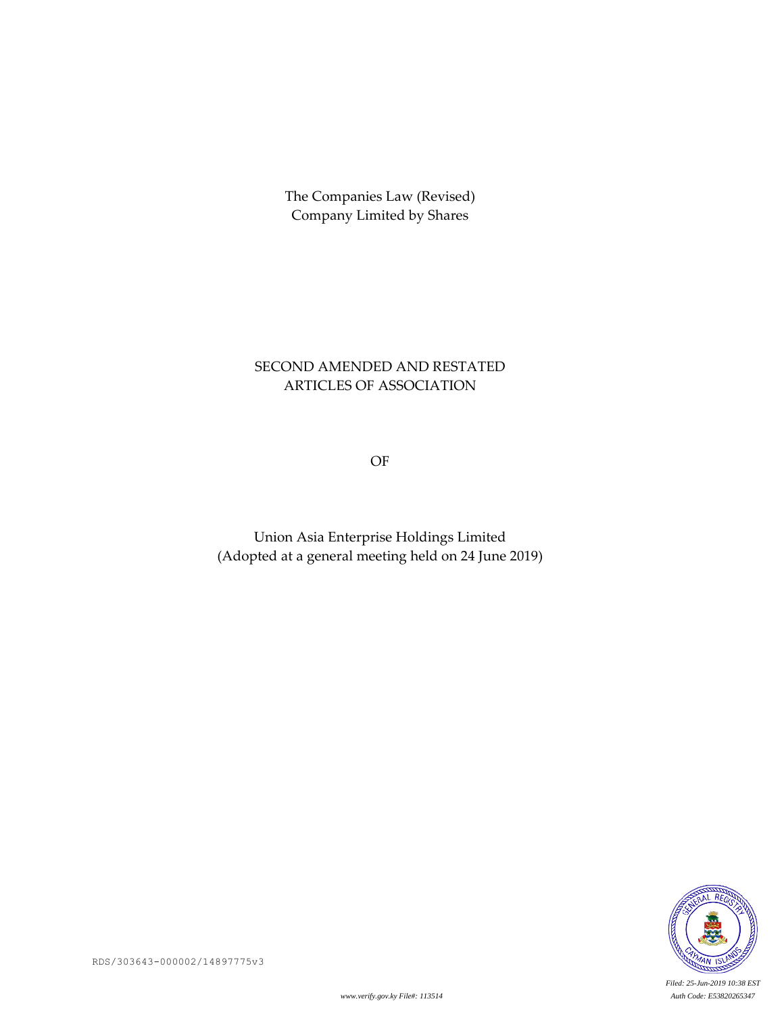# SECOND AMENDED AND RESTATED ARTICLES OF ASSOCIATION

OF

Union Asia Enterprise Holdings Limited (Adopted at a general meeting held on 24 June 2019)



*Filed: 25-Jun-2019 10:38 EST*

RDS/303643-000002/14897775v3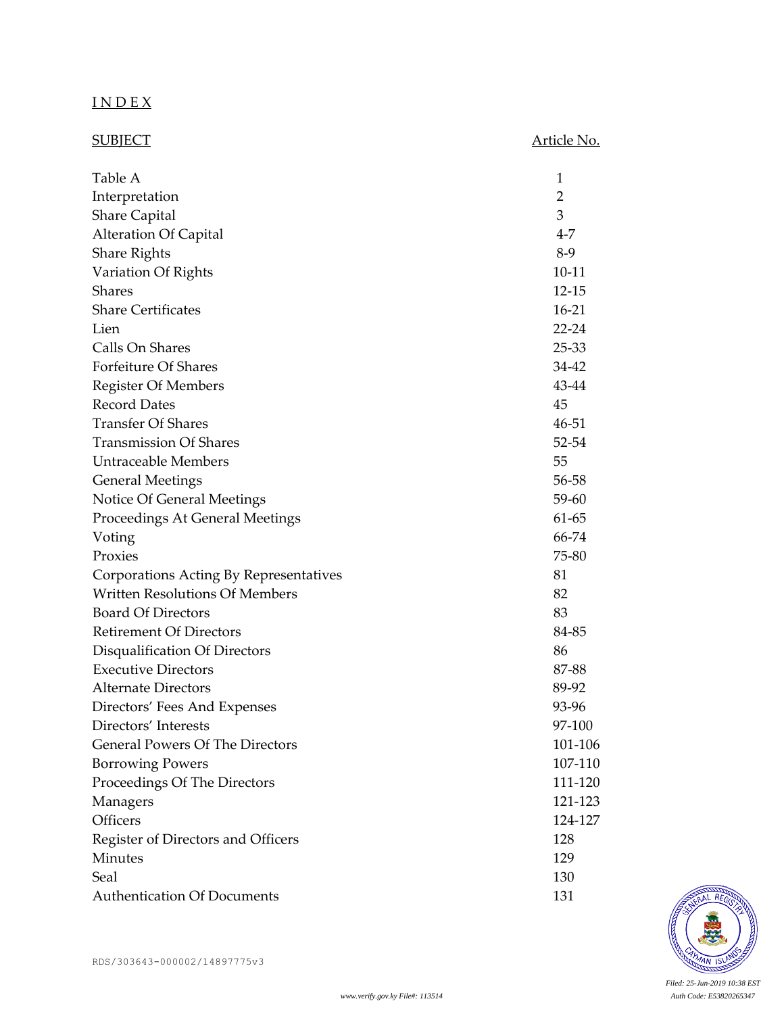# I N D E X

| <b>SUBJECT</b>                         | Article No.    |
|----------------------------------------|----------------|
|                                        |                |
| Table A                                | 1              |
| Interpretation                         | $\overline{2}$ |
| <b>Share Capital</b>                   | 3              |
| <b>Alteration Of Capital</b>           | $4 - 7$        |
| <b>Share Rights</b>                    | $8-9$          |
| Variation Of Rights                    | $10 - 11$      |
| <b>Shares</b>                          | $12 - 15$      |
| <b>Share Certificates</b>              | $16-21$        |
| Lien                                   | $22 - 24$      |
| Calls On Shares                        | 25-33          |
| Forfeiture Of Shares                   | 34-42          |
| <b>Register Of Members</b>             | 43-44          |
| <b>Record Dates</b>                    | 45             |
| <b>Transfer Of Shares</b>              | 46-51          |
| <b>Transmission Of Shares</b>          | 52-54          |
| <b>Untraceable Members</b>             | 55             |
| <b>General Meetings</b>                | 56-58          |
| Notice Of General Meetings             | 59-60          |
| Proceedings At General Meetings        | 61-65          |
| Voting                                 | 66-74          |
| Proxies                                | 75-80          |
| Corporations Acting By Representatives | 81             |
| <b>Written Resolutions Of Members</b>  | 82             |
| <b>Board Of Directors</b>              | 83             |
| <b>Retirement Of Directors</b>         | 84-85          |
| Disqualification Of Directors          | 86             |
| <b>Executive Directors</b>             | 87-88          |
| <b>Alternate Directors</b>             | 89-92          |
| Directors' Fees And Expenses           | 93-96          |
| Directors' Interests                   | 97-100         |
| <b>General Powers Of The Directors</b> | 101-106        |
| <b>Borrowing Powers</b>                | 107-110        |
| Proceedings Of The Directors           | 111-120        |
| Managers                               | 121-123        |
| Officers                               | 124-127        |
| Register of Directors and Officers     | 128            |
| Minutes                                | 129            |
| Seal                                   | 130            |
| <b>Authentication Of Documents</b>     | 131            |

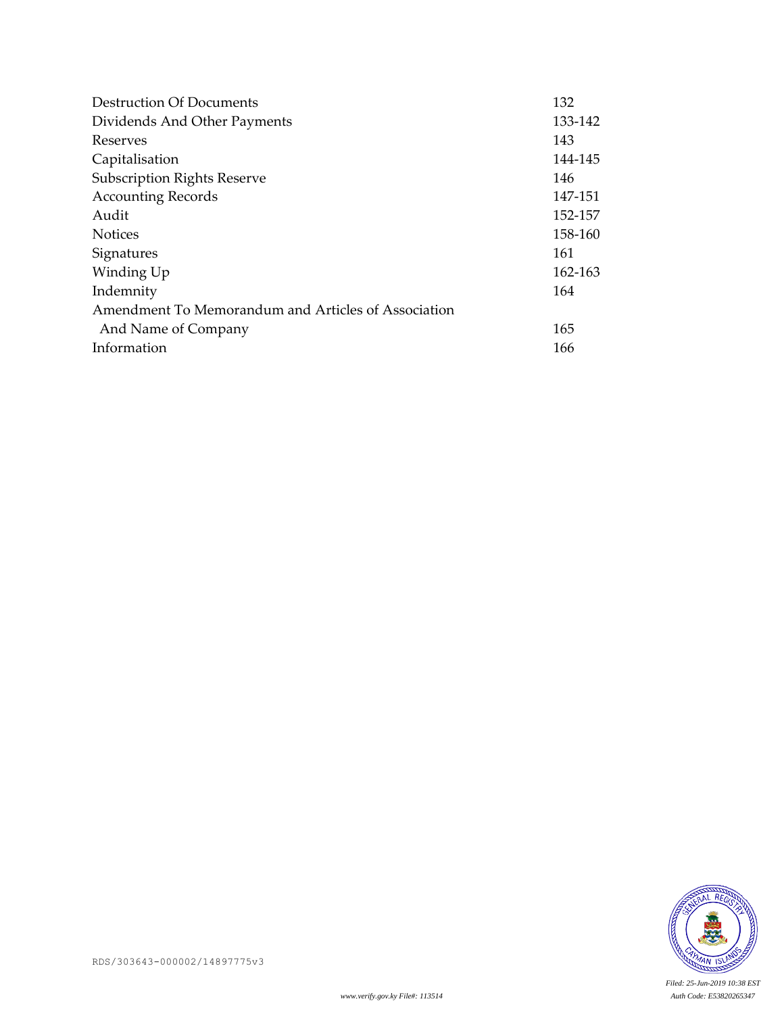| <b>Destruction Of Documents</b>                     | 132     |
|-----------------------------------------------------|---------|
| Dividends And Other Payments                        | 133-142 |
| Reserves                                            | 143     |
| Capitalisation                                      | 144-145 |
| <b>Subscription Rights Reserve</b>                  | 146     |
| <b>Accounting Records</b>                           | 147-151 |
| Audit                                               | 152-157 |
| <b>Notices</b>                                      | 158-160 |
| Signatures                                          | 161     |
| Winding Up                                          | 162-163 |
| Indemnity                                           | 164     |
| Amendment To Memorandum and Articles of Association |         |
| And Name of Company                                 | 165     |
| Information                                         | 166     |

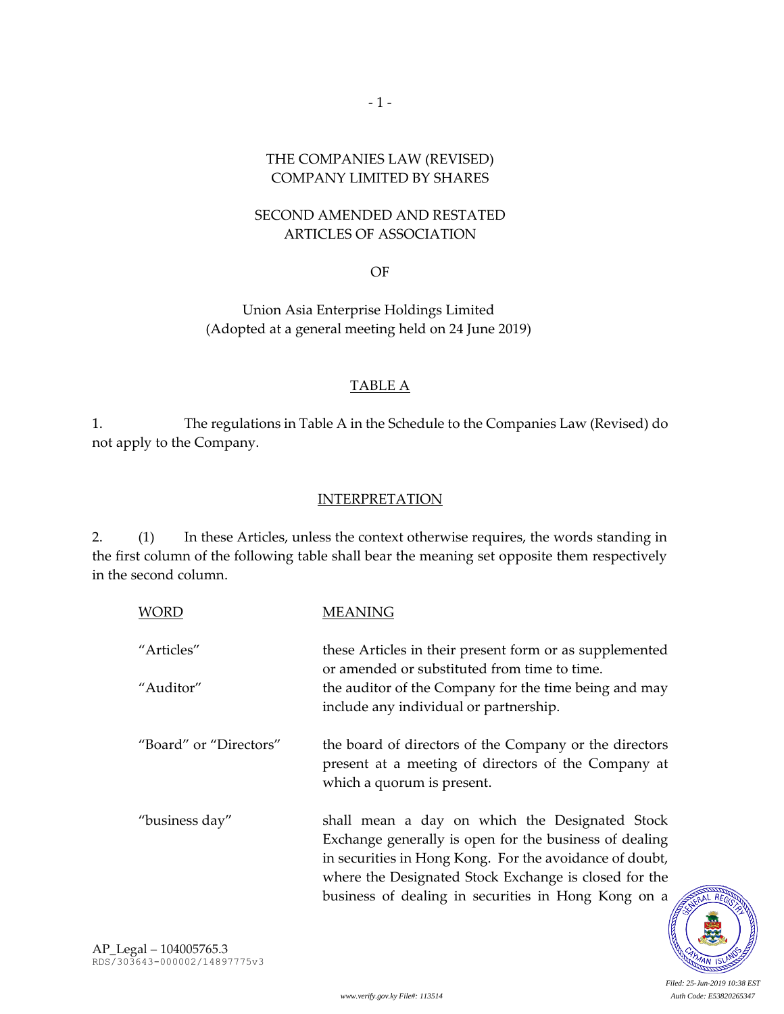### THE COMPANIES LAW (REVISED) COMPANY LIMITED BY SHARES

 $-1 -$ 

## SECOND AMENDED AND RESTATED ARTICLES OF ASSOCIATION

OF

Union Asia Enterprise Holdings Limited (Adopted at a general meeting held on 24 June 2019)

## TABLE A

1. The regulations in Table A in the Schedule to the Companies Law (Revised) do not apply to the Company.

### **INTERPRETATION**

2. (1) In these Articles, unless the context otherwise requires, the words standing in the first column of the following table shall bear the meaning set opposite them respectively in the second column.

| <b>WORD</b>            | MEANING                                                                                                                                                                                                                                                                             |
|------------------------|-------------------------------------------------------------------------------------------------------------------------------------------------------------------------------------------------------------------------------------------------------------------------------------|
| "Articles"             | these Articles in their present form or as supplemented<br>or amended or substituted from time to time.                                                                                                                                                                             |
| "Auditor"              | the auditor of the Company for the time being and may<br>include any individual or partnership.                                                                                                                                                                                     |
| "Board" or "Directors" | the board of directors of the Company or the directors<br>present at a meeting of directors of the Company at<br>which a quorum is present.                                                                                                                                         |
| "business day"         | shall mean a day on which the Designated Stock<br>Exchange generally is open for the business of dealing<br>in securities in Hong Kong. For the avoidance of doubt,<br>where the Designated Stock Exchange is closed for the<br>business of dealing in securities in Hong Kong on a |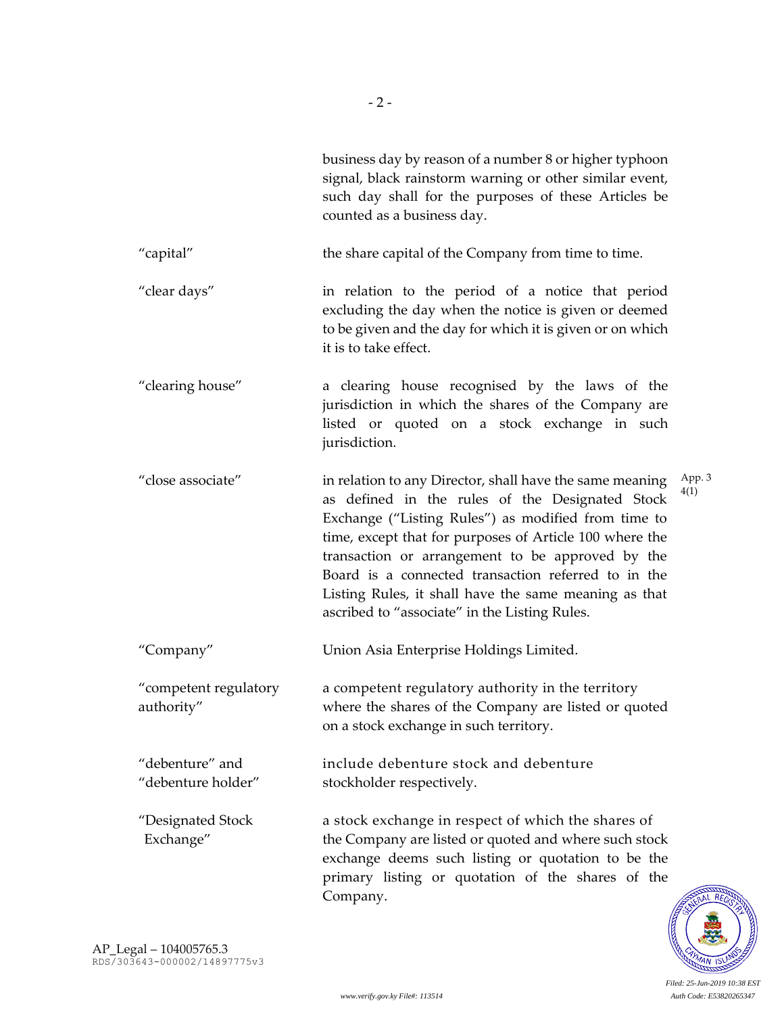|                                       | business day by reason of a number 8 or higher typhoon<br>signal, black rainstorm warning or other similar event,<br>such day shall for the purposes of these Articles be<br>counted as a business day.                                                                                                                                                                                                                                            |                |
|---------------------------------------|----------------------------------------------------------------------------------------------------------------------------------------------------------------------------------------------------------------------------------------------------------------------------------------------------------------------------------------------------------------------------------------------------------------------------------------------------|----------------|
| "capital"                             | the share capital of the Company from time to time.                                                                                                                                                                                                                                                                                                                                                                                                |                |
| "clear days"                          | in relation to the period of a notice that period<br>excluding the day when the notice is given or deemed<br>to be given and the day for which it is given or on which<br>it is to take effect.                                                                                                                                                                                                                                                    |                |
| "clearing house"                      | a clearing house recognised by the laws of the<br>jurisdiction in which the shares of the Company are<br>listed or quoted on a stock exchange in such<br>jurisdiction.                                                                                                                                                                                                                                                                             |                |
| "close associate"                     | in relation to any Director, shall have the same meaning<br>as defined in the rules of the Designated Stock<br>Exchange ("Listing Rules") as modified from time to<br>time, except that for purposes of Article 100 where the<br>transaction or arrangement to be approved by the<br>Board is a connected transaction referred to in the<br>Listing Rules, it shall have the same meaning as that<br>ascribed to "associate" in the Listing Rules. | App. 3<br>4(1) |
| "Company"                             | Union Asia Enterprise Holdings Limited.                                                                                                                                                                                                                                                                                                                                                                                                            |                |
| "competent regulatory<br>authority"   | a competent regulatory authority in the territory<br>where the shares of the Company are listed or quoted<br>on a stock exchange in such territory.                                                                                                                                                                                                                                                                                                |                |
| "debenture" and<br>"debenture holder" | include debenture stock and debenture<br>stockholder respectively.                                                                                                                                                                                                                                                                                                                                                                                 |                |
| "Designated Stock<br>Exchange"        | a stock exchange in respect of which the shares of<br>the Company are listed or quoted and where such stock<br>exchange deems such listing or quotation to be the<br>primary listing or quotation of the shares of the<br>Company.                                                                                                                                                                                                                 |                |

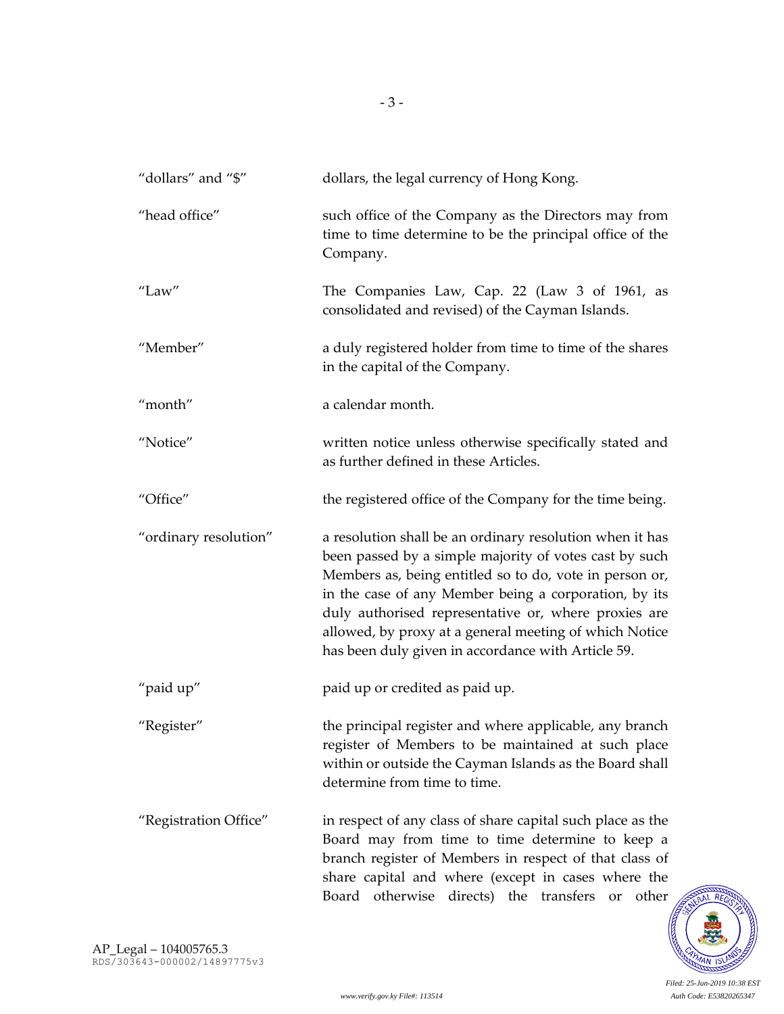| "dollars" and "\$"    | dollars, the legal currency of Hong Kong.                                                                                                                                                                                                                                                                                                                                                                      |
|-----------------------|----------------------------------------------------------------------------------------------------------------------------------------------------------------------------------------------------------------------------------------------------------------------------------------------------------------------------------------------------------------------------------------------------------------|
| "head office"         | such office of the Company as the Directors may from<br>time to time determine to be the principal office of the<br>Company.                                                                                                                                                                                                                                                                                   |
| "Law"                 | The Companies Law, Cap. 22 (Law 3 of 1961, as<br>consolidated and revised) of the Cayman Islands.                                                                                                                                                                                                                                                                                                              |
| "Member"              | a duly registered holder from time to time of the shares<br>in the capital of the Company.                                                                                                                                                                                                                                                                                                                     |
| "month"               | a calendar month.                                                                                                                                                                                                                                                                                                                                                                                              |
| "Notice"              | written notice unless otherwise specifically stated and<br>as further defined in these Articles.                                                                                                                                                                                                                                                                                                               |
| "Office"              | the registered office of the Company for the time being.                                                                                                                                                                                                                                                                                                                                                       |
| "ordinary resolution" | a resolution shall be an ordinary resolution when it has<br>been passed by a simple majority of votes cast by such<br>Members as, being entitled so to do, vote in person or,<br>in the case of any Member being a corporation, by its<br>duly authorised representative or, where proxies are<br>allowed, by proxy at a general meeting of which Notice<br>has been duly given in accordance with Article 59. |
| "paid up"             | paid up or credited as paid up.                                                                                                                                                                                                                                                                                                                                                                                |
| "Register"            | the principal register and where applicable, any branch<br>register of Members to be maintained at such place<br>within or outside the Cayman Islands as the Board shall<br>determine from time to time.                                                                                                                                                                                                       |
| "Registration Office" | in respect of any class of share capital such place as the<br>Board may from time to time determine to keep a<br>branch register of Members in respect of that class of<br>share capital and where (except in cases where the<br>Board otherwise directs) the transfers<br>or<br>other                                                                                                                         |

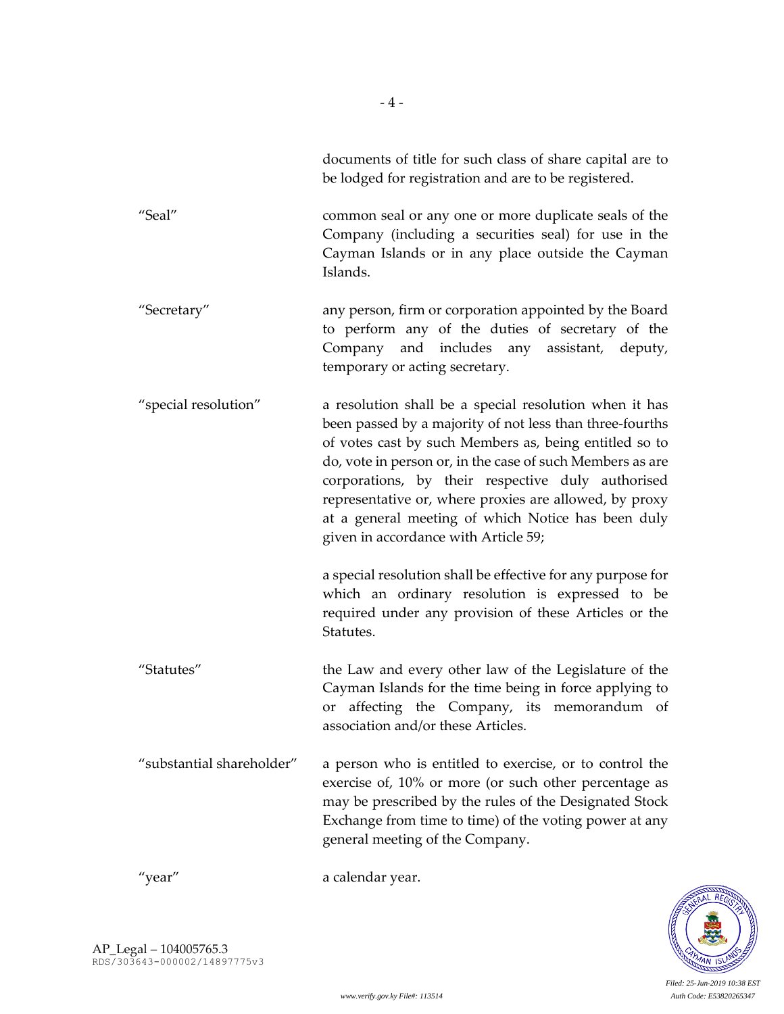| documents of title for such class of share capital are to |
|-----------------------------------------------------------|
| be lodged for registration and are to be registered.      |
|                                                           |

"Seal" common seal or any one or more duplicate seals of the Company (including a securities seal) for use in the Cayman Islands or in any place outside the Cayman Islands.

"Secretary" any person, firm or corporation appointed by the Board to perform any of the duties of secretary of the Company and includes any assistant, deputy, temporary or acting secretary.

"special resolution" a resolution shall be a special resolution when it has been passed by a majority of not less than three-fourths of votes cast by such Members as, being entitled so to do, vote in person or, in the case of such Members as are corporations, by their respective duly authorised representative or, where proxies are allowed, by proxy at a general meeting of which Notice has been duly given in accordance with Article 59;

> a special resolution shall be effective for any purpose for which an ordinary resolution is expressed to be required under any provision of these Articles or the Statutes.

- "Statutes" the Law and every other law of the Legislature of the Cayman Islands for the time being in force applying to or affecting the Company, its memorandum of association and/or these Articles.
- "substantial shareholder" a person who is entitled to exercise, or to control the exercise of, 10% or more (or such other percentage as may be prescribed by the rules of the Designated Stock Exchange from time to time) of the voting power at any general meeting of the Company.

"year" a calendar year.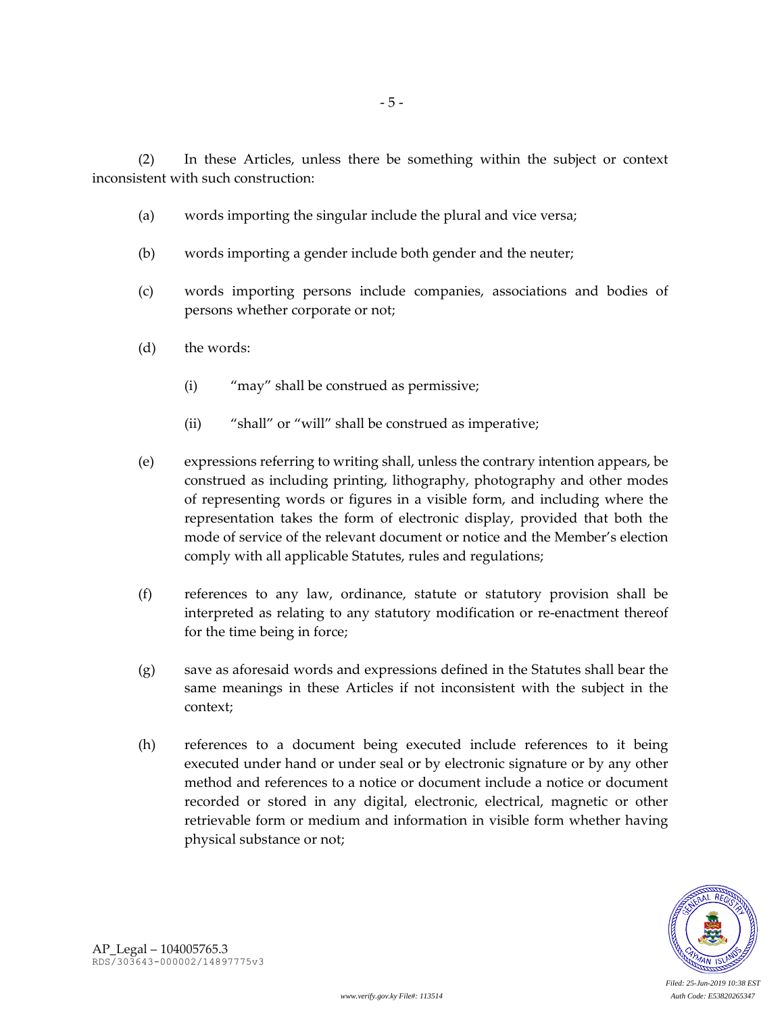(2) In these Articles, unless there be something within the subject or context inconsistent with such construction:

- (a) words importing the singular include the plural and vice versa;
- (b) words importing a gender include both gender and the neuter;
- (c) words importing persons include companies, associations and bodies of persons whether corporate or not;
- (d) the words:
	- (i) "may" shall be construed as permissive;
	- (ii) "shall" or "will" shall be construed as imperative;
- (e) expressions referring to writing shall, unless the contrary intention appears, be construed as including printing, lithography, photography and other modes of representing words or figures in a visible form, and including where the representation takes the form of electronic display, provided that both the mode of service of the relevant document or notice and the Member's election comply with all applicable Statutes, rules and regulations;
- (f) references to any law, ordinance, statute or statutory provision shall be interpreted as relating to any statutory modification or re-enactment thereof for the time being in force;
- (g) save as aforesaid words and expressions defined in the Statutes shall bear the same meanings in these Articles if not inconsistent with the subject in the context;
- (h) references to a document being executed include references to it being executed under hand or under seal or by electronic signature or by any other method and references to a notice or document include a notice or document recorded or stored in any digital, electronic, electrical, magnetic or other retrievable form or medium and information in visible form whether having physical substance or not;

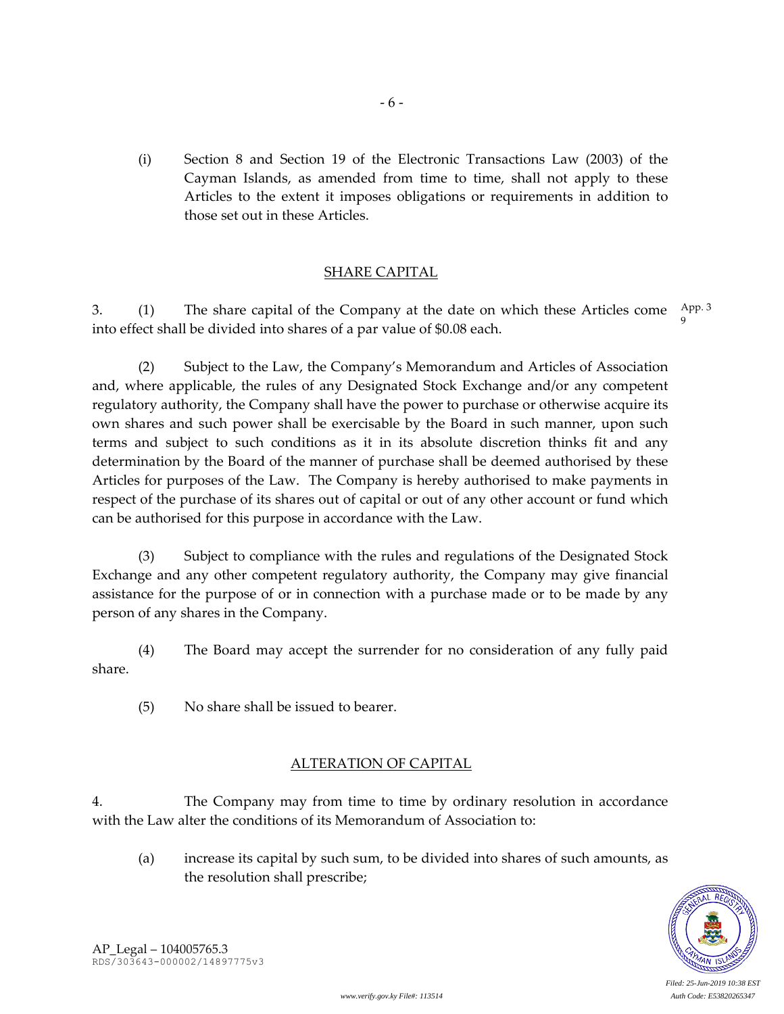(i) Section 8 and Section 19 of the Electronic Transactions Law (2003) of the Cayman Islands, as amended from time to time, shall not apply to these Articles to the extent it imposes obligations or requirements in addition to those set out in these Articles.

- 6 -

### SHARE CAPITAL

3.  $(1)$  The share capital of the Company at the date on which these Articles come  $\frac{App.3}{3}$ into effect shall be divided into shares of a par value of \$0.08 each. 9

(2) Subject to the Law, the Company's Memorandum and Articles of Association and, where applicable, the rules of any Designated Stock Exchange and/or any competent regulatory authority, the Company shall have the power to purchase or otherwise acquire its own shares and such power shall be exercisable by the Board in such manner, upon such terms and subject to such conditions as it in its absolute discretion thinks fit and any determination by the Board of the manner of purchase shall be deemed authorised by these Articles for purposes of the Law. The Company is hereby authorised to make payments in respect of the purchase of its shares out of capital or out of any other account or fund which can be authorised for this purpose in accordance with the Law.

(3) Subject to compliance with the rules and regulations of the Designated Stock Exchange and any other competent regulatory authority, the Company may give financial assistance for the purpose of or in connection with a purchase made or to be made by any person of any shares in the Company.

(4) The Board may accept the surrender for no consideration of any fully paid share.

(5) No share shall be issued to bearer.

## ALTERATION OF CAPITAL

4. The Company may from time to time by ordinary resolution in accordance with the Law alter the conditions of its Memorandum of Association to:

(a) increase its capital by such sum, to be divided into shares of such amounts, as the resolution shall prescribe;

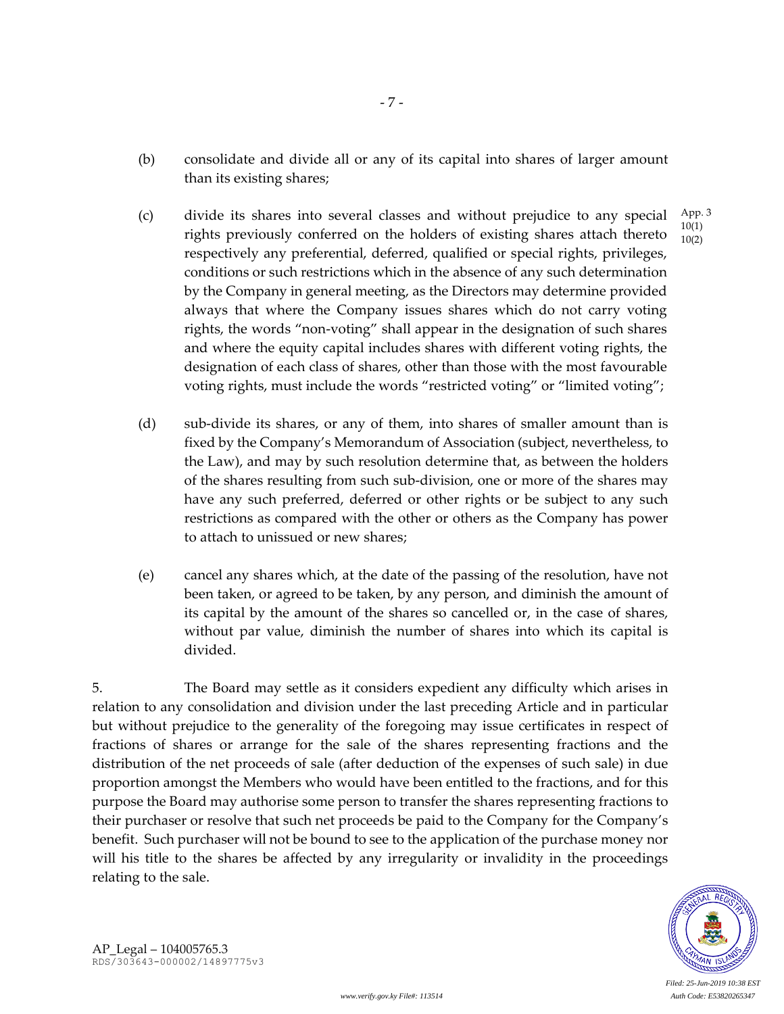- (b) consolidate and divide all or any of its capital into shares of larger amount than its existing shares;
- (c) divide its shares into several classes and without prejudice to any special rights previously conferred on the holders of existing shares attach thereto respectively any preferential, deferred, qualified or special rights, privileges, conditions or such restrictions which in the absence of any such determination by the Company in general meeting, as the Directors may determine provided always that where the Company issues shares which do not carry voting rights, the words "non-voting" shall appear in the designation of such shares and where the equity capital includes shares with different voting rights, the designation of each class of shares, other than those with the most favourable voting rights, must include the words "restricted voting" or "limited voting"; App. 3 10(1) 10(2)
- (d) sub-divide its shares, or any of them, into shares of smaller amount than is fixed by the Company's Memorandum of Association (subject, nevertheless, to the Law), and may by such resolution determine that, as between the holders of the shares resulting from such sub-division, one or more of the shares may have any such preferred, deferred or other rights or be subject to any such restrictions as compared with the other or others as the Company has power to attach to unissued or new shares;
- (e) cancel any shares which, at the date of the passing of the resolution, have not been taken, or agreed to be taken, by any person, and diminish the amount of its capital by the amount of the shares so cancelled or, in the case of shares, without par value, diminish the number of shares into which its capital is divided.

5. The Board may settle as it considers expedient any difficulty which arises in relation to any consolidation and division under the last preceding Article and in particular but without prejudice to the generality of the foregoing may issue certificates in respect of fractions of shares or arrange for the sale of the shares representing fractions and the distribution of the net proceeds of sale (after deduction of the expenses of such sale) in due proportion amongst the Members who would have been entitled to the fractions, and for this purpose the Board may authorise some person to transfer the shares representing fractions to their purchaser or resolve that such net proceeds be paid to the Company for the Company's benefit. Such purchaser will not be bound to see to the application of the purchase money nor will his title to the shares be affected by any irregularity or invalidity in the proceedings relating to the sale.



*Filed: 25-Jun-2019 10:38 EST*

AP\_Legal – 104005765.3 RDS/303643-000002/14897775v3

*www.verify.gov.ky File#: 113514 Auth Code: E53820265347*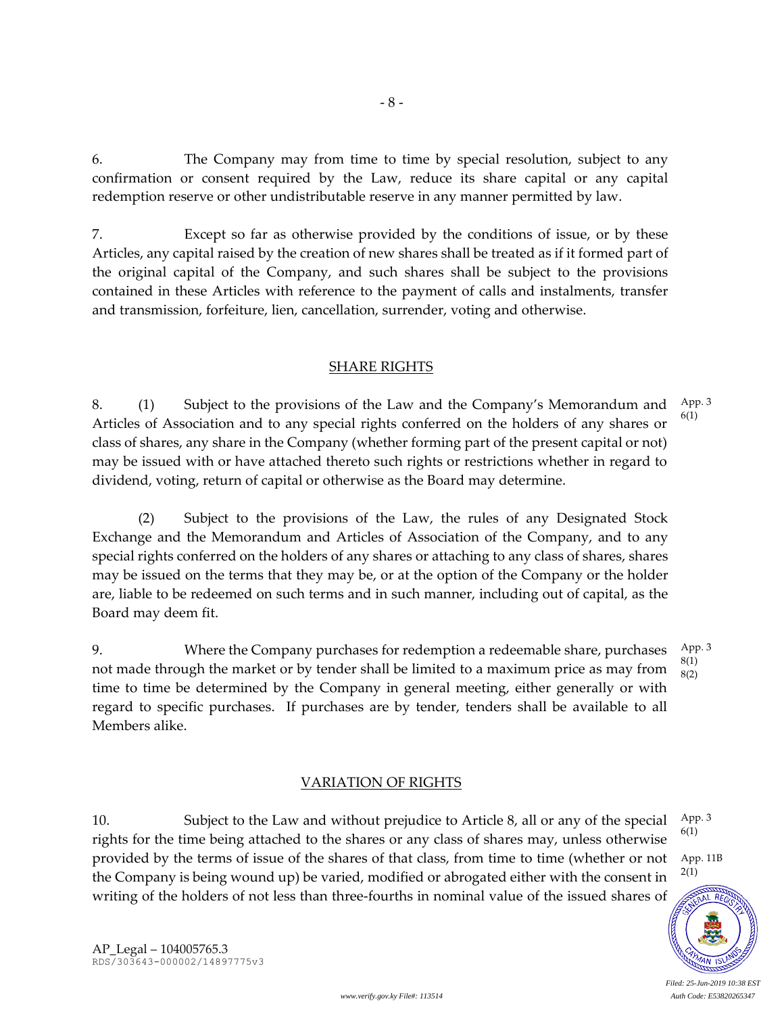6. The Company may from time to time by special resolution, subject to any confirmation or consent required by the Law, reduce its share capital or any capital redemption reserve or other undistributable reserve in any manner permitted by law.

7. Except so far as otherwise provided by the conditions of issue, or by these Articles, any capital raised by the creation of new shares shall be treated as if it formed part of the original capital of the Company, and such shares shall be subject to the provisions contained in these Articles with reference to the payment of calls and instalments, transfer and transmission, forfeiture, lien, cancellation, surrender, voting and otherwise.

### SHARE RIGHTS

8. (1) Subject to the provisions of the Law and the Company's Memorandum and Articles of Association and to any special rights conferred on the holders of any shares or class of shares, any share in the Company (whether forming part of the present capital or not) may be issued with or have attached thereto such rights or restrictions whether in regard to dividend, voting, return of capital or otherwise as the Board may determine. App. 3 6(1)

(2) Subject to the provisions of the Law, the rules of any Designated Stock Exchange and the Memorandum and Articles of Association of the Company, and to any special rights conferred on the holders of any shares or attaching to any class of shares, shares may be issued on the terms that they may be, or at the option of the Company or the holder are, liable to be redeemed on such terms and in such manner, including out of capital, as the Board may deem fit.

9. Where the Company purchases for redemption a redeemable share, purchases not made through the market or by tender shall be limited to a maximum price as may from time to time be determined by the Company in general meeting, either generally or with regard to specific purchases. If purchases are by tender, tenders shall be available to all Members alike. App. 3 8(1) 8(2)

### VARIATION OF RIGHTS

10. Subject to the Law and without prejudice to Article 8, all or any of the special rights for the time being attached to the shares or any class of shares may, unless otherwise provided by the terms of issue of the shares of that class, from time to time (whether or not the Company is being wound up) be varied, modified or abrogated either with the consent in writing of the holders of not less than three-fourths in nominal value of the issued shares of 2(1)

App. 3 6(1)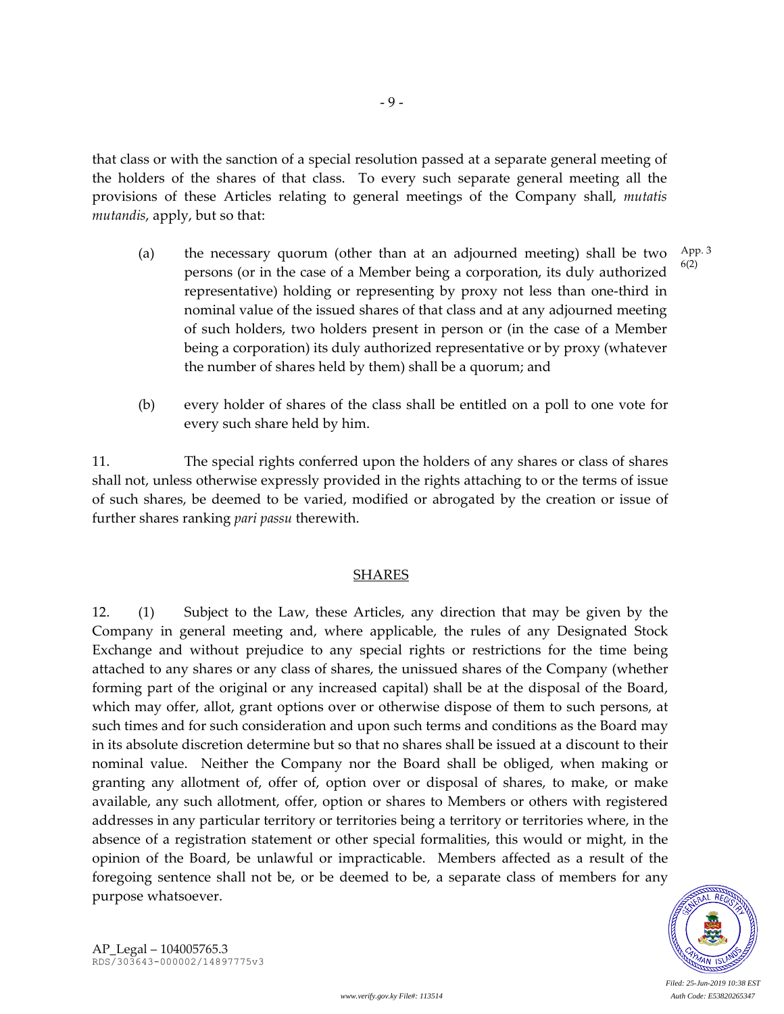that class or with the sanction of a special resolution passed at a separate general meeting of the holders of the shares of that class. To every such separate general meeting all the provisions of these Articles relating to general meetings of the Company shall, *mutatis mutandis*, apply, but so that:

- (a) the necessary quorum (other than at an adjourned meeting) shall be two persons (or in the case of a Member being a corporation, its duly authorized representative) holding or representing by proxy not less than one-third in nominal value of the issued shares of that class and at any adjourned meeting of such holders, two holders present in person or (in the case of a Member being a corporation) its duly authorized representative or by proxy (whatever the number of shares held by them) shall be a quorum; and App. 3 6(2)
- (b) every holder of shares of the class shall be entitled on a poll to one vote for every such share held by him.

11. The special rights conferred upon the holders of any shares or class of shares shall not, unless otherwise expressly provided in the rights attaching to or the terms of issue of such shares, be deemed to be varied, modified or abrogated by the creation or issue of further shares ranking *pari passu* therewith.

### SHARES

12. (1) Subject to the Law, these Articles, any direction that may be given by the Company in general meeting and, where applicable, the rules of any Designated Stock Exchange and without prejudice to any special rights or restrictions for the time being attached to any shares or any class of shares, the unissued shares of the Company (whether forming part of the original or any increased capital) shall be at the disposal of the Board, which may offer, allot, grant options over or otherwise dispose of them to such persons, at such times and for such consideration and upon such terms and conditions as the Board may in its absolute discretion determine but so that no shares shall be issued at a discount to their nominal value. Neither the Company nor the Board shall be obliged, when making or granting any allotment of, offer of, option over or disposal of shares, to make, or make available, any such allotment, offer, option or shares to Members or others with registered addresses in any particular territory or territories being a territory or territories where, in the absence of a registration statement or other special formalities, this would or might, in the opinion of the Board, be unlawful or impracticable. Members affected as a result of the foregoing sentence shall not be, or be deemed to be, a separate class of members for any purpose whatsoever.



*Filed: 25-Jun-2019 10:38 EST*

AP\_Legal – 104005765.3 RDS/303643-000002/14897775v3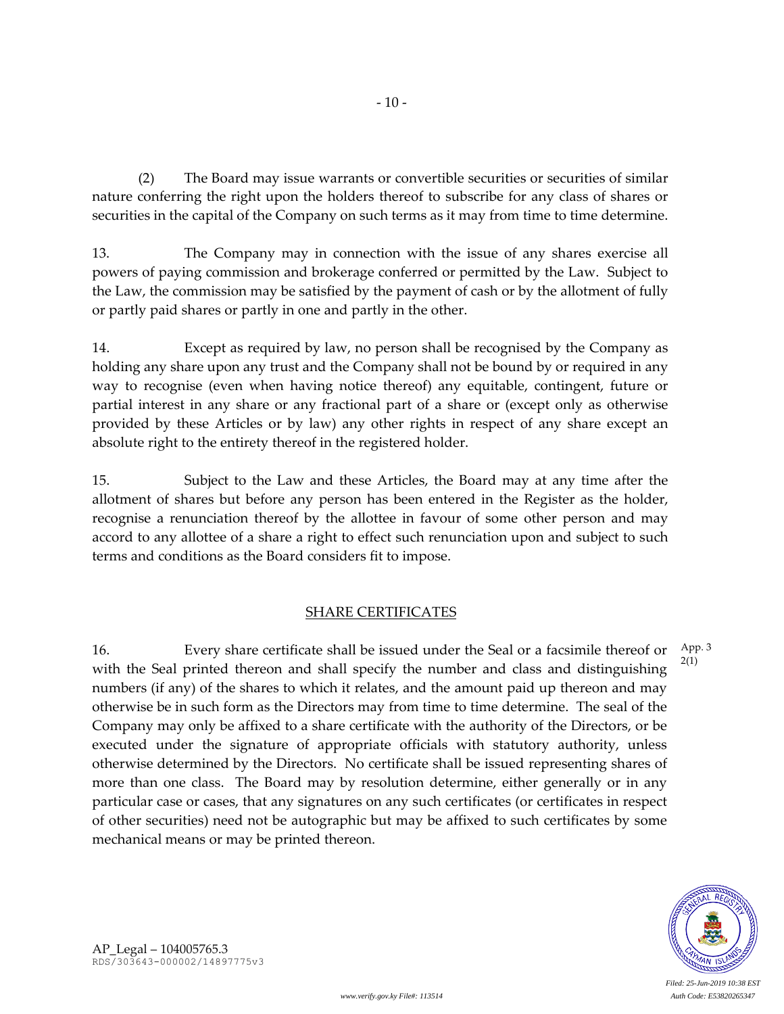(2) The Board may issue warrants or convertible securities or securities of similar nature conferring the right upon the holders thereof to subscribe for any class of shares or securities in the capital of the Company on such terms as it may from time to time determine.

13. The Company may in connection with the issue of any shares exercise all powers of paying commission and brokerage conferred or permitted by the Law. Subject to the Law, the commission may be satisfied by the payment of cash or by the allotment of fully or partly paid shares or partly in one and partly in the other.

14. Except as required by law, no person shall be recognised by the Company as holding any share upon any trust and the Company shall not be bound by or required in any way to recognise (even when having notice thereof) any equitable, contingent, future or partial interest in any share or any fractional part of a share or (except only as otherwise provided by these Articles or by law) any other rights in respect of any share except an absolute right to the entirety thereof in the registered holder.

15. Subject to the Law and these Articles, the Board may at any time after the allotment of shares but before any person has been entered in the Register as the holder, recognise a renunciation thereof by the allottee in favour of some other person and may accord to any allottee of a share a right to effect such renunciation upon and subject to such terms and conditions as the Board considers fit to impose.

## SHARE CERTIFICATES

16. Every share certificate shall be issued under the Seal or a facsimile thereof or with the Seal printed thereon and shall specify the number and class and distinguishing numbers (if any) of the shares to which it relates, and the amount paid up thereon and may otherwise be in such form as the Directors may from time to time determine. The seal of the Company may only be affixed to a share certificate with the authority of the Directors, or be executed under the signature of appropriate officials with statutory authority, unless otherwise determined by the Directors. No certificate shall be issued representing shares of more than one class. The Board may by resolution determine, either generally or in any particular case or cases, that any signatures on any such certificates (or certificates in respect of other securities) need not be autographic but may be affixed to such certificates by some mechanical means or may be printed thereon. App. 3 2(1)



AP\_Legal – 104005765.3 RDS/303643-000002/14897775v3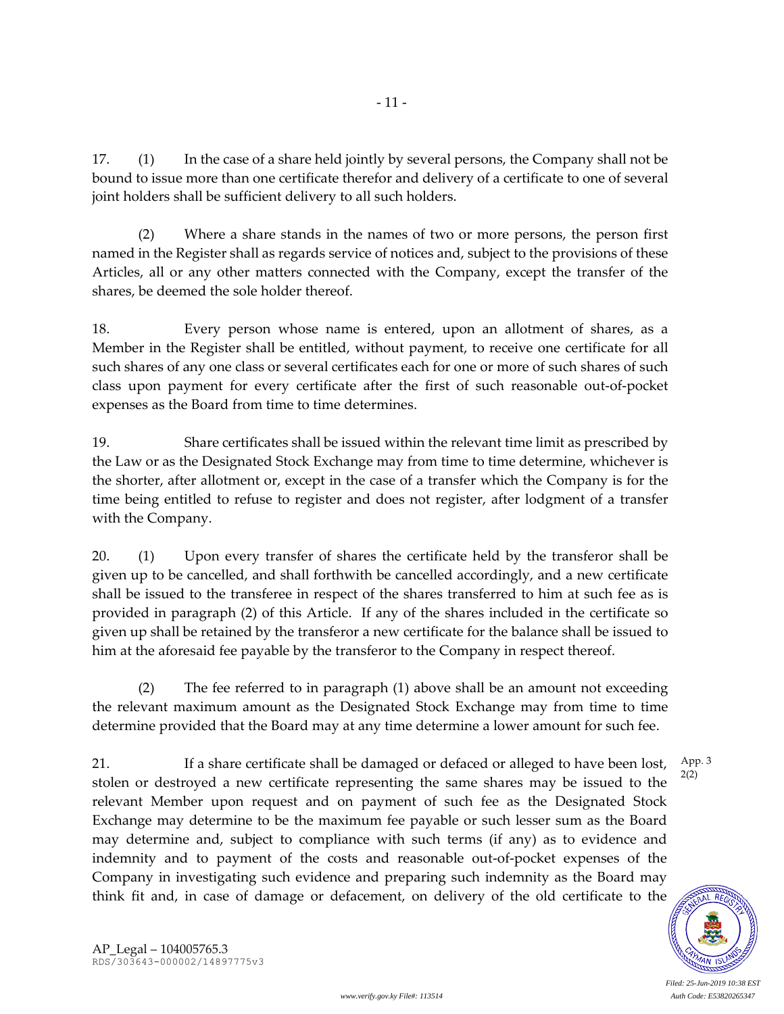17. (1) In the case of a share held jointly by several persons, the Company shall not be bound to issue more than one certificate therefor and delivery of a certificate to one of several joint holders shall be sufficient delivery to all such holders.

- 11 -

(2) Where a share stands in the names of two or more persons, the person first named in the Register shall as regards service of notices and, subject to the provisions of these Articles, all or any other matters connected with the Company, except the transfer of the shares, be deemed the sole holder thereof.

18. Every person whose name is entered, upon an allotment of shares, as a Member in the Register shall be entitled, without payment, to receive one certificate for all such shares of any one class or several certificates each for one or more of such shares of such class upon payment for every certificate after the first of such reasonable out-of-pocket expenses as the Board from time to time determines.

19. Share certificates shall be issued within the relevant time limit as prescribed by the Law or as the Designated Stock Exchange may from time to time determine, whichever is the shorter, after allotment or, except in the case of a transfer which the Company is for the time being entitled to refuse to register and does not register, after lodgment of a transfer with the Company.

20. (1) Upon every transfer of shares the certificate held by the transferor shall be given up to be cancelled, and shall forthwith be cancelled accordingly, and a new certificate shall be issued to the transferee in respect of the shares transferred to him at such fee as is provided in paragraph (2) of this Article. If any of the shares included in the certificate so given up shall be retained by the transferor a new certificate for the balance shall be issued to him at the aforesaid fee payable by the transferor to the Company in respect thereof.

(2) The fee referred to in paragraph (1) above shall be an amount not exceeding the relevant maximum amount as the Designated Stock Exchange may from time to time determine provided that the Board may at any time determine a lower amount for such fee.

21. If a share certificate shall be damaged or defaced or alleged to have been lost, stolen or destroyed a new certificate representing the same shares may be issued to the relevant Member upon request and on payment of such fee as the Designated Stock Exchange may determine to be the maximum fee payable or such lesser sum as the Board may determine and, subject to compliance with such terms (if any) as to evidence and indemnity and to payment of the costs and reasonable out-of-pocket expenses of the Company in investigating such evidence and preparing such indemnity as the Board may think fit and, in case of damage or defacement, on delivery of the old certificate to the App. 3

*Filed: 25-Jun-2019 10:38 EST*

2(2)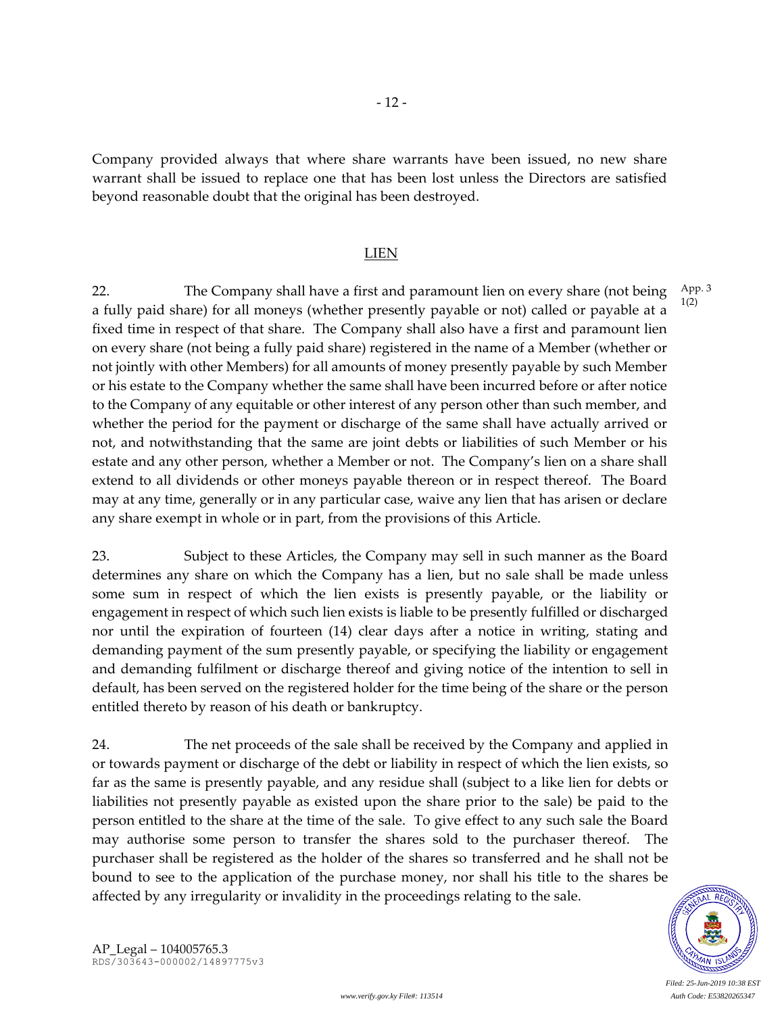Company provided always that where share warrants have been issued, no new share warrant shall be issued to replace one that has been lost unless the Directors are satisfied beyond reasonable doubt that the original has been destroyed.

- 12 -

#### LIEN

22. The Company shall have a first and paramount lien on every share (not being a fully paid share) for all moneys (whether presently payable or not) called or payable at a fixed time in respect of that share. The Company shall also have a first and paramount lien on every share (not being a fully paid share) registered in the name of a Member (whether or not jointly with other Members) for all amounts of money presently payable by such Member or his estate to the Company whether the same shall have been incurred before or after notice to the Company of any equitable or other interest of any person other than such member, and whether the period for the payment or discharge of the same shall have actually arrived or not, and notwithstanding that the same are joint debts or liabilities of such Member or his estate and any other person, whether a Member or not. The Company's lien on a share shall extend to all dividends or other moneys payable thereon or in respect thereof. The Board may at any time, generally or in any particular case, waive any lien that has arisen or declare any share exempt in whole or in part, from the provisions of this Article. App. 3

23. Subject to these Articles, the Company may sell in such manner as the Board determines any share on which the Company has a lien, but no sale shall be made unless some sum in respect of which the lien exists is presently payable, or the liability or engagement in respect of which such lien exists is liable to be presently fulfilled or discharged nor until the expiration of fourteen (14) clear days after a notice in writing, stating and demanding payment of the sum presently payable, or specifying the liability or engagement and demanding fulfilment or discharge thereof and giving notice of the intention to sell in default, has been served on the registered holder for the time being of the share or the person entitled thereto by reason of his death or bankruptcy.

24. The net proceeds of the sale shall be received by the Company and applied in or towards payment or discharge of the debt or liability in respect of which the lien exists, so far as the same is presently payable, and any residue shall (subject to a like lien for debts or liabilities not presently payable as existed upon the share prior to the sale) be paid to the person entitled to the share at the time of the sale. To give effect to any such sale the Board may authorise some person to transfer the shares sold to the purchaser thereof. The purchaser shall be registered as the holder of the shares so transferred and he shall not be bound to see to the application of the purchase money, nor shall his title to the shares be affected by any irregularity or invalidity in the proceedings relating to the sale.



*Filed: 25-Jun-2019 10:38 EST*

1(2)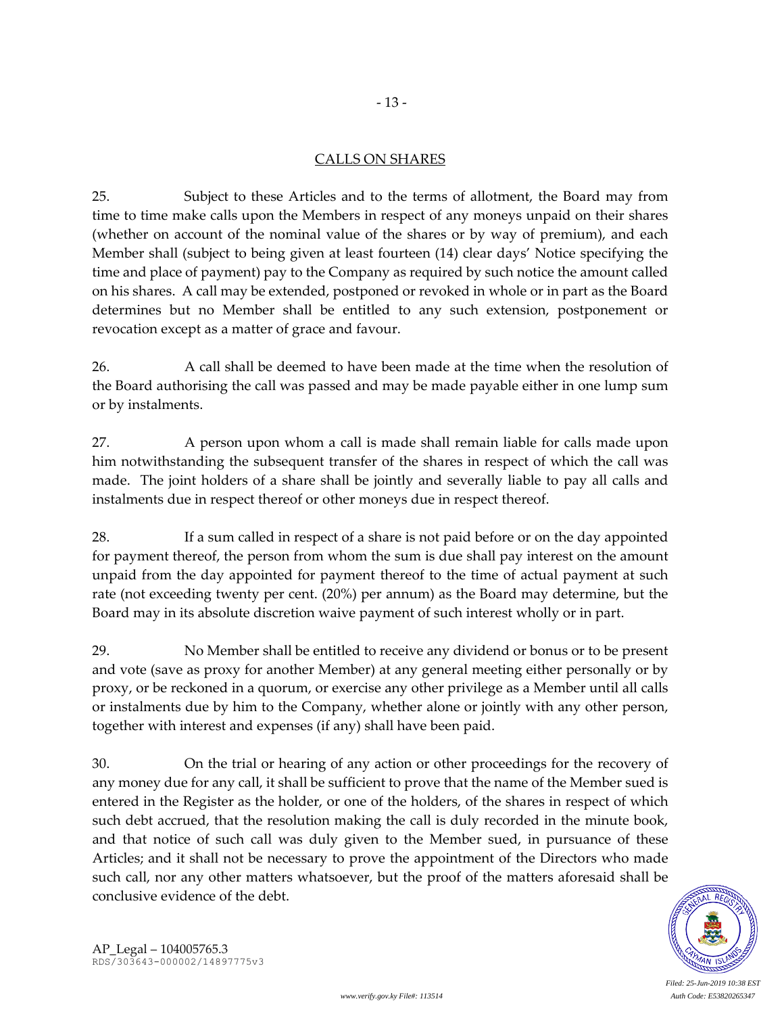# CALLS ON SHARES

- 13 -

25. Subject to these Articles and to the terms of allotment, the Board may from time to time make calls upon the Members in respect of any moneys unpaid on their shares (whether on account of the nominal value of the shares or by way of premium), and each Member shall (subject to being given at least fourteen (14) clear days' Notice specifying the time and place of payment) pay to the Company as required by such notice the amount called on his shares. A call may be extended, postponed or revoked in whole or in part as the Board determines but no Member shall be entitled to any such extension, postponement or revocation except as a matter of grace and favour.

26. A call shall be deemed to have been made at the time when the resolution of the Board authorising the call was passed and may be made payable either in one lump sum or by instalments.

27. A person upon whom a call is made shall remain liable for calls made upon him notwithstanding the subsequent transfer of the shares in respect of which the call was made. The joint holders of a share shall be jointly and severally liable to pay all calls and instalments due in respect thereof or other moneys due in respect thereof.

28. If a sum called in respect of a share is not paid before or on the day appointed for payment thereof, the person from whom the sum is due shall pay interest on the amount unpaid from the day appointed for payment thereof to the time of actual payment at such rate (not exceeding twenty per cent. (20%) per annum) as the Board may determine, but the Board may in its absolute discretion waive payment of such interest wholly or in part.

29. No Member shall be entitled to receive any dividend or bonus or to be present and vote (save as proxy for another Member) at any general meeting either personally or by proxy, or be reckoned in a quorum, or exercise any other privilege as a Member until all calls or instalments due by him to the Company, whether alone or jointly with any other person, together with interest and expenses (if any) shall have been paid.

30. On the trial or hearing of any action or other proceedings for the recovery of any money due for any call, it shall be sufficient to prove that the name of the Member sued is entered in the Register as the holder, or one of the holders, of the shares in respect of which such debt accrued, that the resolution making the call is duly recorded in the minute book, and that notice of such call was duly given to the Member sued, in pursuance of these Articles; and it shall not be necessary to prove the appointment of the Directors who made such call, nor any other matters whatsoever, but the proof of the matters aforesaid shall be conclusive evidence of the debt.

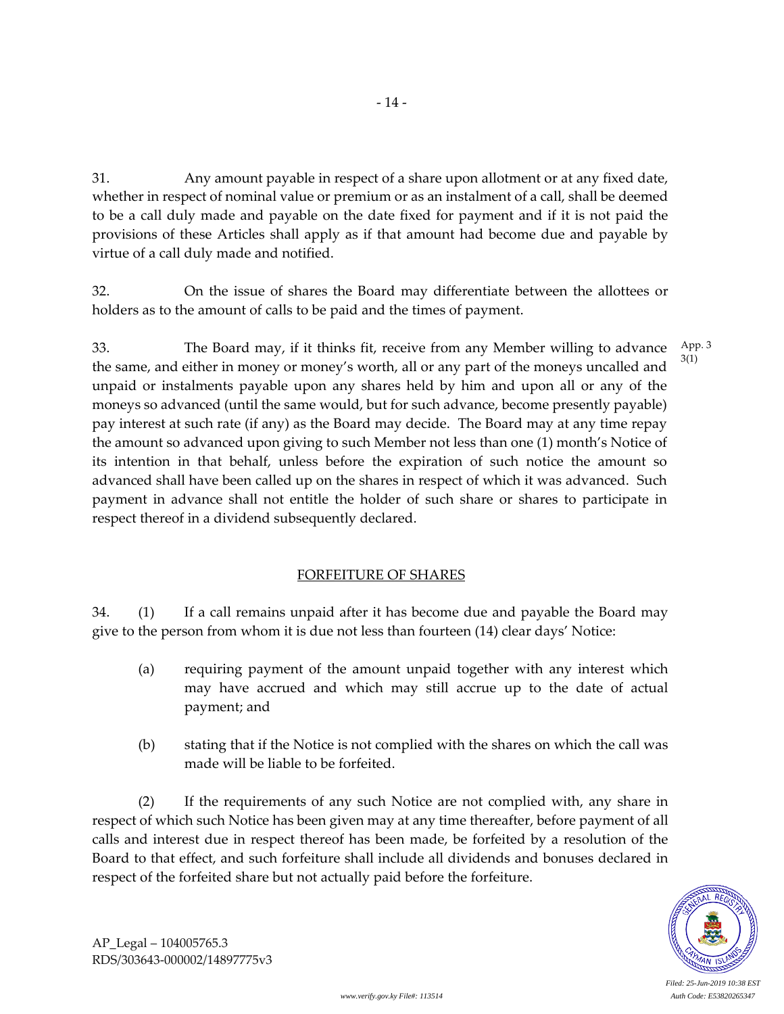31. Any amount payable in respect of a share upon allotment or at any fixed date, whether in respect of nominal value or premium or as an instalment of a call, shall be deemed to be a call duly made and payable on the date fixed for payment and if it is not paid the provisions of these Articles shall apply as if that amount had become due and payable by

virtue of a call duly made and notified.

32. On the issue of shares the Board may differentiate between the allottees or holders as to the amount of calls to be paid and the times of payment.

33. The Board may, if it thinks fit, receive from any Member willing to advance the same, and either in money or money's worth, all or any part of the moneys uncalled and unpaid or instalments payable upon any shares held by him and upon all or any of the moneys so advanced (until the same would, but for such advance, become presently payable) pay interest at such rate (if any) as the Board may decide. The Board may at any time repay the amount so advanced upon giving to such Member not less than one (1) month's Notice of its intention in that behalf, unless before the expiration of such notice the amount so advanced shall have been called up on the shares in respect of which it was advanced. Such payment in advance shall not entitle the holder of such share or shares to participate in respect thereof in a dividend subsequently declared. App. 3 3(1)

## FORFEITURE OF SHARES

34. (1) If a call remains unpaid after it has become due and payable the Board may give to the person from whom it is due not less than fourteen (14) clear days' Notice:

- (a) requiring payment of the amount unpaid together with any interest which may have accrued and which may still accrue up to the date of actual payment; and
- (b) stating that if the Notice is not complied with the shares on which the call was made will be liable to be forfeited.

(2) If the requirements of any such Notice are not complied with, any share in respect of which such Notice has been given may at any time thereafter, before payment of all calls and interest due in respect thereof has been made, be forfeited by a resolution of the Board to that effect, and such forfeiture shall include all dividends and bonuses declared in respect of the forfeited share but not actually paid before the forfeiture.



*Filed: 25-Jun-2019 10:38 EST*

AP\_Legal – 104005765.3 RDS/303643-000002/14897775v3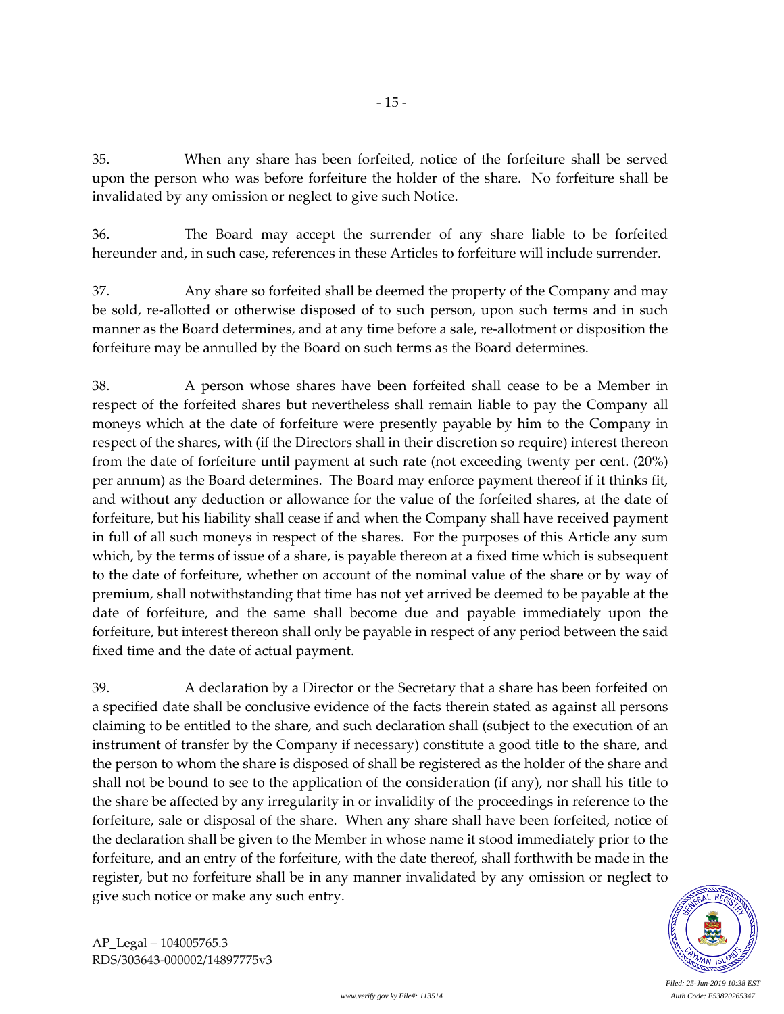35. When any share has been forfeited, notice of the forfeiture shall be served upon the person who was before forfeiture the holder of the share. No forfeiture shall be invalidated by any omission or neglect to give such Notice.

36. The Board may accept the surrender of any share liable to be forfeited hereunder and, in such case, references in these Articles to forfeiture will include surrender.

37. Any share so forfeited shall be deemed the property of the Company and may be sold, re-allotted or otherwise disposed of to such person, upon such terms and in such manner as the Board determines, and at any time before a sale, re-allotment or disposition the forfeiture may be annulled by the Board on such terms as the Board determines.

38. A person whose shares have been forfeited shall cease to be a Member in respect of the forfeited shares but nevertheless shall remain liable to pay the Company all moneys which at the date of forfeiture were presently payable by him to the Company in respect of the shares, with (if the Directors shall in their discretion so require) interest thereon from the date of forfeiture until payment at such rate (not exceeding twenty per cent. (20%) per annum) as the Board determines. The Board may enforce payment thereof if it thinks fit, and without any deduction or allowance for the value of the forfeited shares, at the date of forfeiture, but his liability shall cease if and when the Company shall have received payment in full of all such moneys in respect of the shares. For the purposes of this Article any sum which, by the terms of issue of a share, is payable thereon at a fixed time which is subsequent to the date of forfeiture, whether on account of the nominal value of the share or by way of premium, shall notwithstanding that time has not yet arrived be deemed to be payable at the date of forfeiture, and the same shall become due and payable immediately upon the forfeiture, but interest thereon shall only be payable in respect of any period between the said fixed time and the date of actual payment.

39. A declaration by a Director or the Secretary that a share has been forfeited on a specified date shall be conclusive evidence of the facts therein stated as against all persons claiming to be entitled to the share, and such declaration shall (subject to the execution of an instrument of transfer by the Company if necessary) constitute a good title to the share, and the person to whom the share is disposed of shall be registered as the holder of the share and shall not be bound to see to the application of the consideration (if any), nor shall his title to the share be affected by any irregularity in or invalidity of the proceedings in reference to the forfeiture, sale or disposal of the share. When any share shall have been forfeited, notice of the declaration shall be given to the Member in whose name it stood immediately prior to the forfeiture, and an entry of the forfeiture, with the date thereof, shall forthwith be made in the register, but no forfeiture shall be in any manner invalidated by any omission or neglect to give such notice or make any such entry.



*Filed: 25-Jun-2019 10:38 EST*

AP\_Legal – 104005765.3 RDS/303643-000002/14897775v3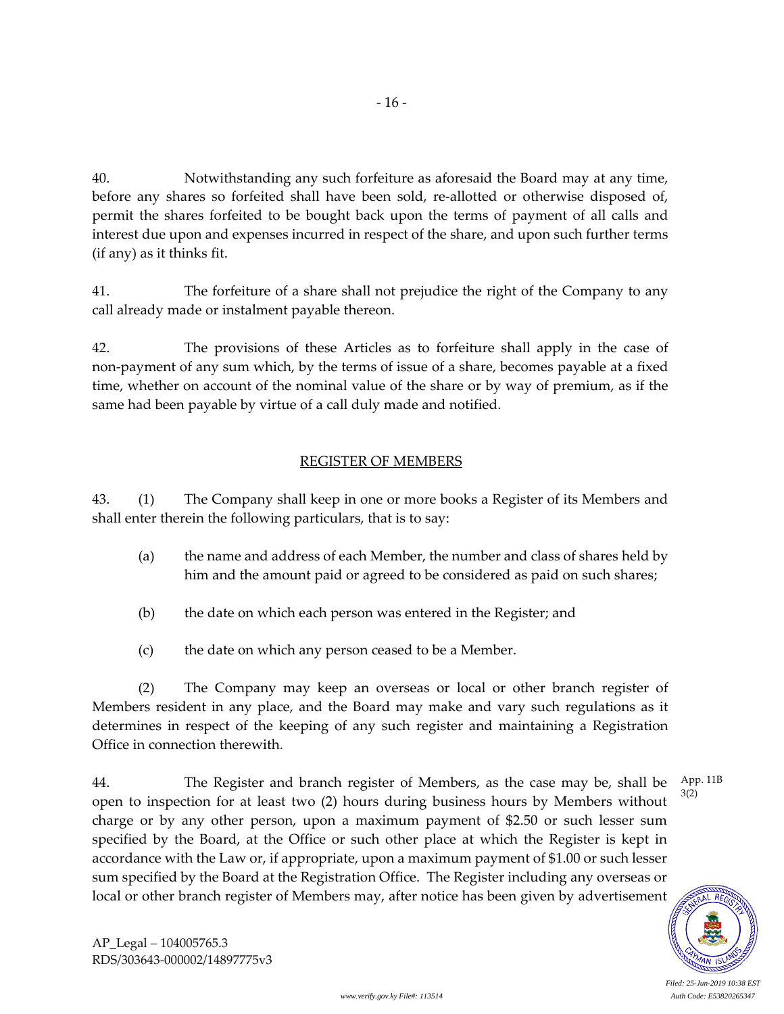40. Notwithstanding any such forfeiture as aforesaid the Board may at any time, before any shares so forfeited shall have been sold, re-allotted or otherwise disposed of, permit the shares forfeited to be bought back upon the terms of payment of all calls and interest due upon and expenses incurred in respect of the share, and upon such further terms (if any) as it thinks fit.

41. The forfeiture of a share shall not prejudice the right of the Company to any call already made or instalment payable thereon.

42. The provisions of these Articles as to forfeiture shall apply in the case of non-payment of any sum which, by the terms of issue of a share, becomes payable at a fixed time, whether on account of the nominal value of the share or by way of premium, as if the same had been payable by virtue of a call duly made and notified.

## REGISTER OF MEMBERS

43. (1) The Company shall keep in one or more books a Register of its Members and shall enter therein the following particulars, that is to say:

- (a) the name and address of each Member, the number and class of shares held by him and the amount paid or agreed to be considered as paid on such shares;
- (b) the date on which each person was entered in the Register; and
- (c) the date on which any person ceased to be a Member.

(2) The Company may keep an overseas or local or other branch register of Members resident in any place, and the Board may make and vary such regulations as it determines in respect of the keeping of any such register and maintaining a Registration Office in connection therewith.

44. The Register and branch register of Members, as the case may be, shall be open to inspection for at least two (2) hours during business hours by Members without charge or by any other person, upon a maximum payment of \$2.50 or such lesser sum specified by the Board, at the Office or such other place at which the Register is kept in accordance with the Law or, if appropriate, upon a maximum payment of \$1.00 or such lesser sum specified by the Board at the Registration Office. The Register including any overseas or local or other branch register of Members may, after notice has been given by advertisement App. 11B

3(2)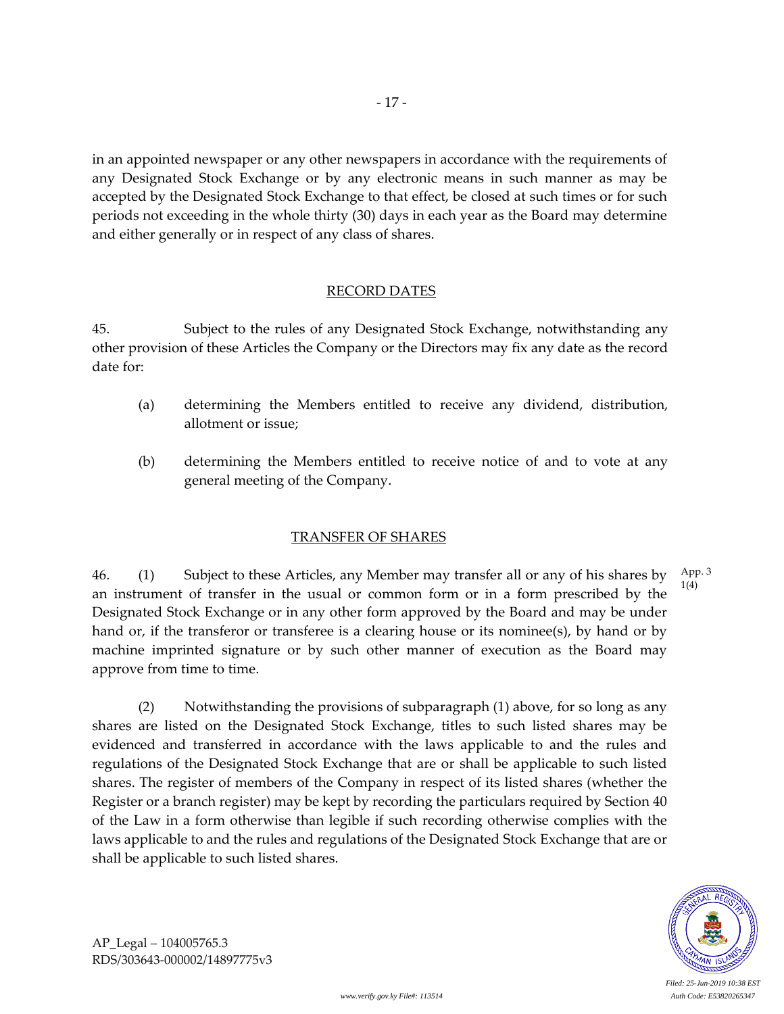in an appointed newspaper or any other newspapers in accordance with the requirements of any Designated Stock Exchange or by any electronic means in such manner as may be accepted by the Designated Stock Exchange to that effect, be closed at such times or for such periods not exceeding in the whole thirty (30) days in each year as the Board may determine and either generally or in respect of any class of shares.

### RECORD DATES

45. Subject to the rules of any Designated Stock Exchange, notwithstanding any other provision of these Articles the Company or the Directors may fix any date as the record date for:

- (a) determining the Members entitled to receive any dividend, distribution, allotment or issue;
- (b) determining the Members entitled to receive notice of and to vote at any general meeting of the Company.

### TRANSFER OF SHARES

46. (1) Subject to these Articles, any Member may transfer all or any of his shares by an instrument of transfer in the usual or common form or in a form prescribed by the Designated Stock Exchange or in any other form approved by the Board and may be under hand or, if the transferor or transferee is a clearing house or its nominee(s), by hand or by machine imprinted signature or by such other manner of execution as the Board may approve from time to time. App. 3 1(4)

(2) Notwithstanding the provisions of subparagraph (1) above, for so long as any shares are listed on the Designated Stock Exchange, titles to such listed shares may be evidenced and transferred in accordance with the laws applicable to and the rules and regulations of the Designated Stock Exchange that are or shall be applicable to such listed shares. The register of members of the Company in respect of its listed shares (whether the Register or a branch register) may be kept by recording the particulars required by Section 40 of the Law in a form otherwise than legible if such recording otherwise complies with the laws applicable to and the rules and regulations of the Designated Stock Exchange that are or shall be applicable to such listed shares.



AP\_Legal – 104005765.3 RDS/303643-000002/14897775v3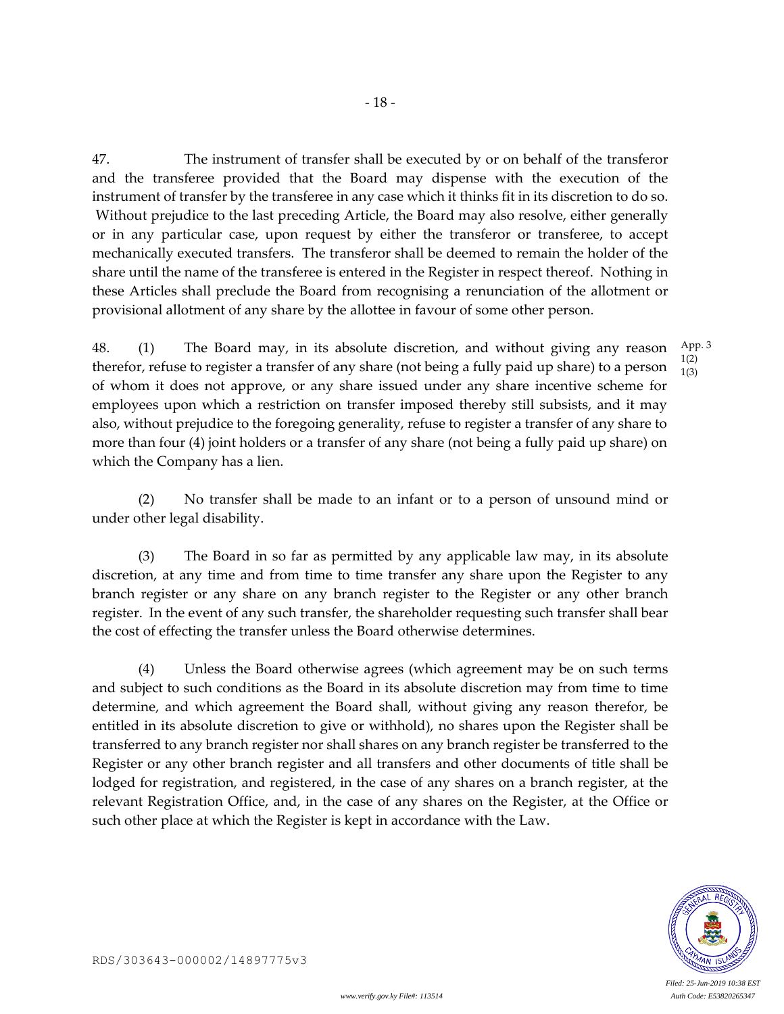47. The instrument of transfer shall be executed by or on behalf of the transferor and the transferee provided that the Board may dispense with the execution of the instrument of transfer by the transferee in any case which it thinks fit in its discretion to do so. Without prejudice to the last preceding Article, the Board may also resolve, either generally or in any particular case, upon request by either the transferor or transferee, to accept mechanically executed transfers. The transferor shall be deemed to remain the holder of the share until the name of the transferee is entered in the Register in respect thereof. Nothing in these Articles shall preclude the Board from recognising a renunciation of the allotment or provisional allotment of any share by the allottee in favour of some other person.

48. (1) The Board may, in its absolute discretion, and without giving any reason therefor, refuse to register a transfer of any share (not being a fully paid up share) to a person of whom it does not approve, or any share issued under any share incentive scheme for employees upon which a restriction on transfer imposed thereby still subsists, and it may also, without prejudice to the foregoing generality, refuse to register a transfer of any share to more than four (4) joint holders or a transfer of any share (not being a fully paid up share) on which the Company has a lien. App. 3 1(2) 1(3)

(2) No transfer shall be made to an infant or to a person of unsound mind or under other legal disability.

(3) The Board in so far as permitted by any applicable law may, in its absolute discretion, at any time and from time to time transfer any share upon the Register to any branch register or any share on any branch register to the Register or any other branch register. In the event of any such transfer, the shareholder requesting such transfer shall bear the cost of effecting the transfer unless the Board otherwise determines.

(4) Unless the Board otherwise agrees (which agreement may be on such terms and subject to such conditions as the Board in its absolute discretion may from time to time determine, and which agreement the Board shall, without giving any reason therefor, be entitled in its absolute discretion to give or withhold), no shares upon the Register shall be transferred to any branch register nor shall shares on any branch register be transferred to the Register or any other branch register and all transfers and other documents of title shall be lodged for registration, and registered, in the case of any shares on a branch register, at the relevant Registration Office, and, in the case of any shares on the Register, at the Office or such other place at which the Register is kept in accordance with the Law.

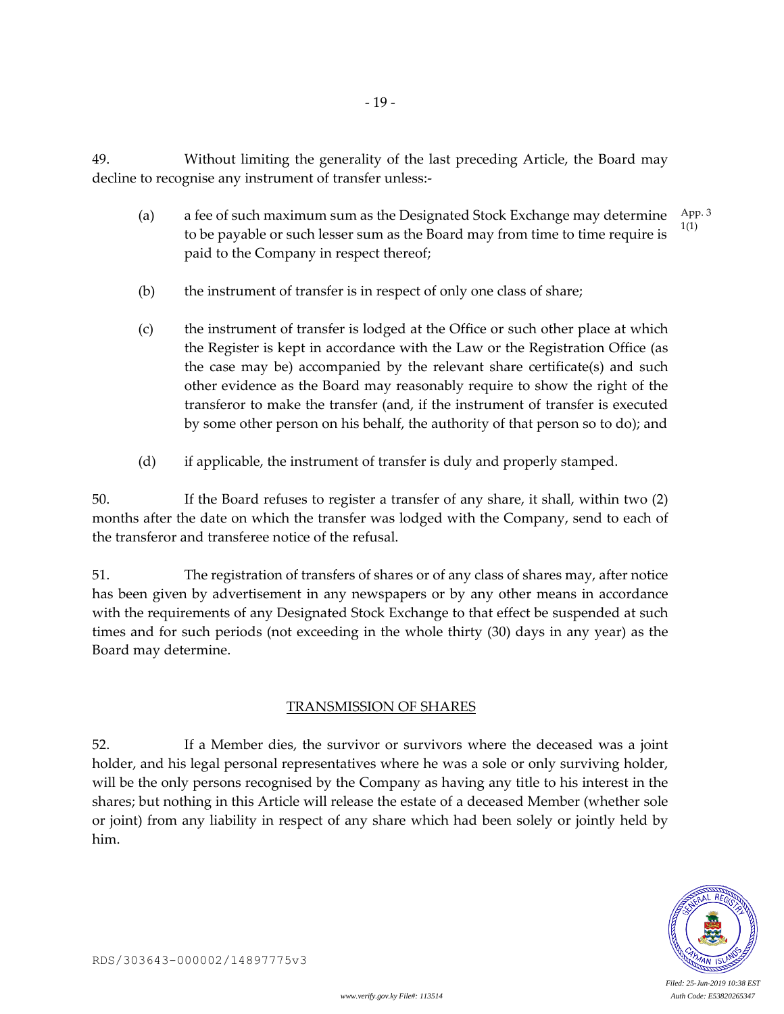49. Without limiting the generality of the last preceding Article, the Board may decline to recognise any instrument of transfer unless:-

- 19 -

- (a) a fee of such maximum sum as the Designated Stock Exchange may determine to be payable or such lesser sum as the Board may from time to time require is paid to the Company in respect thereof; App. 3 1(1)
- (b) the instrument of transfer is in respect of only one class of share;
- (c) the instrument of transfer is lodged at the Office or such other place at which the Register is kept in accordance with the Law or the Registration Office (as the case may be) accompanied by the relevant share certificate(s) and such other evidence as the Board may reasonably require to show the right of the transferor to make the transfer (and, if the instrument of transfer is executed by some other person on his behalf, the authority of that person so to do); and
- (d) if applicable, the instrument of transfer is duly and properly stamped.

50. If the Board refuses to register a transfer of any share, it shall, within two (2) months after the date on which the transfer was lodged with the Company, send to each of the transferor and transferee notice of the refusal.

51. The registration of transfers of shares or of any class of shares may, after notice has been given by advertisement in any newspapers or by any other means in accordance with the requirements of any Designated Stock Exchange to that effect be suspended at such times and for such periods (not exceeding in the whole thirty (30) days in any year) as the Board may determine.

### TRANSMISSION OF SHARES

52. If a Member dies, the survivor or survivors where the deceased was a joint holder, and his legal personal representatives where he was a sole or only surviving holder, will be the only persons recognised by the Company as having any title to his interest in the shares; but nothing in this Article will release the estate of a deceased Member (whether sole or joint) from any liability in respect of any share which had been solely or jointly held by him.

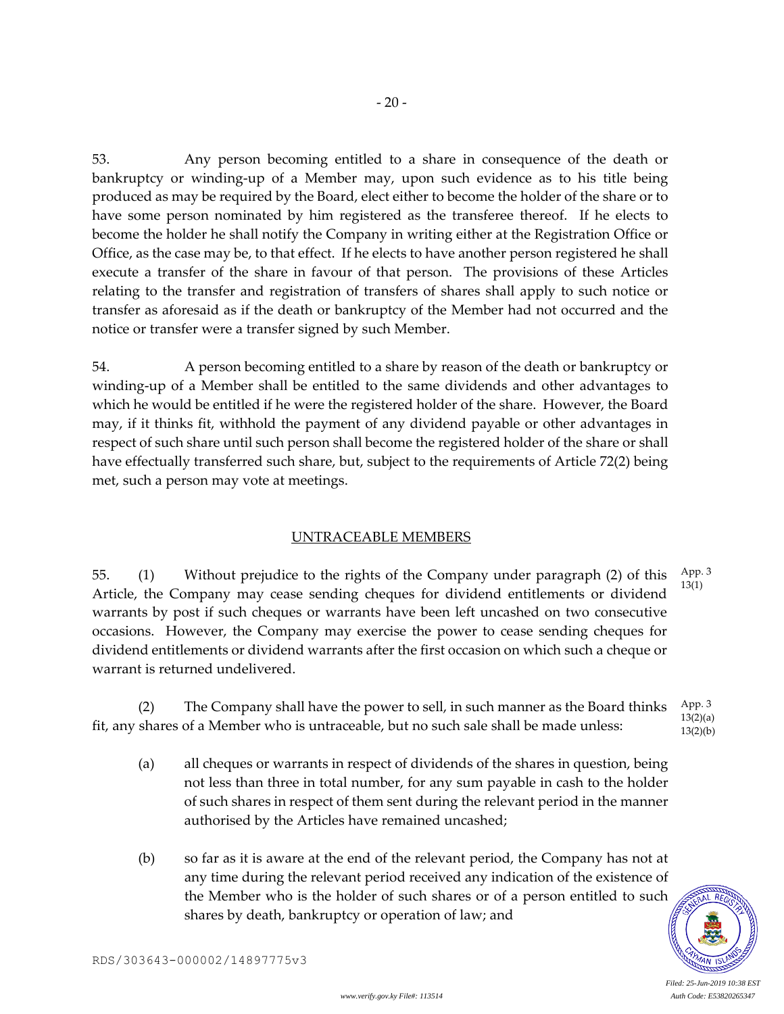53. Any person becoming entitled to a share in consequence of the death or bankruptcy or winding-up of a Member may, upon such evidence as to his title being produced as may be required by the Board, elect either to become the holder of the share or to have some person nominated by him registered as the transferee thereof. If he elects to become the holder he shall notify the Company in writing either at the Registration Office or Office, as the case may be, to that effect. If he elects to have another person registered he shall execute a transfer of the share in favour of that person. The provisions of these Articles relating to the transfer and registration of transfers of shares shall apply to such notice or transfer as aforesaid as if the death or bankruptcy of the Member had not occurred and the notice or transfer were a transfer signed by such Member.

54. A person becoming entitled to a share by reason of the death or bankruptcy or winding-up of a Member shall be entitled to the same dividends and other advantages to which he would be entitled if he were the registered holder of the share. However, the Board may, if it thinks fit, withhold the payment of any dividend payable or other advantages in respect of such share until such person shall become the registered holder of the share or shall have effectually transferred such share, but, subject to the requirements of Article 72(2) being met, such a person may vote at meetings.

### UNTRACEABLE MEMBERS

55. (1) Without prejudice to the rights of the Company under paragraph (2) of this Article, the Company may cease sending cheques for dividend entitlements or dividend warrants by post if such cheques or warrants have been left uncashed on two consecutive occasions. However, the Company may exercise the power to cease sending cheques for dividend entitlements or dividend warrants after the first occasion on which such a cheque or warrant is returned undelivered. App. 3 13(1)

(2) The Company shall have the power to sell, in such manner as the Board thinks fit, any shares of a Member who is untraceable, but no such sale shall be made unless: App. 3 13(2)(a)  $13(2)(b)$ 

- (a) all cheques or warrants in respect of dividends of the shares in question, being not less than three in total number, for any sum payable in cash to the holder of such shares in respect of them sent during the relevant period in the manner authorised by the Articles have remained uncashed;
- (b) so far as it is aware at the end of the relevant period, the Company has not at any time during the relevant period received any indication of the existence of the Member who is the holder of such shares or of a person entitled to such shares by death, bankruptcy or operation of law; and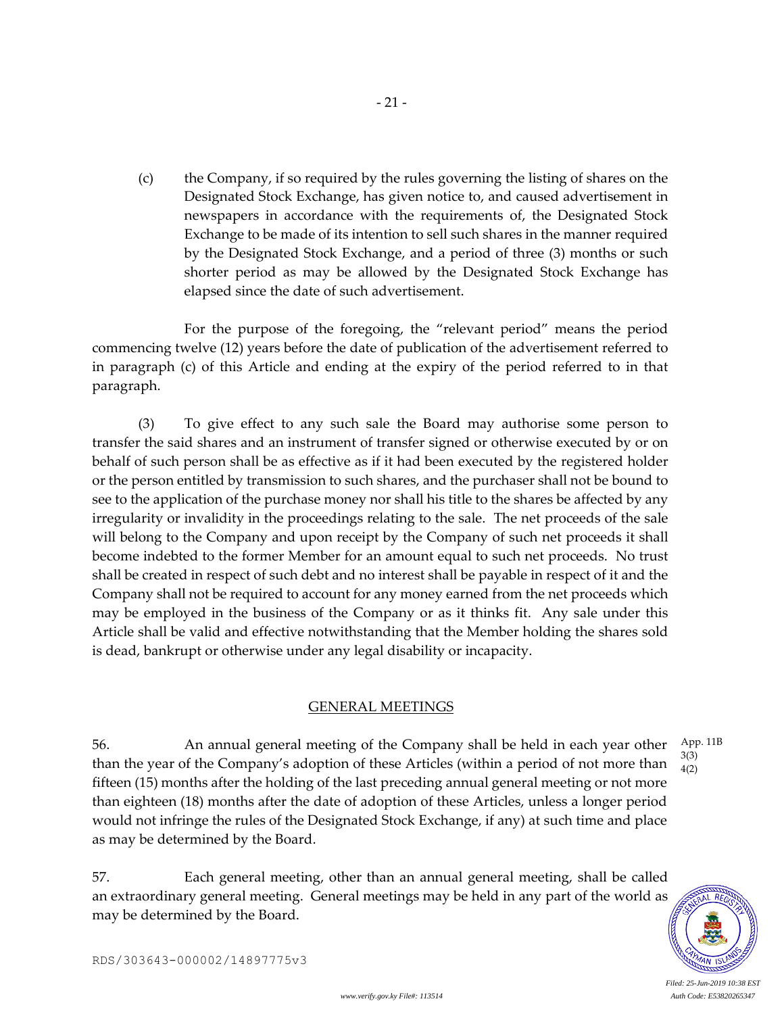(c) the Company, if so required by the rules governing the listing of shares on the Designated Stock Exchange, has given notice to, and caused advertisement in newspapers in accordance with the requirements of, the Designated Stock Exchange to be made of its intention to sell such shares in the manner required by the Designated Stock Exchange, and a period of three (3) months or such shorter period as may be allowed by the Designated Stock Exchange has elapsed since the date of such advertisement.

- 21 -

For the purpose of the foregoing, the "relevant period" means the period commencing twelve (12) years before the date of publication of the advertisement referred to in paragraph (c) of this Article and ending at the expiry of the period referred to in that paragraph.

(3) To give effect to any such sale the Board may authorise some person to transfer the said shares and an instrument of transfer signed or otherwise executed by or on behalf of such person shall be as effective as if it had been executed by the registered holder or the person entitled by transmission to such shares, and the purchaser shall not be bound to see to the application of the purchase money nor shall his title to the shares be affected by any irregularity or invalidity in the proceedings relating to the sale. The net proceeds of the sale will belong to the Company and upon receipt by the Company of such net proceeds it shall become indebted to the former Member for an amount equal to such net proceeds. No trust shall be created in respect of such debt and no interest shall be payable in respect of it and the Company shall not be required to account for any money earned from the net proceeds which may be employed in the business of the Company or as it thinks fit. Any sale under this Article shall be valid and effective notwithstanding that the Member holding the shares sold is dead, bankrupt or otherwise under any legal disability or incapacity.

### GENERAL MEETINGS

56. An annual general meeting of the Company shall be held in each year other than the year of the Company's adoption of these Articles (within a period of not more than fifteen (15) months after the holding of the last preceding annual general meeting or not more than eighteen (18) months after the date of adoption of these Articles, unless a longer period would not infringe the rules of the Designated Stock Exchange, if any) at such time and place as may be determined by the Board. App. 11B 3(3) 4(2)

57. Each general meeting, other than an annual general meeting, shall be called an extraordinary general meeting. General meetings may be held in any part of the world as may be determined by the Board.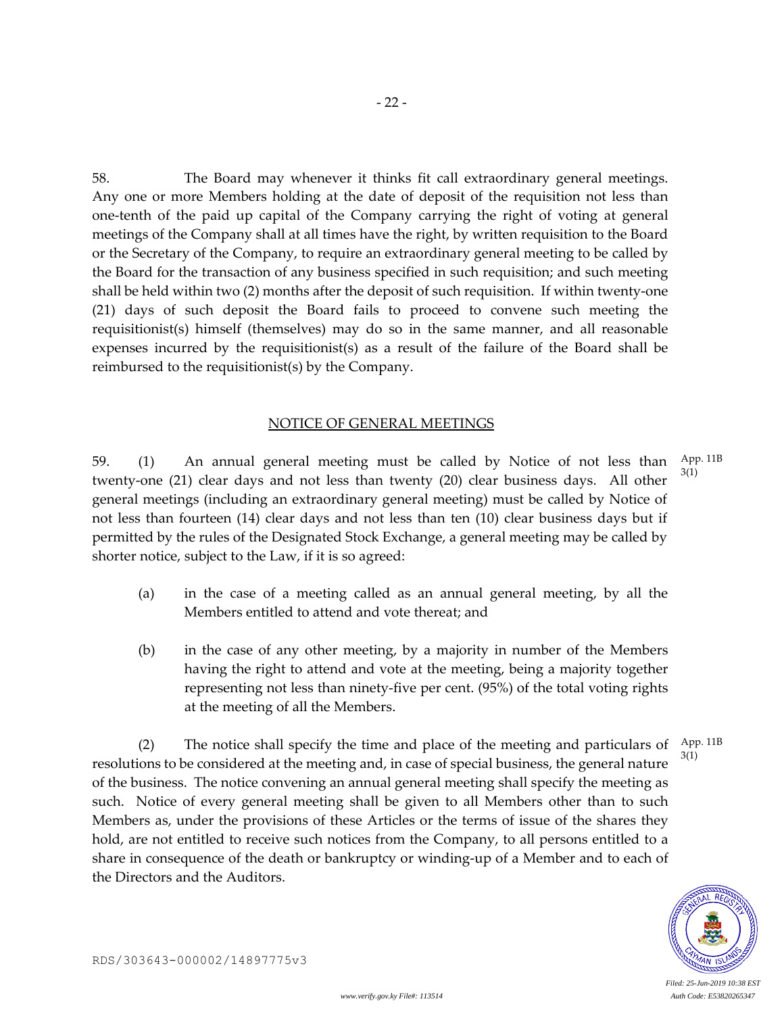58. The Board may whenever it thinks fit call extraordinary general meetings. Any one or more Members holding at the date of deposit of the requisition not less than one-tenth of the paid up capital of the Company carrying the right of voting at general meetings of the Company shall at all times have the right, by written requisition to the Board or the Secretary of the Company, to require an extraordinary general meeting to be called by the Board for the transaction of any business specified in such requisition; and such meeting shall be held within two (2) months after the deposit of such requisition. If within twenty-one (21) days of such deposit the Board fails to proceed to convene such meeting the requisitionist(s) himself (themselves) may do so in the same manner, and all reasonable expenses incurred by the requisitionist(s) as a result of the failure of the Board shall be reimbursed to the requisitionist(s) by the Company.

#### NOTICE OF GENERAL MEETINGS

59. (1) An annual general meeting must be called by Notice of not less than twenty-one (21) clear days and not less than twenty (20) clear business days. All other general meetings (including an extraordinary general meeting) must be called by Notice of not less than fourteen (14) clear days and not less than ten (10) clear business days but if permitted by the rules of the Designated Stock Exchange, a general meeting may be called by shorter notice, subject to the Law, if it is so agreed: App. 11B 3(1)

- (a) in the case of a meeting called as an annual general meeting, by all the Members entitled to attend and vote thereat; and
- (b) in the case of any other meeting, by a majority in number of the Members having the right to attend and vote at the meeting, being a majority together representing not less than ninety-five per cent. (95%) of the total voting rights at the meeting of all the Members.

(2) The notice shall specify the time and place of the meeting and particulars of resolutions to be considered at the meeting and, in case of special business, the general nature of the business. The notice convening an annual general meeting shall specify the meeting as such. Notice of every general meeting shall be given to all Members other than to such Members as, under the provisions of these Articles or the terms of issue of the shares they hold, are not entitled to receive such notices from the Company, to all persons entitled to a share in consequence of the death or bankruptcy or winding-up of a Member and to each of the Directors and the Auditors. App. 11B 3(1)

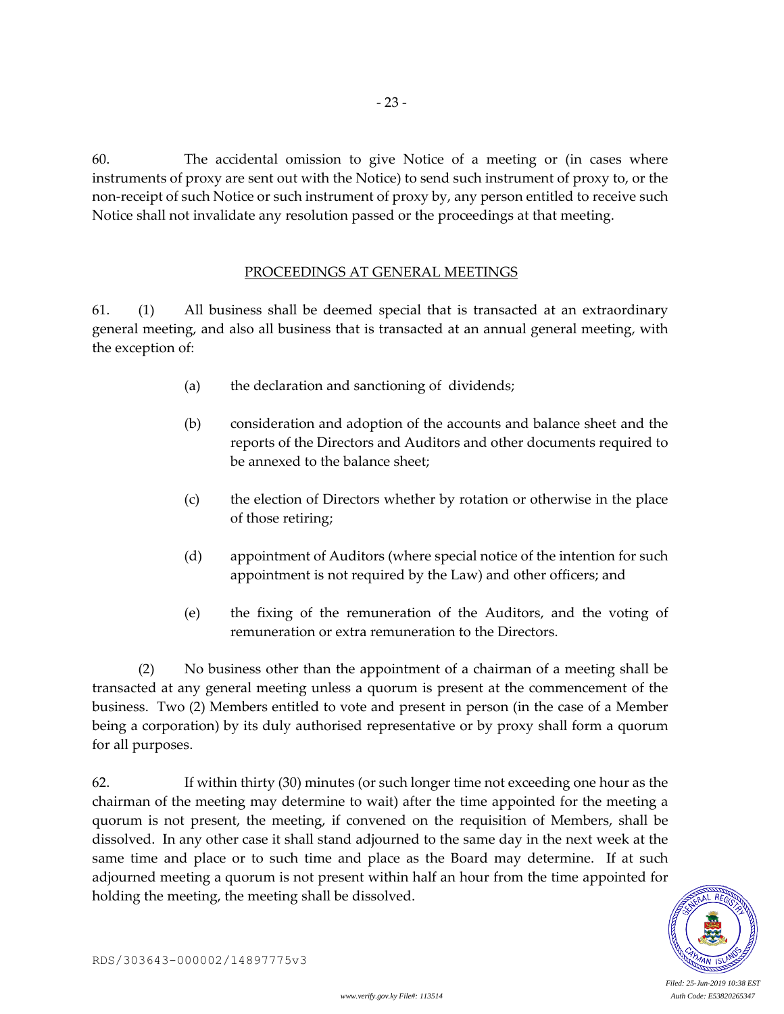60. The accidental omission to give Notice of a meeting or (in cases where instruments of proxy are sent out with the Notice) to send such instrument of proxy to, or the non-receipt of such Notice or such instrument of proxy by, any person entitled to receive such Notice shall not invalidate any resolution passed or the proceedings at that meeting.

- 23 -

### PROCEEDINGS AT GENERAL MEETINGS

61. (1) All business shall be deemed special that is transacted at an extraordinary general meeting, and also all business that is transacted at an annual general meeting, with the exception of:

- (a) the declaration and sanctioning of dividends;
- (b) consideration and adoption of the accounts and balance sheet and the reports of the Directors and Auditors and other documents required to be annexed to the balance sheet;
- (c) the election of Directors whether by rotation or otherwise in the place of those retiring;
- (d) appointment of Auditors (where special notice of the intention for such appointment is not required by the Law) and other officers; and
- (e) the fixing of the remuneration of the Auditors, and the voting of remuneration or extra remuneration to the Directors.

(2) No business other than the appointment of a chairman of a meeting shall be transacted at any general meeting unless a quorum is present at the commencement of the business. Two (2) Members entitled to vote and present in person (in the case of a Member being a corporation) by its duly authorised representative or by proxy shall form a quorum for all purposes.

62. If within thirty (30) minutes (or such longer time not exceeding one hour as the chairman of the meeting may determine to wait) after the time appointed for the meeting a quorum is not present, the meeting, if convened on the requisition of Members, shall be dissolved. In any other case it shall stand adjourned to the same day in the next week at the same time and place or to such time and place as the Board may determine. If at such adjourned meeting a quorum is not present within half an hour from the time appointed for holding the meeting, the meeting shall be dissolved.

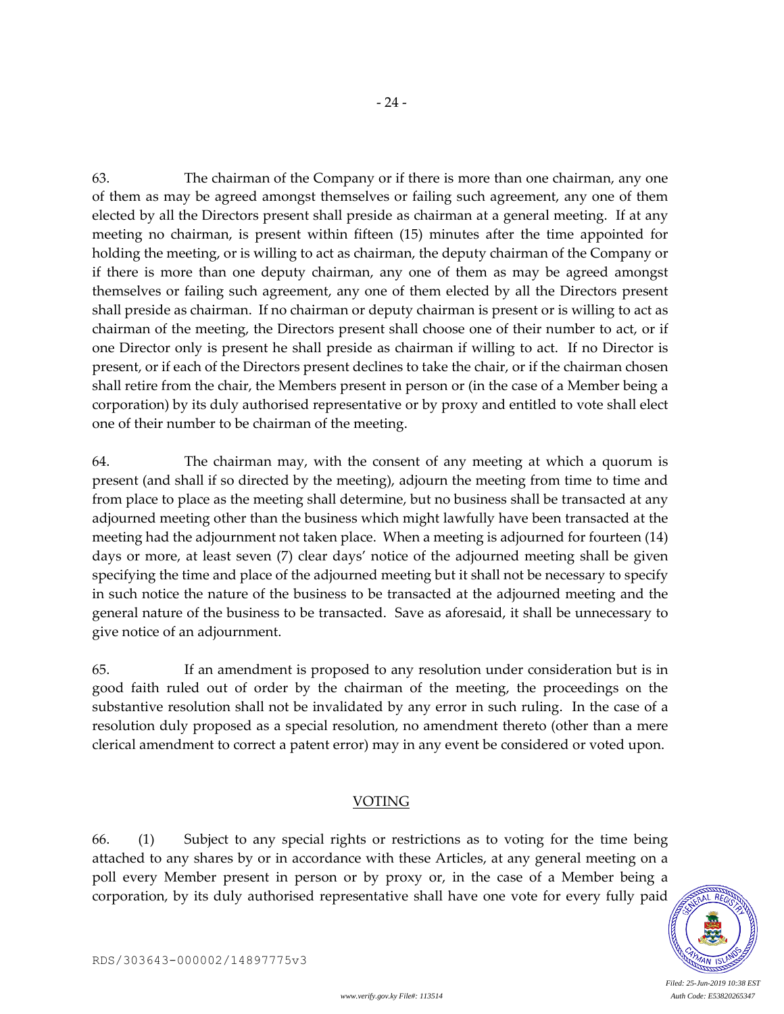63. The chairman of the Company or if there is more than one chairman, any one of them as may be agreed amongst themselves or failing such agreement, any one of them elected by all the Directors present shall preside as chairman at a general meeting. If at any meeting no chairman, is present within fifteen (15) minutes after the time appointed for holding the meeting, or is willing to act as chairman, the deputy chairman of the Company or if there is more than one deputy chairman, any one of them as may be agreed amongst themselves or failing such agreement, any one of them elected by all the Directors present shall preside as chairman. If no chairman or deputy chairman is present or is willing to act as chairman of the meeting, the Directors present shall choose one of their number to act, or if one Director only is present he shall preside as chairman if willing to act. If no Director is present, or if each of the Directors present declines to take the chair, or if the chairman chosen shall retire from the chair, the Members present in person or (in the case of a Member being a corporation) by its duly authorised representative or by proxy and entitled to vote shall elect one of their number to be chairman of the meeting.

64. The chairman may, with the consent of any meeting at which a quorum is present (and shall if so directed by the meeting), adjourn the meeting from time to time and from place to place as the meeting shall determine, but no business shall be transacted at any adjourned meeting other than the business which might lawfully have been transacted at the meeting had the adjournment not taken place. When a meeting is adjourned for fourteen (14) days or more, at least seven (7) clear days' notice of the adjourned meeting shall be given specifying the time and place of the adjourned meeting but it shall not be necessary to specify in such notice the nature of the business to be transacted at the adjourned meeting and the general nature of the business to be transacted. Save as aforesaid, it shall be unnecessary to give notice of an adjournment.

65. If an amendment is proposed to any resolution under consideration but is in good faith ruled out of order by the chairman of the meeting, the proceedings on the substantive resolution shall not be invalidated by any error in such ruling. In the case of a resolution duly proposed as a special resolution, no amendment thereto (other than a mere clerical amendment to correct a patent error) may in any event be considered or voted upon.

#### VOTING

66. (1) Subject to any special rights or restrictions as to voting for the time being attached to any shares by or in accordance with these Articles, at any general meeting on a poll every Member present in person or by proxy or, in the case of a Member being a corporation, by its duly authorised representative shall have one vote for every fully paid

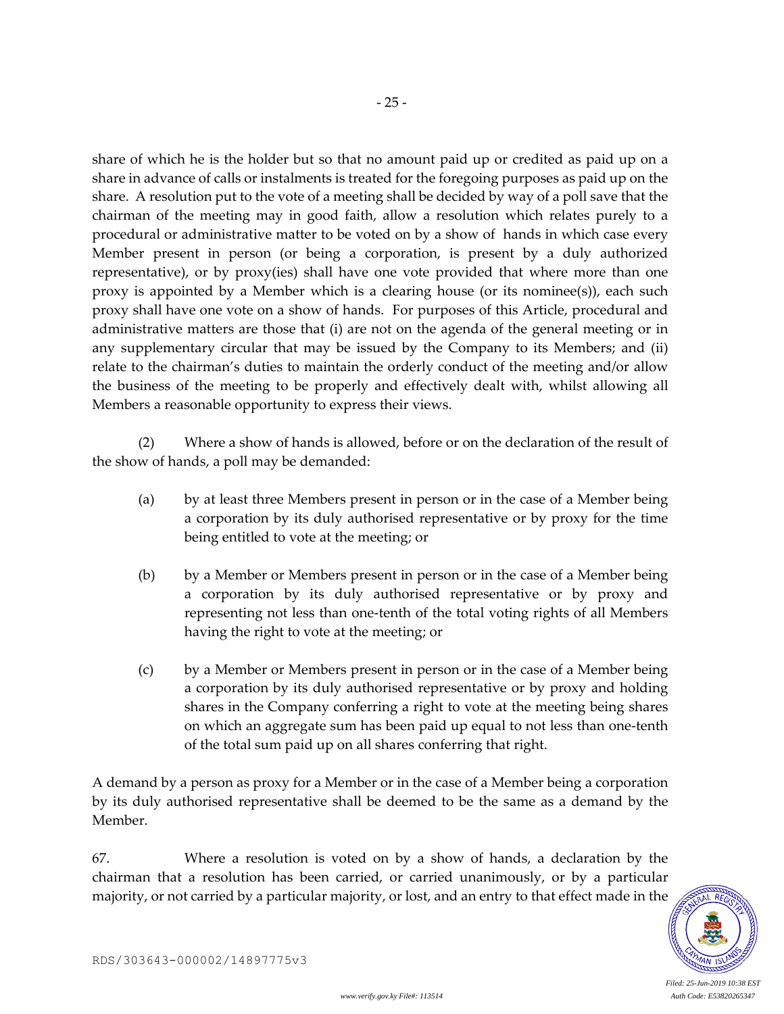share of which he is the holder but so that no amount paid up or credited as paid up on a share in advance of calls or instalments is treated for the foregoing purposes as paid up on the share. A resolution put to the vote of a meeting shall be decided by way of a poll save that the chairman of the meeting may in good faith, allow a resolution which relates purely to a procedural or administrative matter to be voted on by a show of hands in which case every Member present in person (or being a corporation, is present by a duly authorized representative), or by proxy(ies) shall have one vote provided that where more than one proxy is appointed by a Member which is a clearing house (or its nominee(s)), each such proxy shall have one vote on a show of hands. For purposes of this Article, procedural and administrative matters are those that (i) are not on the agenda of the general meeting or in any supplementary circular that may be issued by the Company to its Members; and (ii) relate to the chairman's duties to maintain the orderly conduct of the meeting and/or allow the business of the meeting to be properly and effectively dealt with, whilst allowing all Members a reasonable opportunity to express their views.

- 25 -

(2) Where a show of hands is allowed, before or on the declaration of the result of the show of hands, a poll may be demanded:

- (a) by at least three Members present in person or in the case of a Member being a corporation by its duly authorised representative or by proxy for the time being entitled to vote at the meeting; or
- (b) by a Member or Members present in person or in the case of a Member being a corporation by its duly authorised representative or by proxy and representing not less than one-tenth of the total voting rights of all Members having the right to vote at the meeting; or
- (c) by a Member or Members present in person or in the case of a Member being a corporation by its duly authorised representative or by proxy and holding shares in the Company conferring a right to vote at the meeting being shares on which an aggregate sum has been paid up equal to not less than one-tenth of the total sum paid up on all shares conferring that right.

A demand by a person as proxy for a Member or in the case of a Member being a corporation by its duly authorised representative shall be deemed to be the same as a demand by the Member.

67. Where a resolution is voted on by a show of hands, a declaration by the chairman that a resolution has been carried, or carried unanimously, or by a particular majority, or not carried by a particular majority, or lost, and an entry to that effect made in the

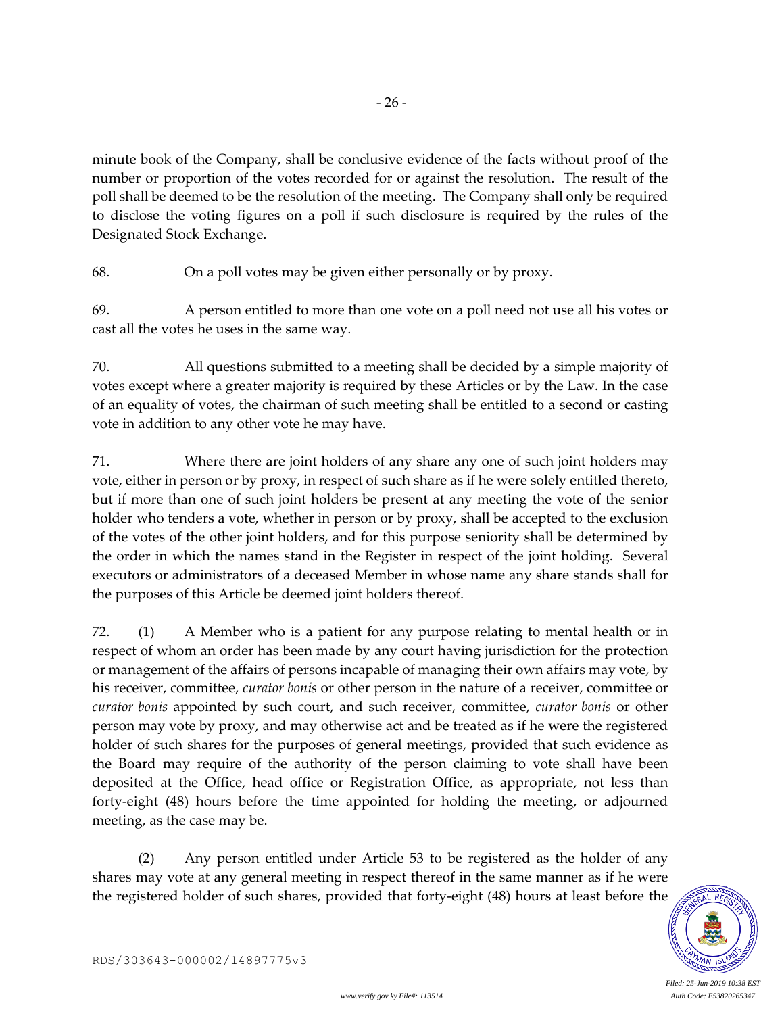minute book of the Company, shall be conclusive evidence of the facts without proof of the number or proportion of the votes recorded for or against the resolution. The result of the poll shall be deemed to be the resolution of the meeting. The Company shall only be required to disclose the voting figures on a poll if such disclosure is required by the rules of the Designated Stock Exchange.

- 26 -

68. On a poll votes may be given either personally or by proxy.

69. A person entitled to more than one vote on a poll need not use all his votes or cast all the votes he uses in the same way.

70. All questions submitted to a meeting shall be decided by a simple majority of votes except where a greater majority is required by these Articles or by the Law. In the case of an equality of votes, the chairman of such meeting shall be entitled to a second or casting vote in addition to any other vote he may have.

71. Where there are joint holders of any share any one of such joint holders may vote, either in person or by proxy, in respect of such share as if he were solely entitled thereto, but if more than one of such joint holders be present at any meeting the vote of the senior holder who tenders a vote, whether in person or by proxy, shall be accepted to the exclusion of the votes of the other joint holders, and for this purpose seniority shall be determined by the order in which the names stand in the Register in respect of the joint holding. Several executors or administrators of a deceased Member in whose name any share stands shall for the purposes of this Article be deemed joint holders thereof.

72. (1) A Member who is a patient for any purpose relating to mental health or in respect of whom an order has been made by any court having jurisdiction for the protection or management of the affairs of persons incapable of managing their own affairs may vote, by his receiver, committee, *curator bonis* or other person in the nature of a receiver, committee or *curator bonis* appointed by such court, and such receiver, committee, *curator bonis* or other person may vote by proxy, and may otherwise act and be treated as if he were the registered holder of such shares for the purposes of general meetings, provided that such evidence as the Board may require of the authority of the person claiming to vote shall have been deposited at the Office, head office or Registration Office, as appropriate, not less than forty-eight (48) hours before the time appointed for holding the meeting, or adjourned meeting, as the case may be.

(2) Any person entitled under Article 53 to be registered as the holder of any shares may vote at any general meeting in respect thereof in the same manner as if he were the registered holder of such shares, provided that forty-eight (48) hours at least before the

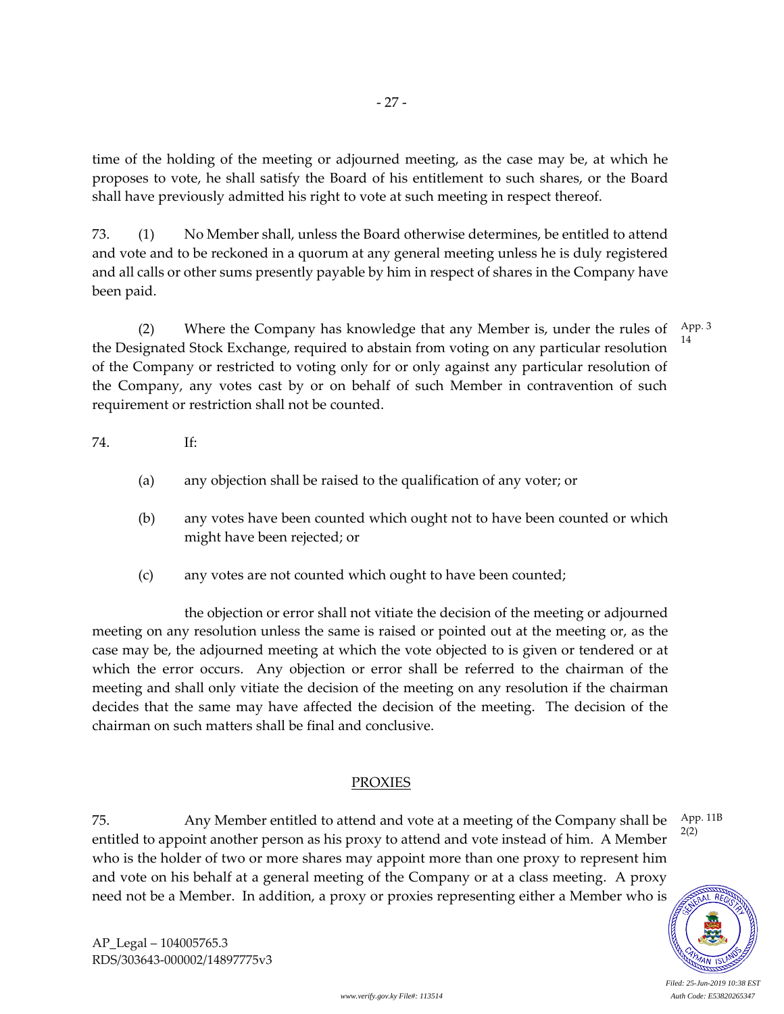time of the holding of the meeting or adjourned meeting, as the case may be, at which he proposes to vote, he shall satisfy the Board of his entitlement to such shares, or the Board shall have previously admitted his right to vote at such meeting in respect thereof.

73. (1) No Member shall, unless the Board otherwise determines, be entitled to attend and vote and to be reckoned in a quorum at any general meeting unless he is duly registered and all calls or other sums presently payable by him in respect of shares in the Company have been paid.

(2) Where the Company has knowledge that any Member is, under the rules of the Designated Stock Exchange, required to abstain from voting on any particular resolution of the Company or restricted to voting only for or only against any particular resolution of the Company, any votes cast by or on behalf of such Member in contravention of such requirement or restriction shall not be counted. App. 3 14

# 74. If:

- (a) any objection shall be raised to the qualification of any voter; or
- (b) any votes have been counted which ought not to have been counted or which might have been rejected; or
- (c) any votes are not counted which ought to have been counted;

the objection or error shall not vitiate the decision of the meeting or adjourned meeting on any resolution unless the same is raised or pointed out at the meeting or, as the case may be, the adjourned meeting at which the vote objected to is given or tendered or at which the error occurs. Any objection or error shall be referred to the chairman of the meeting and shall only vitiate the decision of the meeting on any resolution if the chairman decides that the same may have affected the decision of the meeting. The decision of the chairman on such matters shall be final and conclusive.

## PROXIES

75. Any Member entitled to attend and vote at a meeting of the Company shall be entitled to appoint another person as his proxy to attend and vote instead of him. A Member who is the holder of two or more shares may appoint more than one proxy to represent him and vote on his behalf at a general meeting of the Company or at a class meeting. A proxy need not be a Member. In addition, a proxy or proxies representing either a Member who is



AP\_Legal – 104005765.3 RDS/303643-000002/14897775v3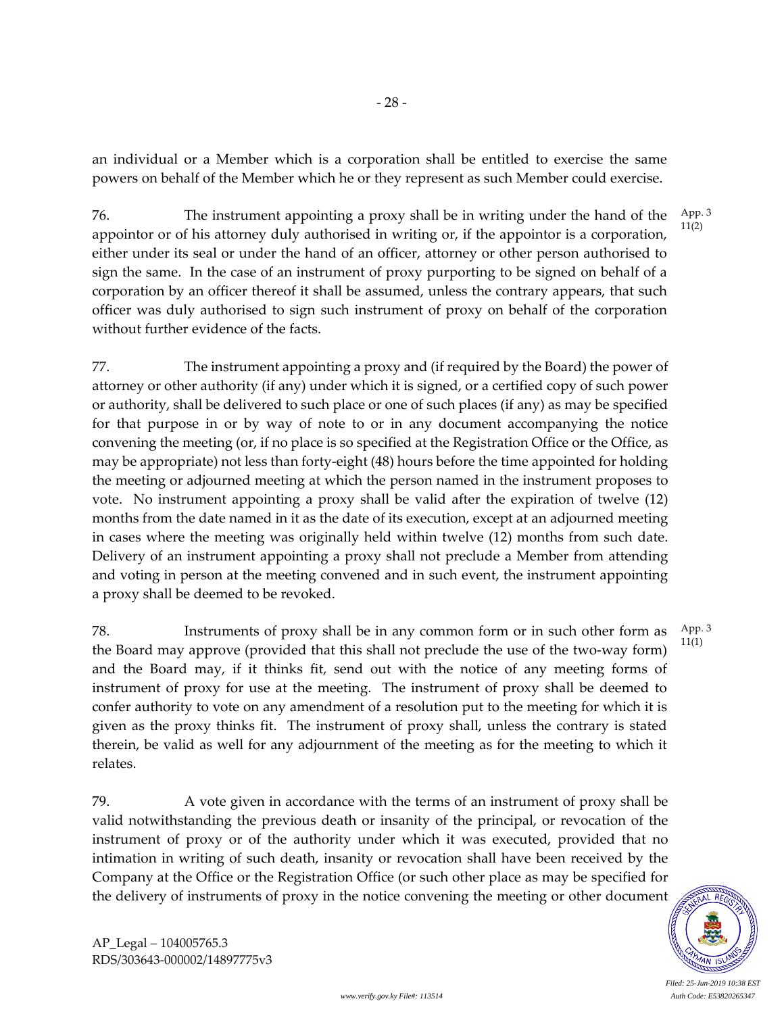an individual or a Member which is a corporation shall be entitled to exercise the same powers on behalf of the Member which he or they represent as such Member could exercise.

76. The instrument appointing a proxy shall be in writing under the hand of the appointor or of his attorney duly authorised in writing or, if the appointor is a corporation, either under its seal or under the hand of an officer, attorney or other person authorised to sign the same. In the case of an instrument of proxy purporting to be signed on behalf of a corporation by an officer thereof it shall be assumed, unless the contrary appears, that such officer was duly authorised to sign such instrument of proxy on behalf of the corporation without further evidence of the facts. App. 3 11(2)

77. The instrument appointing a proxy and (if required by the Board) the power of attorney or other authority (if any) under which it is signed, or a certified copy of such power or authority, shall be delivered to such place or one of such places (if any) as may be specified for that purpose in or by way of note to or in any document accompanying the notice convening the meeting (or, if no place is so specified at the Registration Office or the Office, as may be appropriate) not less than forty-eight (48) hours before the time appointed for holding the meeting or adjourned meeting at which the person named in the instrument proposes to vote. No instrument appointing a proxy shall be valid after the expiration of twelve (12) months from the date named in it as the date of its execution, except at an adjourned meeting in cases where the meeting was originally held within twelve (12) months from such date. Delivery of an instrument appointing a proxy shall not preclude a Member from attending and voting in person at the meeting convened and in such event, the instrument appointing a proxy shall be deemed to be revoked.

78. Instruments of proxy shall be in any common form or in such other form as the Board may approve (provided that this shall not preclude the use of the two-way form) and the Board may, if it thinks fit, send out with the notice of any meeting forms of instrument of proxy for use at the meeting. The instrument of proxy shall be deemed to confer authority to vote on any amendment of a resolution put to the meeting for which it is given as the proxy thinks fit. The instrument of proxy shall, unless the contrary is stated therein, be valid as well for any adjournment of the meeting as for the meeting to which it relates.

79. A vote given in accordance with the terms of an instrument of proxy shall be valid notwithstanding the previous death or insanity of the principal, or revocation of the instrument of proxy or of the authority under which it was executed, provided that no intimation in writing of such death, insanity or revocation shall have been received by the Company at the Office or the Registration Office (or such other place as may be specified for the delivery of instruments of proxy in the notice convening the meeting or other document

*Filed: 25-Jun-2019 10:38 EST www.verify.gov.ky File#: 113514 Auth Code: E53820265347*

App. 3 11(1)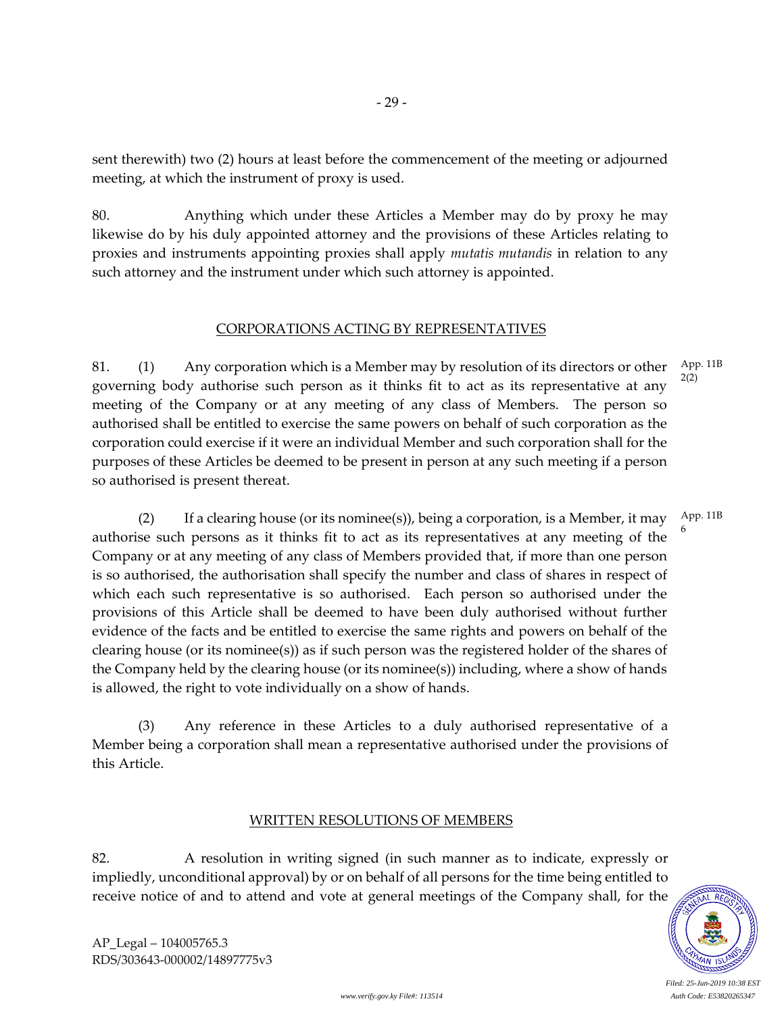sent therewith) two (2) hours at least before the commencement of the meeting or adjourned meeting, at which the instrument of proxy is used.

- 29 -

80. Anything which under these Articles a Member may do by proxy he may likewise do by his duly appointed attorney and the provisions of these Articles relating to proxies and instruments appointing proxies shall apply *mutatis mutandis* in relation to any such attorney and the instrument under which such attorney is appointed.

### CORPORATIONS ACTING BY REPRESENTATIVES

81. (1) Any corporation which is a Member may by resolution of its directors or other governing body authorise such person as it thinks fit to act as its representative at any meeting of the Company or at any meeting of any class of Members. The person so authorised shall be entitled to exercise the same powers on behalf of such corporation as the corporation could exercise if it were an individual Member and such corporation shall for the purposes of these Articles be deemed to be present in person at any such meeting if a person so authorised is present thereat. App. 11B 2(2)

(2) If a clearing house (or its nominee(s)), being a corporation, is a Member, it may authorise such persons as it thinks fit to act as its representatives at any meeting of the Company or at any meeting of any class of Members provided that, if more than one person is so authorised, the authorisation shall specify the number and class of shares in respect of which each such representative is so authorised. Each person so authorised under the provisions of this Article shall be deemed to have been duly authorised without further evidence of the facts and be entitled to exercise the same rights and powers on behalf of the clearing house (or its nominee(s)) as if such person was the registered holder of the shares of the Company held by the clearing house (or its nominee(s)) including, where a show of hands is allowed, the right to vote individually on a show of hands. App. 11B 6

(3) Any reference in these Articles to a duly authorised representative of a Member being a corporation shall mean a representative authorised under the provisions of this Article.

#### WRITTEN RESOLUTIONS OF MEMBERS

82. A resolution in writing signed (in such manner as to indicate, expressly or impliedly, unconditional approval) by or on behalf of all persons for the time being entitled to receive notice of and to attend and vote at general meetings of the Company shall, for the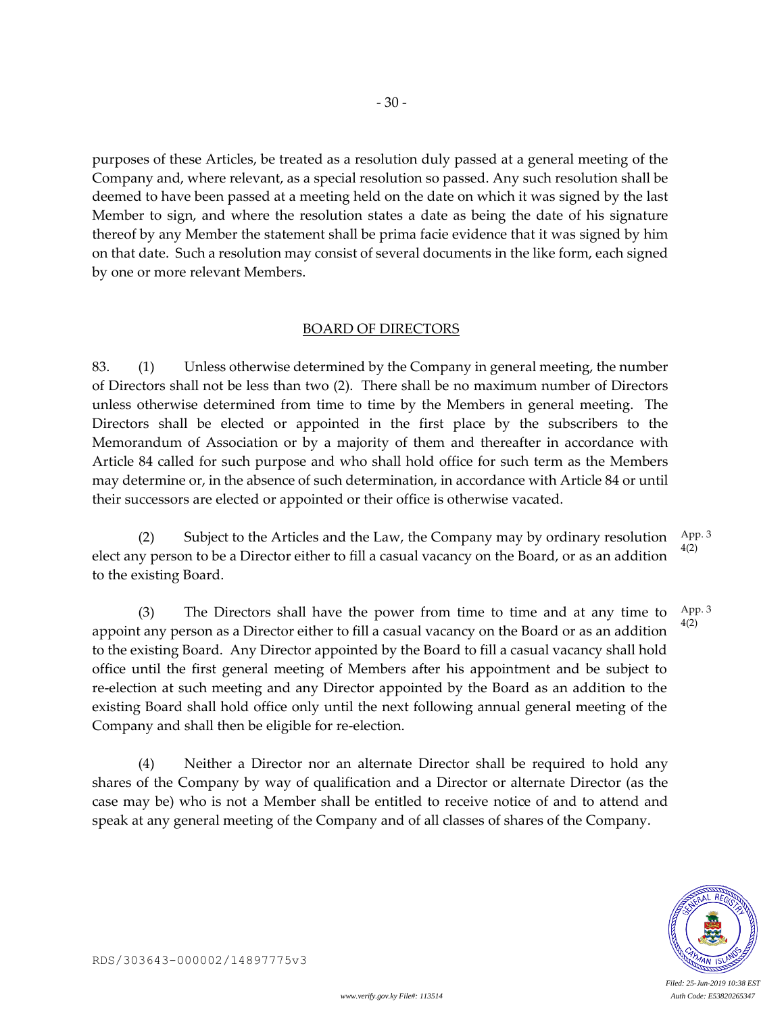purposes of these Articles, be treated as a resolution duly passed at a general meeting of the Company and, where relevant, as a special resolution so passed. Any such resolution shall be deemed to have been passed at a meeting held on the date on which it was signed by the last Member to sign, and where the resolution states a date as being the date of his signature thereof by any Member the statement shall be prima facie evidence that it was signed by him on that date. Such a resolution may consist of several documents in the like form, each signed by one or more relevant Members.

- 30 -

#### BOARD OF DIRECTORS

83. (1) Unless otherwise determined by the Company in general meeting, the number of Directors shall not be less than two (2). There shall be no maximum number of Directors unless otherwise determined from time to time by the Members in general meeting. The Directors shall be elected or appointed in the first place by the subscribers to the Memorandum of Association or by a majority of them and thereafter in accordance with Article 84 called for such purpose and who shall hold office for such term as the Members may determine or, in the absence of such determination, in accordance with Article 84 or until their successors are elected or appointed or their office is otherwise vacated.

(2) Subject to the Articles and the Law, the Company may by ordinary resolution elect any person to be a Director either to fill a casual vacancy on the Board, or as an addition to the existing Board. App. 3 4(2)

(3) The Directors shall have the power from time to time and at any time to appoint any person as a Director either to fill a casual vacancy on the Board or as an addition to the existing Board. Any Director appointed by the Board to fill a casual vacancy shall hold office until the first general meeting of Members after his appointment and be subject to re-election at such meeting and any Director appointed by the Board as an addition to the existing Board shall hold office only until the next following annual general meeting of the Company and shall then be eligible for re-election. App. 3 4(2)

(4) Neither a Director nor an alternate Director shall be required to hold any shares of the Company by way of qualification and a Director or alternate Director (as the case may be) who is not a Member shall be entitled to receive notice of and to attend and speak at any general meeting of the Company and of all classes of shares of the Company.

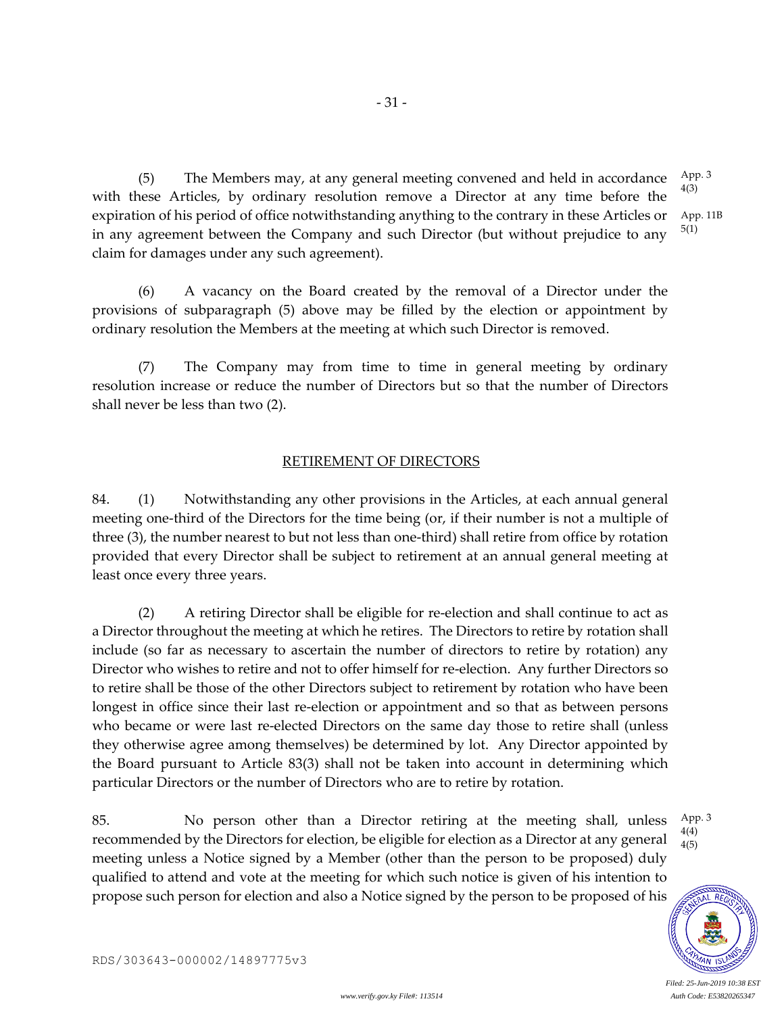with these Articles, by ordinary resolution remove a Director at any time before the expiration of his period of office notwithstanding anything to the contrary in these Articles or in any agreement between the Company and such Director (but without prejudice to any claim for damages under any such agreement). App. 11B 5(1)

- 31 -

(6) A vacancy on the Board created by the removal of a Director under the provisions of subparagraph (5) above may be filled by the election or appointment by ordinary resolution the Members at the meeting at which such Director is removed.

(7) The Company may from time to time in general meeting by ordinary resolution increase or reduce the number of Directors but so that the number of Directors shall never be less than two (2).

# RETIREMENT OF DIRECTORS

84. (1) Notwithstanding any other provisions in the Articles, at each annual general meeting one-third of the Directors for the time being (or, if their number is not a multiple of three (3), the number nearest to but not less than one-third) shall retire from office by rotation provided that every Director shall be subject to retirement at an annual general meeting at least once every three years.

(2) A retiring Director shall be eligible for re-election and shall continue to act as a Director throughout the meeting at which he retires. The Directors to retire by rotation shall include (so far as necessary to ascertain the number of directors to retire by rotation) any Director who wishes to retire and not to offer himself for re-election. Any further Directors so to retire shall be those of the other Directors subject to retirement by rotation who have been longest in office since their last re-election or appointment and so that as between persons who became or were last re-elected Directors on the same day those to retire shall (unless they otherwise agree among themselves) be determined by lot. Any Director appointed by the Board pursuant to Article 83(3) shall not be taken into account in determining which particular Directors or the number of Directors who are to retire by rotation.

85. No person other than a Director retiring at the meeting shall, unless recommended by the Directors for election, be eligible for election as a Director at any general meeting unless a Notice signed by a Member (other than the person to be proposed) duly qualified to attend and vote at the meeting for which such notice is given of his intention to propose such person for election and also a Notice signed by the person to be proposed of his

 $AL$   $RE$ 

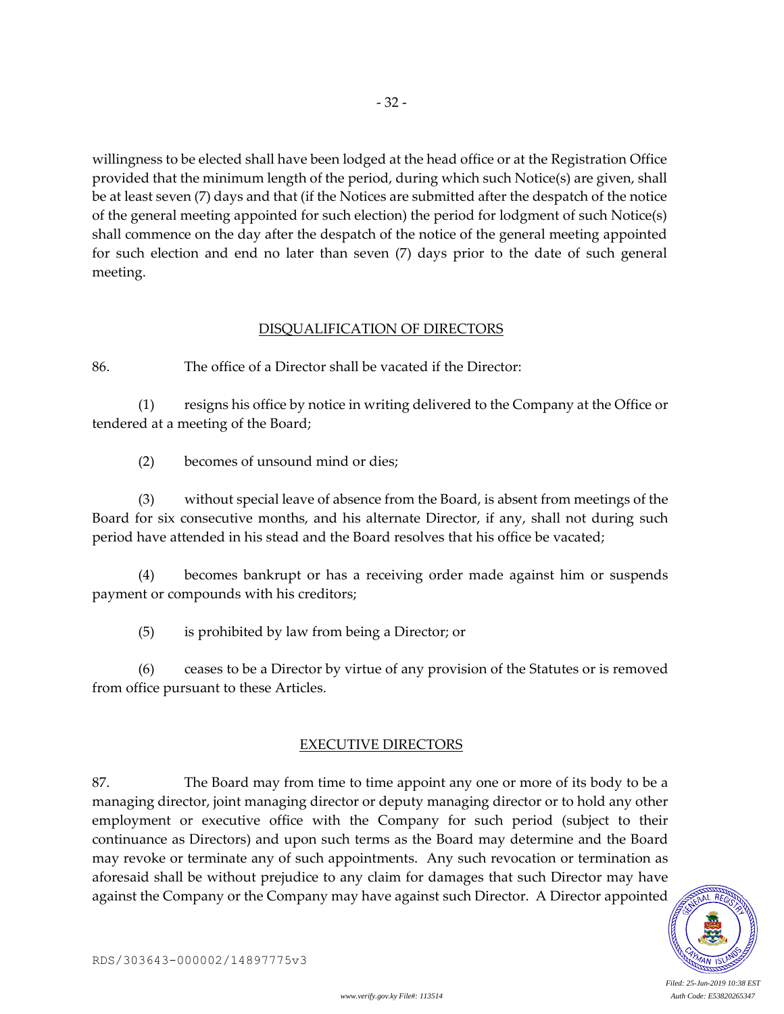willingness to be elected shall have been lodged at the head office or at the Registration Office provided that the minimum length of the period, during which such Notice(s) are given, shall be at least seven (7) days and that (if the Notices are submitted after the despatch of the notice of the general meeting appointed for such election) the period for lodgment of such Notice(s) shall commence on the day after the despatch of the notice of the general meeting appointed for such election and end no later than seven (7) days prior to the date of such general meeting.

### DISQUALIFICATION OF DIRECTORS

86. The office of a Director shall be vacated if the Director:

(1) resigns his office by notice in writing delivered to the Company at the Office or tendered at a meeting of the Board;

(2) becomes of unsound mind or dies;

(3) without special leave of absence from the Board, is absent from meetings of the Board for six consecutive months, and his alternate Director, if any, shall not during such period have attended in his stead and the Board resolves that his office be vacated;

(4) becomes bankrupt or has a receiving order made against him or suspends payment or compounds with his creditors;

(5) is prohibited by law from being a Director; or

(6) ceases to be a Director by virtue of any provision of the Statutes or is removed from office pursuant to these Articles.

#### EXECUTIVE DIRECTORS

87. The Board may from time to time appoint any one or more of its body to be a managing director, joint managing director or deputy managing director or to hold any other employment or executive office with the Company for such period (subject to their continuance as Directors) and upon such terms as the Board may determine and the Board may revoke or terminate any of such appointments. Any such revocation or termination as aforesaid shall be without prejudice to any claim for damages that such Director may have against the Company or the Company may have against such Director. A Director appointed

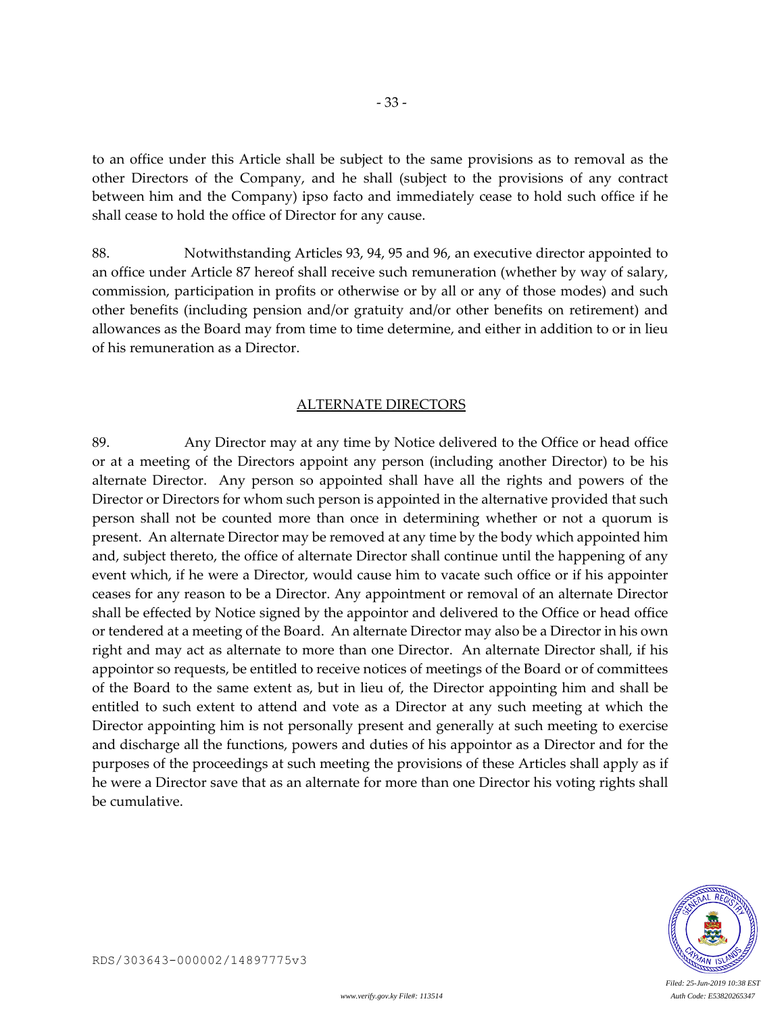to an office under this Article shall be subject to the same provisions as to removal as the other Directors of the Company, and he shall (subject to the provisions of any contract between him and the Company) ipso facto and immediately cease to hold such office if he shall cease to hold the office of Director for any cause.

88. Notwithstanding Articles 93, 94, 95 and 96, an executive director appointed to an office under Article 87 hereof shall receive such remuneration (whether by way of salary, commission, participation in profits or otherwise or by all or any of those modes) and such other benefits (including pension and/or gratuity and/or other benefits on retirement) and allowances as the Board may from time to time determine, and either in addition to or in lieu of his remuneration as a Director.

### ALTERNATE DIRECTORS

89. Any Director may at any time by Notice delivered to the Office or head office or at a meeting of the Directors appoint any person (including another Director) to be his alternate Director. Any person so appointed shall have all the rights and powers of the Director or Directors for whom such person is appointed in the alternative provided that such person shall not be counted more than once in determining whether or not a quorum is present. An alternate Director may be removed at any time by the body which appointed him and, subject thereto, the office of alternate Director shall continue until the happening of any event which, if he were a Director, would cause him to vacate such office or if his appointer ceases for any reason to be a Director. Any appointment or removal of an alternate Director shall be effected by Notice signed by the appointor and delivered to the Office or head office or tendered at a meeting of the Board. An alternate Director may also be a Director in his own right and may act as alternate to more than one Director. An alternate Director shall, if his appointor so requests, be entitled to receive notices of meetings of the Board or of committees of the Board to the same extent as, but in lieu of, the Director appointing him and shall be entitled to such extent to attend and vote as a Director at any such meeting at which the Director appointing him is not personally present and generally at such meeting to exercise and discharge all the functions, powers and duties of his appointor as a Director and for the purposes of the proceedings at such meeting the provisions of these Articles shall apply as if he were a Director save that as an alternate for more than one Director his voting rights shall be cumulative.

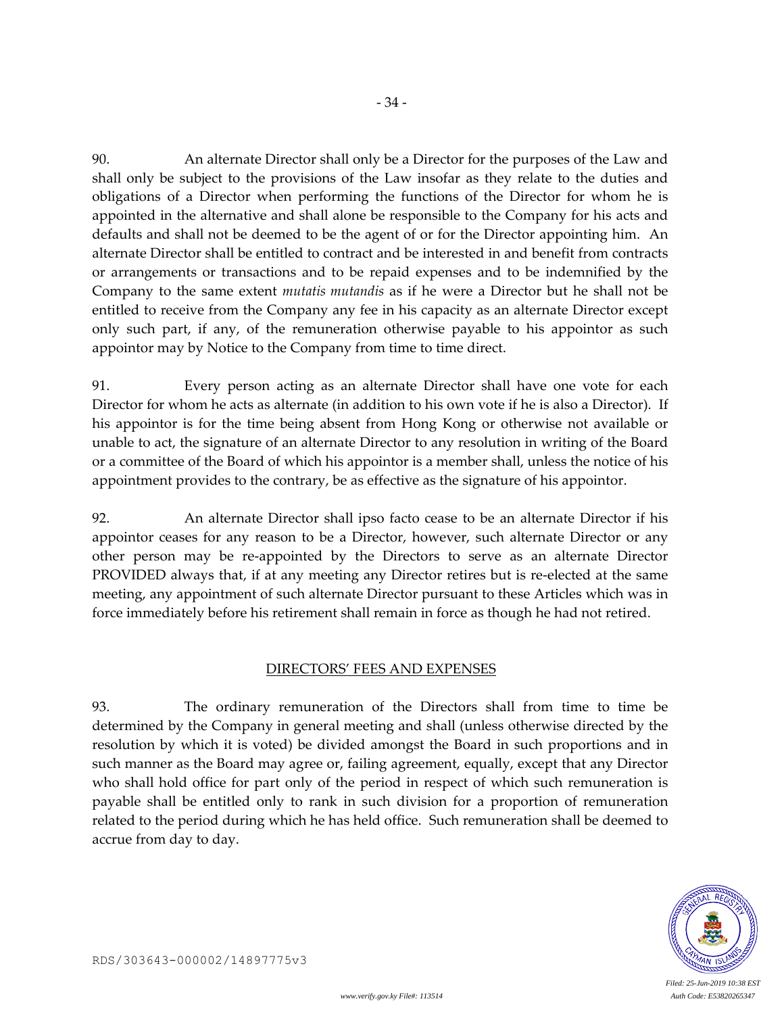90. An alternate Director shall only be a Director for the purposes of the Law and shall only be subject to the provisions of the Law insofar as they relate to the duties and obligations of a Director when performing the functions of the Director for whom he is appointed in the alternative and shall alone be responsible to the Company for his acts and defaults and shall not be deemed to be the agent of or for the Director appointing him. An alternate Director shall be entitled to contract and be interested in and benefit from contracts or arrangements or transactions and to be repaid expenses and to be indemnified by the Company to the same extent *mutatis mutandis* as if he were a Director but he shall not be entitled to receive from the Company any fee in his capacity as an alternate Director except only such part, if any, of the remuneration otherwise payable to his appointor as such appointor may by Notice to the Company from time to time direct.

91. Every person acting as an alternate Director shall have one vote for each Director for whom he acts as alternate (in addition to his own vote if he is also a Director). If his appointor is for the time being absent from Hong Kong or otherwise not available or unable to act, the signature of an alternate Director to any resolution in writing of the Board or a committee of the Board of which his appointor is a member shall, unless the notice of his appointment provides to the contrary, be as effective as the signature of his appointor.

92. An alternate Director shall ipso facto cease to be an alternate Director if his appointor ceases for any reason to be a Director, however, such alternate Director or any other person may be re-appointed by the Directors to serve as an alternate Director PROVIDED always that, if at any meeting any Director retires but is re-elected at the same meeting, any appointment of such alternate Director pursuant to these Articles which was in force immediately before his retirement shall remain in force as though he had not retired.

#### DIRECTORS' FEES AND EXPENSES

93. The ordinary remuneration of the Directors shall from time to time be determined by the Company in general meeting and shall (unless otherwise directed by the resolution by which it is voted) be divided amongst the Board in such proportions and in such manner as the Board may agree or, failing agreement, equally, except that any Director who shall hold office for part only of the period in respect of which such remuneration is payable shall be entitled only to rank in such division for a proportion of remuneration related to the period during which he has held office. Such remuneration shall be deemed to accrue from day to day.



RDS/303643-000002/14897775v3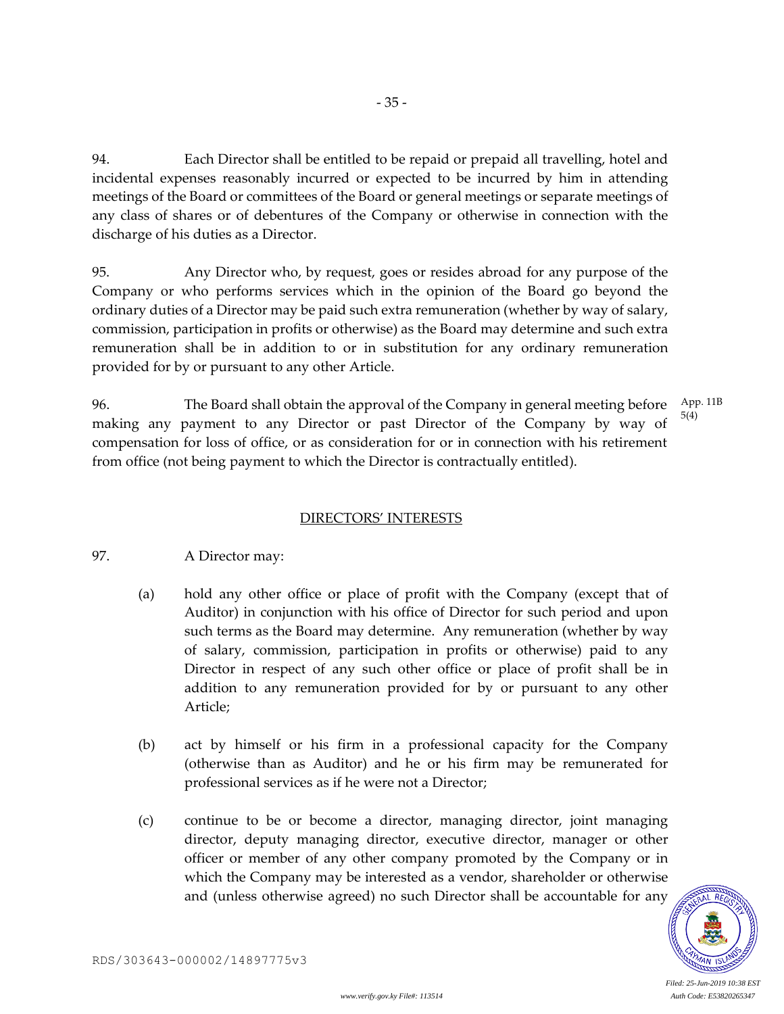94. Each Director shall be entitled to be repaid or prepaid all travelling, hotel and incidental expenses reasonably incurred or expected to be incurred by him in attending meetings of the Board or committees of the Board or general meetings or separate meetings of any class of shares or of debentures of the Company or otherwise in connection with the discharge of his duties as a Director.

- 35 -

95. Any Director who, by request, goes or resides abroad for any purpose of the Company or who performs services which in the opinion of the Board go beyond the ordinary duties of a Director may be paid such extra remuneration (whether by way of salary, commission, participation in profits or otherwise) as the Board may determine and such extra remuneration shall be in addition to or in substitution for any ordinary remuneration provided for by or pursuant to any other Article.

96. The Board shall obtain the approval of the Company in general meeting before making any payment to any Director or past Director of the Company by way of compensation for loss of office, or as consideration for or in connection with his retirement from office (not being payment to which the Director is contractually entitled). App. 11B 5(4)

# DIRECTORS' INTERESTS

# 97. A Director may:

- (a) hold any other office or place of profit with the Company (except that of Auditor) in conjunction with his office of Director for such period and upon such terms as the Board may determine. Any remuneration (whether by way of salary, commission, participation in profits or otherwise) paid to any Director in respect of any such other office or place of profit shall be in addition to any remuneration provided for by or pursuant to any other Article;
- (b) act by himself or his firm in a professional capacity for the Company (otherwise than as Auditor) and he or his firm may be remunerated for professional services as if he were not a Director;
- (c) continue to be or become a director, managing director, joint managing director, deputy managing director, executive director, manager or other officer or member of any other company promoted by the Company or in which the Company may be interested as a vendor, shareholder or otherwise and (unless otherwise agreed) no such Director shall be accountable for any

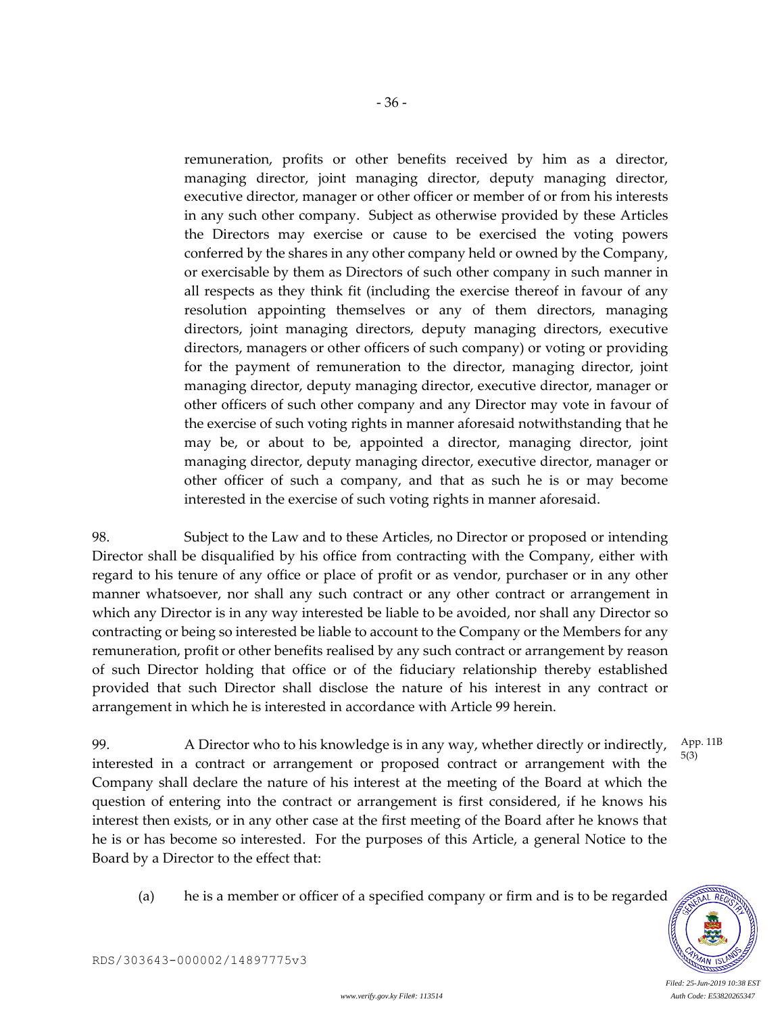remuneration, profits or other benefits received by him as a director, managing director, joint managing director, deputy managing director, executive director, manager or other officer or member of or from his interests in any such other company. Subject as otherwise provided by these Articles the Directors may exercise or cause to be exercised the voting powers conferred by the shares in any other company held or owned by the Company, or exercisable by them as Directors of such other company in such manner in all respects as they think fit (including the exercise thereof in favour of any resolution appointing themselves or any of them directors, managing directors, joint managing directors, deputy managing directors, executive directors, managers or other officers of such company) or voting or providing for the payment of remuneration to the director, managing director, joint managing director, deputy managing director, executive director, manager or other officers of such other company and any Director may vote in favour of the exercise of such voting rights in manner aforesaid notwithstanding that he may be, or about to be, appointed a director, managing director, joint managing director, deputy managing director, executive director, manager or other officer of such a company, and that as such he is or may become interested in the exercise of such voting rights in manner aforesaid.

98. Subject to the Law and to these Articles, no Director or proposed or intending Director shall be disqualified by his office from contracting with the Company, either with regard to his tenure of any office or place of profit or as vendor, purchaser or in any other manner whatsoever, nor shall any such contract or any other contract or arrangement in which any Director is in any way interested be liable to be avoided, nor shall any Director so contracting or being so interested be liable to account to the Company or the Members for any remuneration, profit or other benefits realised by any such contract or arrangement by reason of such Director holding that office or of the fiduciary relationship thereby established provided that such Director shall disclose the nature of his interest in any contract or arrangement in which he is interested in accordance with Article 99 herein.

99. A Director who to his knowledge is in any way, whether directly or indirectly, interested in a contract or arrangement or proposed contract or arrangement with the Company shall declare the nature of his interest at the meeting of the Board at which the question of entering into the contract or arrangement is first considered, if he knows his interest then exists, or in any other case at the first meeting of the Board after he knows that he is or has become so interested. For the purposes of this Article, a general Notice to the Board by a Director to the effect that: App. 11B 5(3)

(a) he is a member or officer of a specified company or firm and is to be regarded

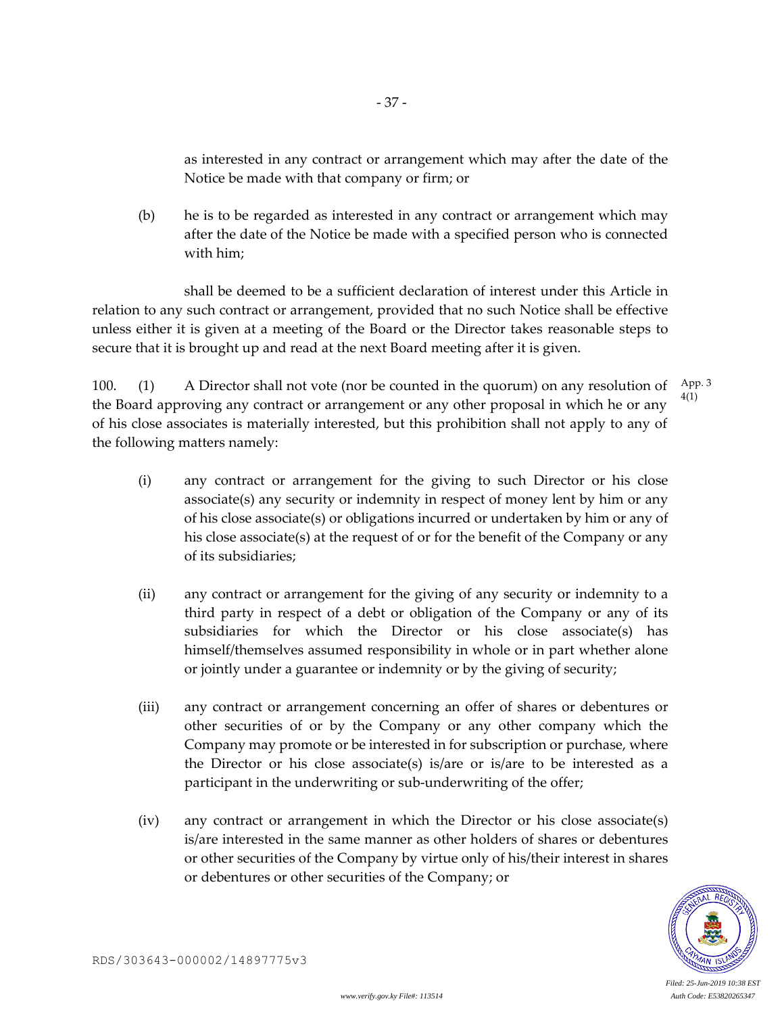as interested in any contract or arrangement which may after the date of the Notice be made with that company or firm; or

(b) he is to be regarded as interested in any contract or arrangement which may after the date of the Notice be made with a specified person who is connected with him;

- 37 -

shall be deemed to be a sufficient declaration of interest under this Article in relation to any such contract or arrangement, provided that no such Notice shall be effective unless either it is given at a meeting of the Board or the Director takes reasonable steps to secure that it is brought up and read at the next Board meeting after it is given.

100. (1) A Director shall not vote (nor be counted in the quorum) on any resolution of the Board approving any contract or arrangement or any other proposal in which he or any of his close associates is materially interested, but this prohibition shall not apply to any of the following matters namely: App. 3 4(1)

- (i) any contract or arrangement for the giving to such Director or his close associate(s) any security or indemnity in respect of money lent by him or any of his close associate(s) or obligations incurred or undertaken by him or any of his close associate(s) at the request of or for the benefit of the Company or any of its subsidiaries;
- (ii) any contract or arrangement for the giving of any security or indemnity to a third party in respect of a debt or obligation of the Company or any of its subsidiaries for which the Director or his close associate(s) has himself/themselves assumed responsibility in whole or in part whether alone or jointly under a guarantee or indemnity or by the giving of security;
- (iii) any contract or arrangement concerning an offer of shares or debentures or other securities of or by the Company or any other company which the Company may promote or be interested in for subscription or purchase, where the Director or his close associate(s) is/are or is/are to be interested as a participant in the underwriting or sub-underwriting of the offer;
- (iv) any contract or arrangement in which the Director or his close associate(s) is/are interested in the same manner as other holders of shares or debentures or other securities of the Company by virtue only of his/their interest in shares or debentures or other securities of the Company; or

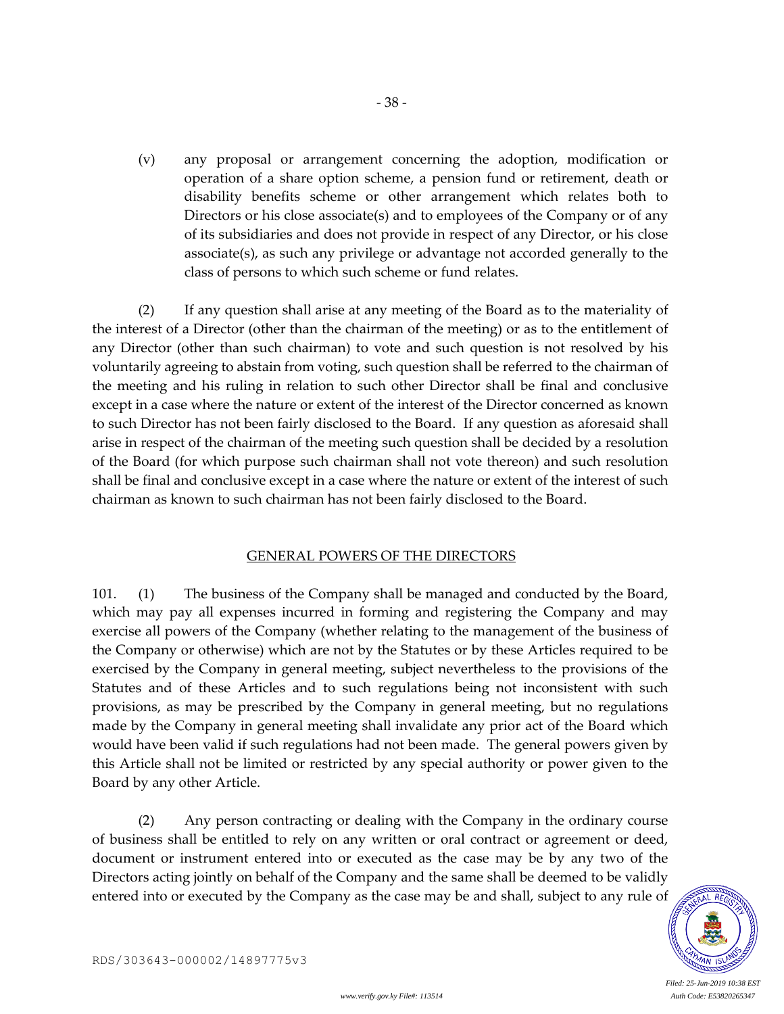(v) any proposal or arrangement concerning the adoption, modification or operation of a share option scheme, a pension fund or retirement, death or disability benefits scheme or other arrangement which relates both to Directors or his close associate(s) and to employees of the Company or of any of its subsidiaries and does not provide in respect of any Director, or his close associate(s), as such any privilege or advantage not accorded generally to the class of persons to which such scheme or fund relates.

- 38 -

(2) If any question shall arise at any meeting of the Board as to the materiality of the interest of a Director (other than the chairman of the meeting) or as to the entitlement of any Director (other than such chairman) to vote and such question is not resolved by his voluntarily agreeing to abstain from voting, such question shall be referred to the chairman of the meeting and his ruling in relation to such other Director shall be final and conclusive except in a case where the nature or extent of the interest of the Director concerned as known to such Director has not been fairly disclosed to the Board. If any question as aforesaid shall arise in respect of the chairman of the meeting such question shall be decided by a resolution of the Board (for which purpose such chairman shall not vote thereon) and such resolution shall be final and conclusive except in a case where the nature or extent of the interest of such chairman as known to such chairman has not been fairly disclosed to the Board.

## GENERAL POWERS OF THE DIRECTORS

101. (1) The business of the Company shall be managed and conducted by the Board, which may pay all expenses incurred in forming and registering the Company and may exercise all powers of the Company (whether relating to the management of the business of the Company or otherwise) which are not by the Statutes or by these Articles required to be exercised by the Company in general meeting, subject nevertheless to the provisions of the Statutes and of these Articles and to such regulations being not inconsistent with such provisions, as may be prescribed by the Company in general meeting, but no regulations made by the Company in general meeting shall invalidate any prior act of the Board which would have been valid if such regulations had not been made. The general powers given by this Article shall not be limited or restricted by any special authority or power given to the Board by any other Article.

(2) Any person contracting or dealing with the Company in the ordinary course of business shall be entitled to rely on any written or oral contract or agreement or deed, document or instrument entered into or executed as the case may be by any two of the Directors acting jointly on behalf of the Company and the same shall be deemed to be validly entered into or executed by the Company as the case may be and shall, subject to any rule of

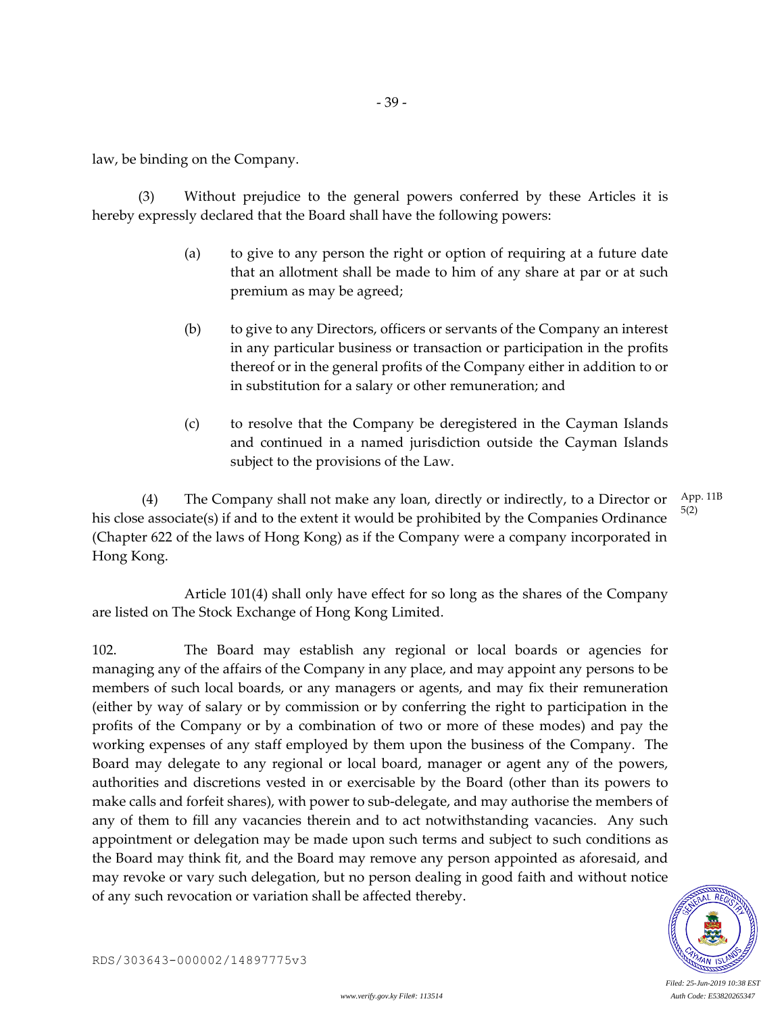law, be binding on the Company.

(3) Without prejudice to the general powers conferred by these Articles it is hereby expressly declared that the Board shall have the following powers:

- (a) to give to any person the right or option of requiring at a future date that an allotment shall be made to him of any share at par or at such premium as may be agreed;
- (b) to give to any Directors, officers or servants of the Company an interest in any particular business or transaction or participation in the profits thereof or in the general profits of the Company either in addition to or in substitution for a salary or other remuneration; and
- (c) to resolve that the Company be deregistered in the Cayman Islands and continued in a named jurisdiction outside the Cayman Islands subject to the provisions of the Law.

(4) The Company shall not make any loan, directly or indirectly, to a Director or his close associate(s) if and to the extent it would be prohibited by the Companies Ordinance (Chapter 622 of the laws of Hong Kong) as if the Company were a company incorporated in Hong Kong. App. 11B 5(2)

Article 101(4) shall only have effect for so long as the shares of the Company are listed on The Stock Exchange of Hong Kong Limited.

102. The Board may establish any regional or local boards or agencies for managing any of the affairs of the Company in any place, and may appoint any persons to be members of such local boards, or any managers or agents, and may fix their remuneration (either by way of salary or by commission or by conferring the right to participation in the profits of the Company or by a combination of two or more of these modes) and pay the working expenses of any staff employed by them upon the business of the Company. The Board may delegate to any regional or local board, manager or agent any of the powers, authorities and discretions vested in or exercisable by the Board (other than its powers to make calls and forfeit shares), with power to sub-delegate, and may authorise the members of any of them to fill any vacancies therein and to act notwithstanding vacancies. Any such appointment or delegation may be made upon such terms and subject to such conditions as the Board may think fit, and the Board may remove any person appointed as aforesaid, and may revoke or vary such delegation, but no person dealing in good faith and without notice of any such revocation or variation shall be affected thereby.



RDS/303643-000002/14897775v3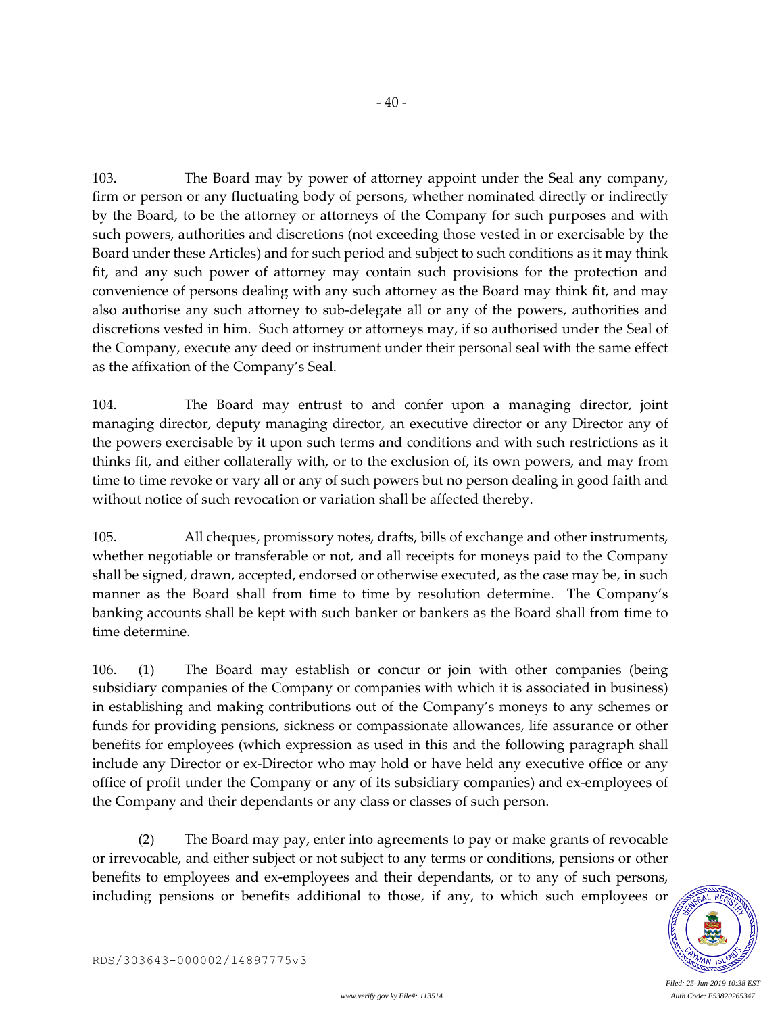103. The Board may by power of attorney appoint under the Seal any company, firm or person or any fluctuating body of persons, whether nominated directly or indirectly by the Board, to be the attorney or attorneys of the Company for such purposes and with such powers, authorities and discretions (not exceeding those vested in or exercisable by the Board under these Articles) and for such period and subject to such conditions as it may think fit, and any such power of attorney may contain such provisions for the protection and convenience of persons dealing with any such attorney as the Board may think fit, and may also authorise any such attorney to sub-delegate all or any of the powers, authorities and discretions vested in him. Such attorney or attorneys may, if so authorised under the Seal of the Company, execute any deed or instrument under their personal seal with the same effect as the affixation of the Company's Seal.

 $-40-$ 

104. The Board may entrust to and confer upon a managing director, joint managing director, deputy managing director, an executive director or any Director any of the powers exercisable by it upon such terms and conditions and with such restrictions as it thinks fit, and either collaterally with, or to the exclusion of, its own powers, and may from time to time revoke or vary all or any of such powers but no person dealing in good faith and without notice of such revocation or variation shall be affected thereby.

105. All cheques, promissory notes, drafts, bills of exchange and other instruments, whether negotiable or transferable or not, and all receipts for moneys paid to the Company shall be signed, drawn, accepted, endorsed or otherwise executed, as the case may be, in such manner as the Board shall from time to time by resolution determine. The Company's banking accounts shall be kept with such banker or bankers as the Board shall from time to time determine.

106. (1) The Board may establish or concur or join with other companies (being subsidiary companies of the Company or companies with which it is associated in business) in establishing and making contributions out of the Company's moneys to any schemes or funds for providing pensions, sickness or compassionate allowances, life assurance or other benefits for employees (which expression as used in this and the following paragraph shall include any Director or ex-Director who may hold or have held any executive office or any office of profit under the Company or any of its subsidiary companies) and ex-employees of the Company and their dependants or any class or classes of such person.

(2) The Board may pay, enter into agreements to pay or make grants of revocable or irrevocable, and either subject or not subject to any terms or conditions, pensions or other benefits to employees and ex-employees and their dependants, or to any of such persons, including pensions or benefits additional to those, if any, to which such employees or

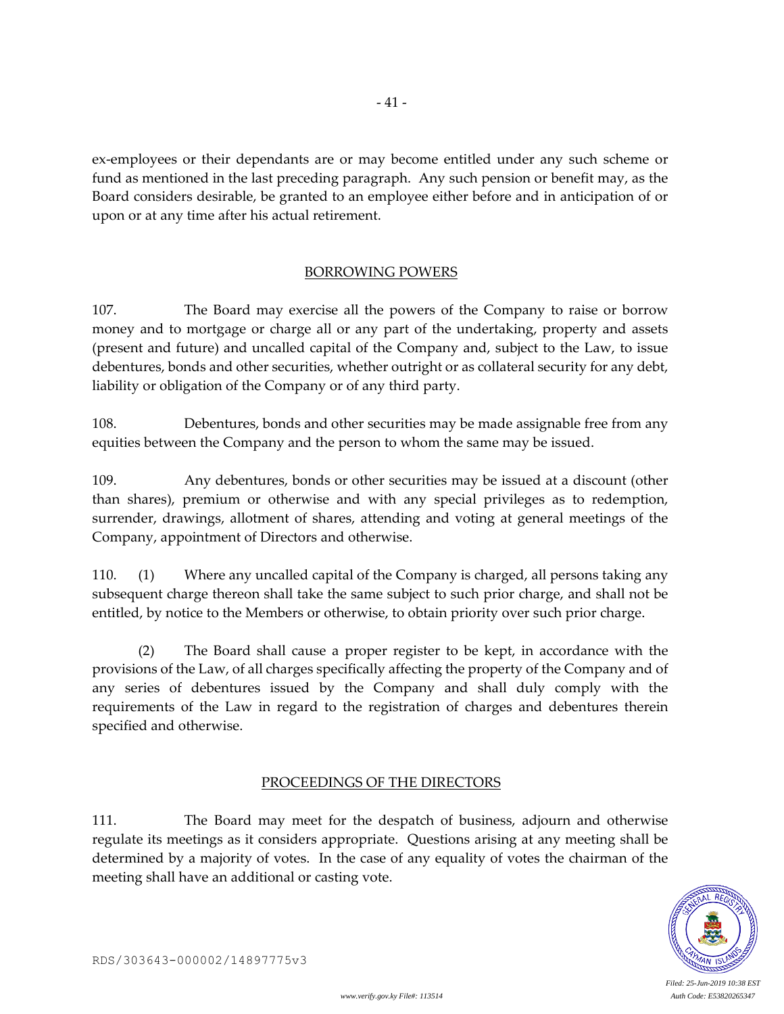ex-employees or their dependants are or may become entitled under any such scheme or fund as mentioned in the last preceding paragraph. Any such pension or benefit may, as the Board considers desirable, be granted to an employee either before and in anticipation of or upon or at any time after his actual retirement.

- 41 -

## BORROWING POWERS

107. The Board may exercise all the powers of the Company to raise or borrow money and to mortgage or charge all or any part of the undertaking, property and assets (present and future) and uncalled capital of the Company and, subject to the Law, to issue debentures, bonds and other securities, whether outright or as collateral security for any debt, liability or obligation of the Company or of any third party.

108. Debentures, bonds and other securities may be made assignable free from any equities between the Company and the person to whom the same may be issued.

109. Any debentures, bonds or other securities may be issued at a discount (other than shares), premium or otherwise and with any special privileges as to redemption, surrender, drawings, allotment of shares, attending and voting at general meetings of the Company, appointment of Directors and otherwise.

110. (1) Where any uncalled capital of the Company is charged, all persons taking any subsequent charge thereon shall take the same subject to such prior charge, and shall not be entitled, by notice to the Members or otherwise, to obtain priority over such prior charge.

(2) The Board shall cause a proper register to be kept, in accordance with the provisions of the Law, of all charges specifically affecting the property of the Company and of any series of debentures issued by the Company and shall duly comply with the requirements of the Law in regard to the registration of charges and debentures therein specified and otherwise.

#### PROCEEDINGS OF THE DIRECTORS

111. The Board may meet for the despatch of business, adjourn and otherwise regulate its meetings as it considers appropriate. Questions arising at any meeting shall be determined by a majority of votes. In the case of any equality of votes the chairman of the meeting shall have an additional or casting vote.

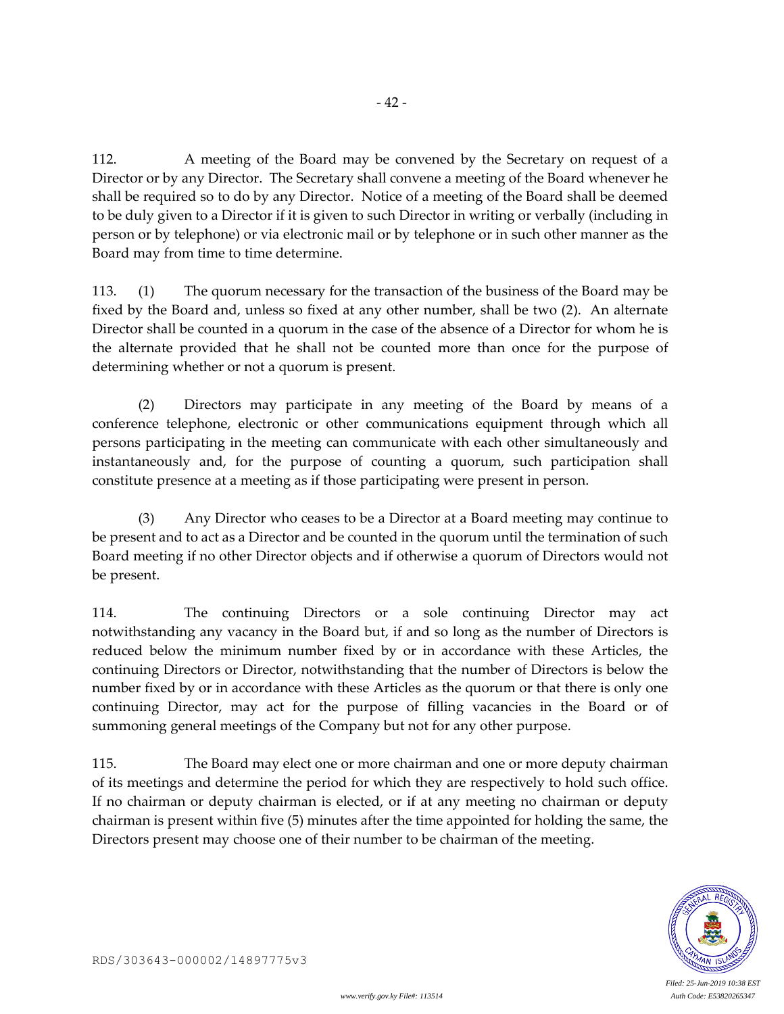112. A meeting of the Board may be convened by the Secretary on request of a Director or by any Director. The Secretary shall convene a meeting of the Board whenever he shall be required so to do by any Director. Notice of a meeting of the Board shall be deemed to be duly given to a Director if it is given to such Director in writing or verbally (including in person or by telephone) or via electronic mail or by telephone or in such other manner as the Board may from time to time determine.

113. (1) The quorum necessary for the transaction of the business of the Board may be fixed by the Board and, unless so fixed at any other number, shall be two (2). An alternate Director shall be counted in a quorum in the case of the absence of a Director for whom he is the alternate provided that he shall not be counted more than once for the purpose of determining whether or not a quorum is present.

(2) Directors may participate in any meeting of the Board by means of a conference telephone, electronic or other communications equipment through which all persons participating in the meeting can communicate with each other simultaneously and instantaneously and, for the purpose of counting a quorum, such participation shall constitute presence at a meeting as if those participating were present in person.

(3) Any Director who ceases to be a Director at a Board meeting may continue to be present and to act as a Director and be counted in the quorum until the termination of such Board meeting if no other Director objects and if otherwise a quorum of Directors would not be present.

114. The continuing Directors or a sole continuing Director may act notwithstanding any vacancy in the Board but, if and so long as the number of Directors is reduced below the minimum number fixed by or in accordance with these Articles, the continuing Directors or Director, notwithstanding that the number of Directors is below the number fixed by or in accordance with these Articles as the quorum or that there is only one continuing Director, may act for the purpose of filling vacancies in the Board or of summoning general meetings of the Company but not for any other purpose.

115. The Board may elect one or more chairman and one or more deputy chairman of its meetings and determine the period for which they are respectively to hold such office. If no chairman or deputy chairman is elected, or if at any meeting no chairman or deputy chairman is present within five (5) minutes after the time appointed for holding the same, the Directors present may choose one of their number to be chairman of the meeting.

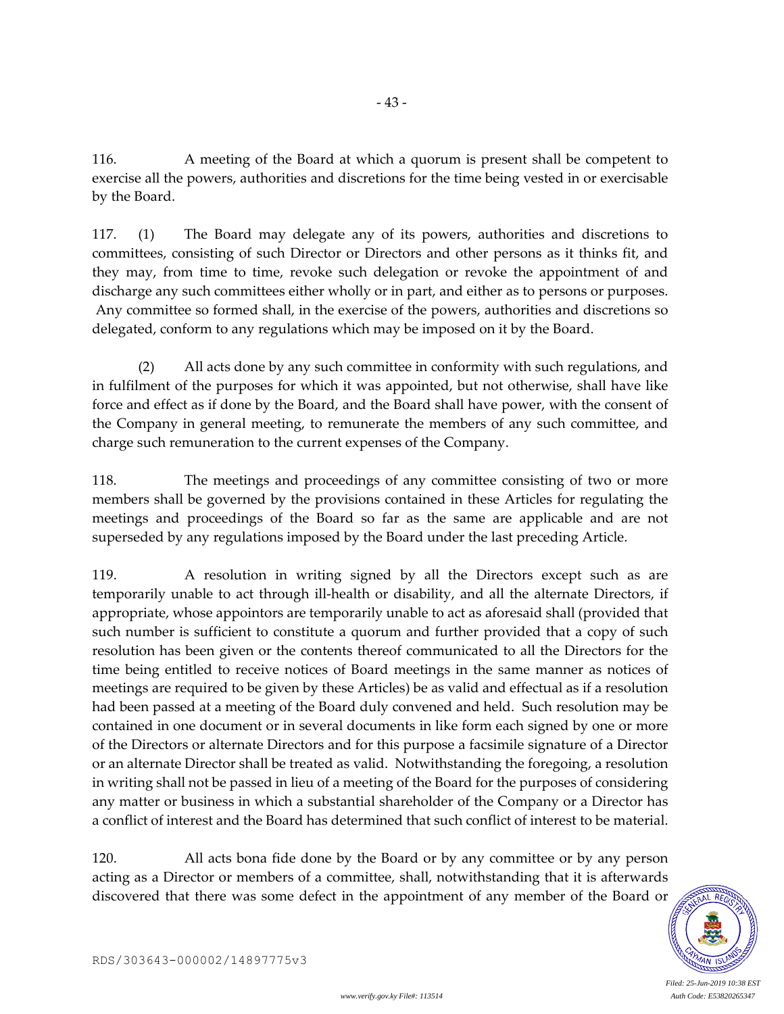116. A meeting of the Board at which a quorum is present shall be competent to exercise all the powers, authorities and discretions for the time being vested in or exercisable by the Board.

- 43 -

117. (1) The Board may delegate any of its powers, authorities and discretions to committees, consisting of such Director or Directors and other persons as it thinks fit, and they may, from time to time, revoke such delegation or revoke the appointment of and discharge any such committees either wholly or in part, and either as to persons or purposes. Any committee so formed shall, in the exercise of the powers, authorities and discretions so delegated, conform to any regulations which may be imposed on it by the Board.

(2) All acts done by any such committee in conformity with such regulations, and in fulfilment of the purposes for which it was appointed, but not otherwise, shall have like force and effect as if done by the Board, and the Board shall have power, with the consent of the Company in general meeting, to remunerate the members of any such committee, and charge such remuneration to the current expenses of the Company.

118. The meetings and proceedings of any committee consisting of two or more members shall be governed by the provisions contained in these Articles for regulating the meetings and proceedings of the Board so far as the same are applicable and are not superseded by any regulations imposed by the Board under the last preceding Article.

119. A resolution in writing signed by all the Directors except such as are temporarily unable to act through ill-health or disability, and all the alternate Directors, if appropriate, whose appointors are temporarily unable to act as aforesaid shall (provided that such number is sufficient to constitute a quorum and further provided that a copy of such resolution has been given or the contents thereof communicated to all the Directors for the time being entitled to receive notices of Board meetings in the same manner as notices of meetings are required to be given by these Articles) be as valid and effectual as if a resolution had been passed at a meeting of the Board duly convened and held. Such resolution may be contained in one document or in several documents in like form each signed by one or more of the Directors or alternate Directors and for this purpose a facsimile signature of a Director or an alternate Director shall be treated as valid. Notwithstanding the foregoing, a resolution in writing shall not be passed in lieu of a meeting of the Board for the purposes of considering any matter or business in which a substantial shareholder of the Company or a Director has a conflict of interest and the Board has determined that such conflict of interest to be material.

120. All acts bona fide done by the Board or by any committee or by any person acting as a Director or members of a committee, shall, notwithstanding that it is afterwards discovered that there was some defect in the appointment of any member of the Board or

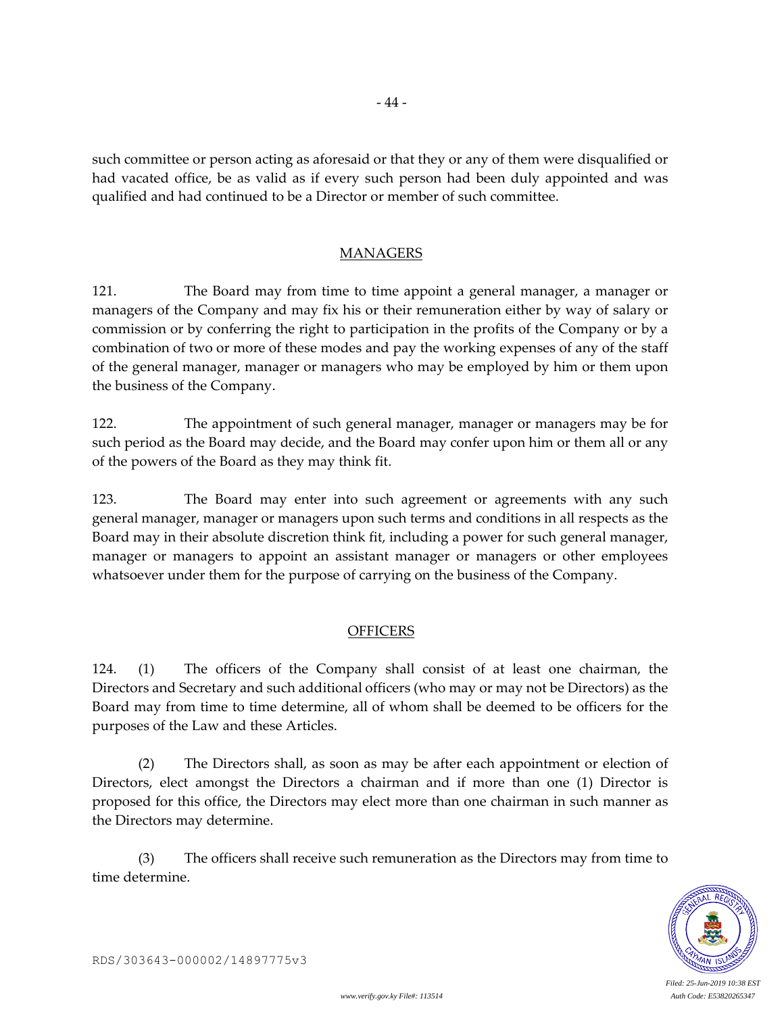such committee or person acting as aforesaid or that they or any of them were disqualified or had vacated office, be as valid as if every such person had been duly appointed and was qualified and had continued to be a Director or member of such committee.

- 44 -

## MANAGERS

121. The Board may from time to time appoint a general manager, a manager or managers of the Company and may fix his or their remuneration either by way of salary or commission or by conferring the right to participation in the profits of the Company or by a combination of two or more of these modes and pay the working expenses of any of the staff of the general manager, manager or managers who may be employed by him or them upon the business of the Company.

122. The appointment of such general manager, manager or managers may be for such period as the Board may decide, and the Board may confer upon him or them all or any of the powers of the Board as they may think fit.

123. The Board may enter into such agreement or agreements with any such general manager, manager or managers upon such terms and conditions in all respects as the Board may in their absolute discretion think fit, including a power for such general manager, manager or managers to appoint an assistant manager or managers or other employees whatsoever under them for the purpose of carrying on the business of the Company.

## **OFFICERS**

124. (1) The officers of the Company shall consist of at least one chairman, the Directors and Secretary and such additional officers (who may or may not be Directors) as the Board may from time to time determine, all of whom shall be deemed to be officers for the purposes of the Law and these Articles.

(2) The Directors shall, as soon as may be after each appointment or election of Directors, elect amongst the Directors a chairman and if more than one (1) Director is proposed for this office, the Directors may elect more than one chairman in such manner as the Directors may determine.

(3) The officers shall receive such remuneration as the Directors may from time to time determine.

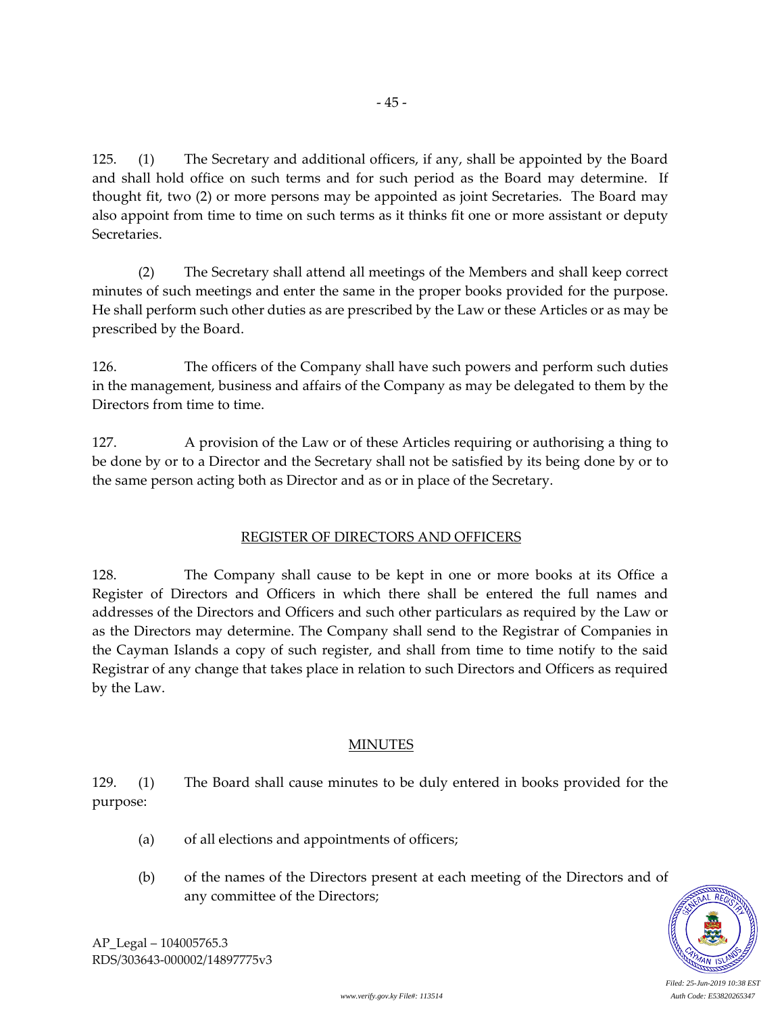125. (1) The Secretary and additional officers, if any, shall be appointed by the Board and shall hold office on such terms and for such period as the Board may determine. If thought fit, two (2) or more persons may be appointed as joint Secretaries. The Board may also appoint from time to time on such terms as it thinks fit one or more assistant or deputy Secretaries.

(2) The Secretary shall attend all meetings of the Members and shall keep correct minutes of such meetings and enter the same in the proper books provided for the purpose. He shall perform such other duties as are prescribed by the Law or these Articles or as may be prescribed by the Board.

126. The officers of the Company shall have such powers and perform such duties in the management, business and affairs of the Company as may be delegated to them by the Directors from time to time.

127. A provision of the Law or of these Articles requiring or authorising a thing to be done by or to a Director and the Secretary shall not be satisfied by its being done by or to the same person acting both as Director and as or in place of the Secretary.

# REGISTER OF DIRECTORS AND OFFICERS

128. The Company shall cause to be kept in one or more books at its Office a Register of Directors and Officers in which there shall be entered the full names and addresses of the Directors and Officers and such other particulars as required by the Law or as the Directors may determine. The Company shall send to the Registrar of Companies in the Cayman Islands a copy of such register, and shall from time to time notify to the said Registrar of any change that takes place in relation to such Directors and Officers as required by the Law.

# MINUTES

129. (1) The Board shall cause minutes to be duly entered in books provided for the purpose:

- (a) of all elections and appointments of officers;
- (b) of the names of the Directors present at each meeting of the Directors and of any committee of the Directors;



AP\_Legal – 104005765.3 RDS/303643-000002/14897775v3 - 45 -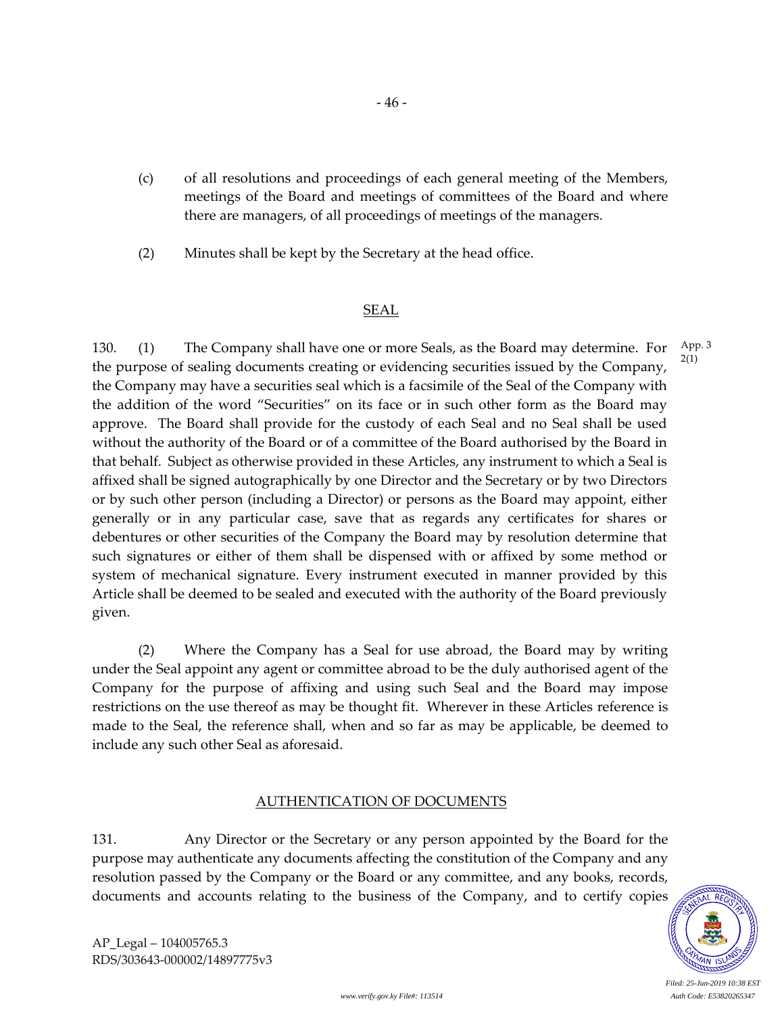- (c) of all resolutions and proceedings of each general meeting of the Members, meetings of the Board and meetings of committees of the Board and where there are managers, of all proceedings of meetings of the managers.
- (2) Minutes shall be kept by the Secretary at the head office.

## SEAL

130. (1) The Company shall have one or more Seals, as the Board may determine. For the purpose of sealing documents creating or evidencing securities issued by the Company, the Company may have a securities seal which is a facsimile of the Seal of the Company with the addition of the word "Securities" on its face or in such other form as the Board may approve. The Board shall provide for the custody of each Seal and no Seal shall be used without the authority of the Board or of a committee of the Board authorised by the Board in that behalf. Subject as otherwise provided in these Articles, any instrument to which a Seal is affixed shall be signed autographically by one Director and the Secretary or by two Directors or by such other person (including a Director) or persons as the Board may appoint, either generally or in any particular case, save that as regards any certificates for shares or debentures or other securities of the Company the Board may by resolution determine that such signatures or either of them shall be dispensed with or affixed by some method or system of mechanical signature. Every instrument executed in manner provided by this Article shall be deemed to be sealed and executed with the authority of the Board previously given. App. 3 2(1)

(2) Where the Company has a Seal for use abroad, the Board may by writing under the Seal appoint any agent or committee abroad to be the duly authorised agent of the Company for the purpose of affixing and using such Seal and the Board may impose restrictions on the use thereof as may be thought fit. Wherever in these Articles reference is made to the Seal, the reference shall, when and so far as may be applicable, be deemed to include any such other Seal as aforesaid.

## AUTHENTICATION OF DOCUMENTS

131. Any Director or the Secretary or any person appointed by the Board for the purpose may authenticate any documents affecting the constitution of the Company and any resolution passed by the Company or the Board or any committee, and any books, records, documents and accounts relating to the business of the Company, and to certify copies



AP\_Legal – 104005765.3 RDS/303643-000002/14897775v3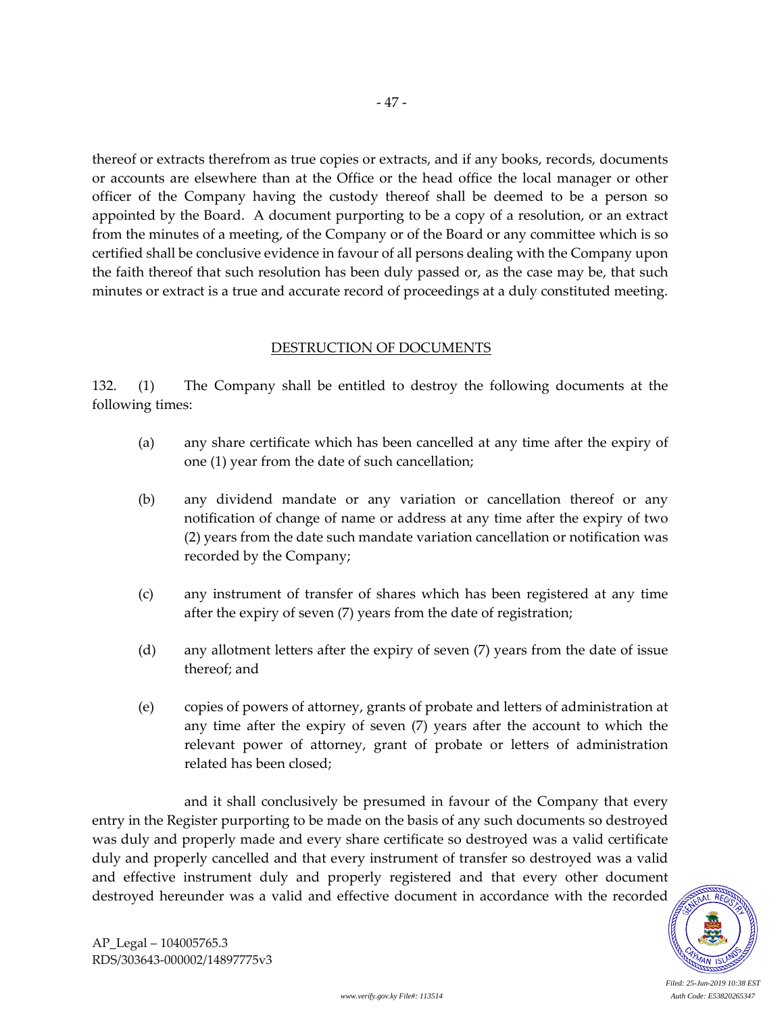thereof or extracts therefrom as true copies or extracts, and if any books, records, documents or accounts are elsewhere than at the Office or the head office the local manager or other officer of the Company having the custody thereof shall be deemed to be a person so appointed by the Board. A document purporting to be a copy of a resolution, or an extract from the minutes of a meeting, of the Company or of the Board or any committee which is so certified shall be conclusive evidence in favour of all persons dealing with the Company upon the faith thereof that such resolution has been duly passed or, as the case may be, that such minutes or extract is a true and accurate record of proceedings at a duly constituted meeting.

### DESTRUCTION OF DOCUMENTS

132. (1) The Company shall be entitled to destroy the following documents at the following times:

- (a) any share certificate which has been cancelled at any time after the expiry of one (1) year from the date of such cancellation;
- (b) any dividend mandate or any variation or cancellation thereof or any notification of change of name or address at any time after the expiry of two (2) years from the date such mandate variation cancellation or notification was recorded by the Company;
- (c) any instrument of transfer of shares which has been registered at any time after the expiry of seven (7) years from the date of registration;
- (d) any allotment letters after the expiry of seven (7) years from the date of issue thereof; and
- (e) copies of powers of attorney, grants of probate and letters of administration at any time after the expiry of seven (7) years after the account to which the relevant power of attorney, grant of probate or letters of administration related has been closed;

and it shall conclusively be presumed in favour of the Company that every entry in the Register purporting to be made on the basis of any such documents so destroyed was duly and properly made and every share certificate so destroyed was a valid certificate duly and properly cancelled and that every instrument of transfer so destroyed was a valid and effective instrument duly and properly registered and that every other document destroyed hereunder was a valid and effective document in accordance with the recorded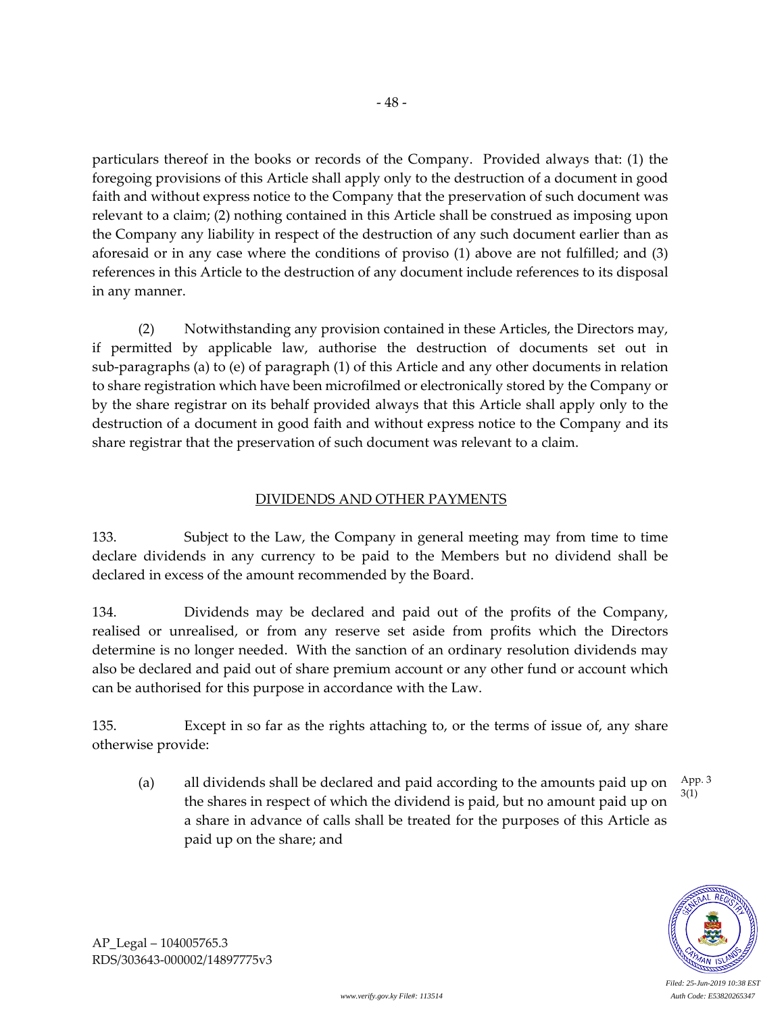particulars thereof in the books or records of the Company. Provided always that: (1) the foregoing provisions of this Article shall apply only to the destruction of a document in good faith and without express notice to the Company that the preservation of such document was relevant to a claim; (2) nothing contained in this Article shall be construed as imposing upon the Company any liability in respect of the destruction of any such document earlier than as aforesaid or in any case where the conditions of proviso (1) above are not fulfilled; and (3) references in this Article to the destruction of any document include references to its disposal in any manner.

(2) Notwithstanding any provision contained in these Articles, the Directors may, if permitted by applicable law, authorise the destruction of documents set out in sub-paragraphs (a) to (e) of paragraph (1) of this Article and any other documents in relation to share registration which have been microfilmed or electronically stored by the Company or by the share registrar on its behalf provided always that this Article shall apply only to the destruction of a document in good faith and without express notice to the Company and its share registrar that the preservation of such document was relevant to a claim.

## DIVIDENDS AND OTHER PAYMENTS

133. Subject to the Law, the Company in general meeting may from time to time declare dividends in any currency to be paid to the Members but no dividend shall be declared in excess of the amount recommended by the Board.

134. Dividends may be declared and paid out of the profits of the Company, realised or unrealised, or from any reserve set aside from profits which the Directors determine is no longer needed. With the sanction of an ordinary resolution dividends may also be declared and paid out of share premium account or any other fund or account which can be authorised for this purpose in accordance with the Law.

135. Except in so far as the rights attaching to, or the terms of issue of, any share otherwise provide:

(a) all dividends shall be declared and paid according to the amounts paid up on the shares in respect of which the dividend is paid, but no amount paid up on a share in advance of calls shall be treated for the purposes of this Article as paid up on the share; and App. 3 3(1)

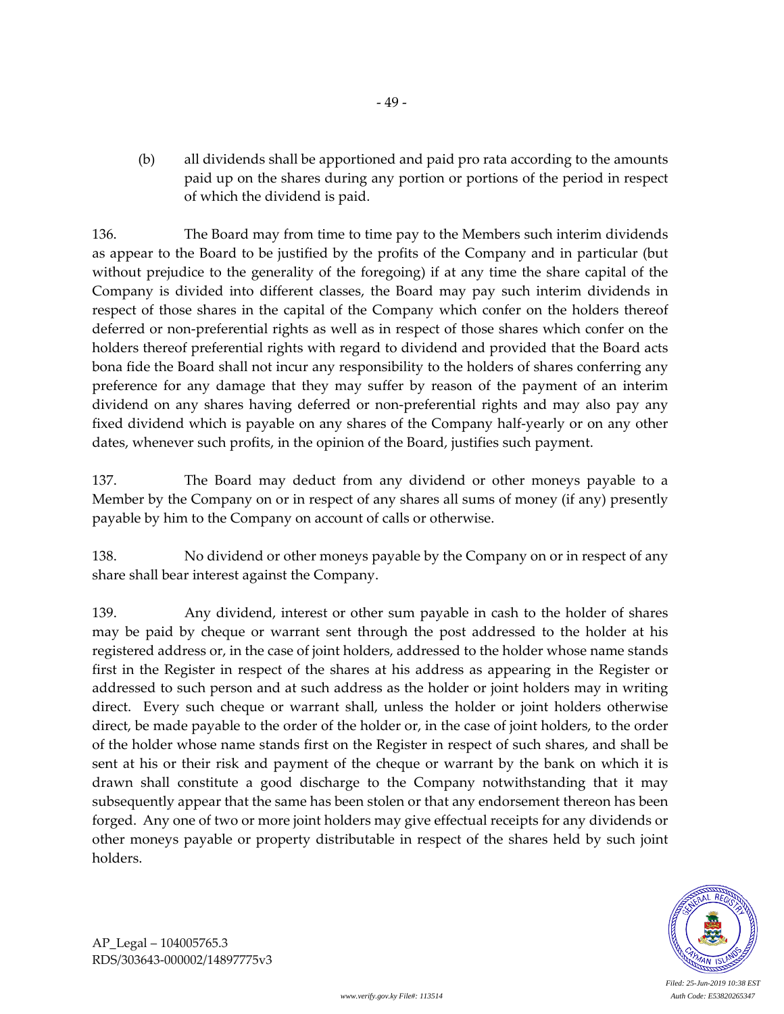(b) all dividends shall be apportioned and paid pro rata according to the amounts paid up on the shares during any portion or portions of the period in respect of which the dividend is paid.

136. The Board may from time to time pay to the Members such interim dividends as appear to the Board to be justified by the profits of the Company and in particular (but without prejudice to the generality of the foregoing) if at any time the share capital of the Company is divided into different classes, the Board may pay such interim dividends in respect of those shares in the capital of the Company which confer on the holders thereof deferred or non-preferential rights as well as in respect of those shares which confer on the holders thereof preferential rights with regard to dividend and provided that the Board acts bona fide the Board shall not incur any responsibility to the holders of shares conferring any preference for any damage that they may suffer by reason of the payment of an interim dividend on any shares having deferred or non-preferential rights and may also pay any fixed dividend which is payable on any shares of the Company half-yearly or on any other dates, whenever such profits, in the opinion of the Board, justifies such payment.

137. The Board may deduct from any dividend or other moneys payable to a Member by the Company on or in respect of any shares all sums of money (if any) presently payable by him to the Company on account of calls or otherwise.

138. No dividend or other moneys payable by the Company on or in respect of any share shall bear interest against the Company.

139. Any dividend, interest or other sum payable in cash to the holder of shares may be paid by cheque or warrant sent through the post addressed to the holder at his registered address or, in the case of joint holders, addressed to the holder whose name stands first in the Register in respect of the shares at his address as appearing in the Register or addressed to such person and at such address as the holder or joint holders may in writing direct. Every such cheque or warrant shall, unless the holder or joint holders otherwise direct, be made payable to the order of the holder or, in the case of joint holders, to the order of the holder whose name stands first on the Register in respect of such shares, and shall be sent at his or their risk and payment of the cheque or warrant by the bank on which it is drawn shall constitute a good discharge to the Company notwithstanding that it may subsequently appear that the same has been stolen or that any endorsement thereon has been forged. Any one of two or more joint holders may give effectual receipts for any dividends or other moneys payable or property distributable in respect of the shares held by such joint holders.



AP\_Legal – 104005765.3 RDS/303643-000002/14897775v3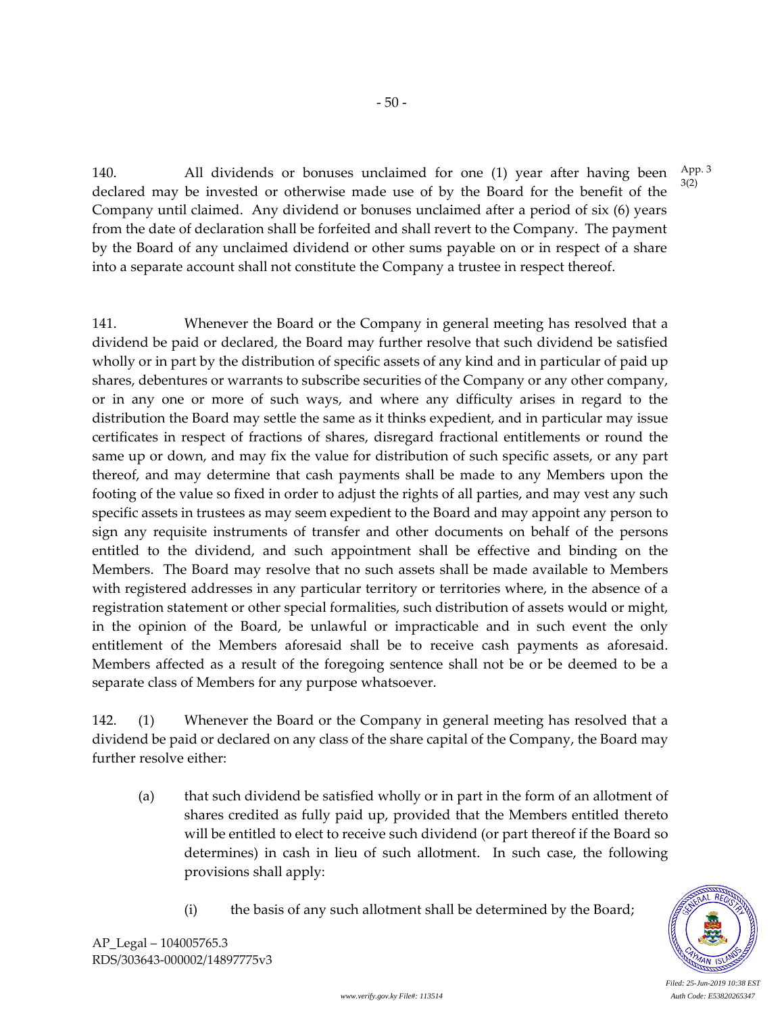140. All dividends or bonuses unclaimed for one (1) year after having been declared may be invested or otherwise made use of by the Board for the benefit of the Company until claimed. Any dividend or bonuses unclaimed after a period of six (6) years from the date of declaration shall be forfeited and shall revert to the Company. The payment by the Board of any unclaimed dividend or other sums payable on or in respect of a share into a separate account shall not constitute the Company a trustee in respect thereof. App. 3 3(2)

141. Whenever the Board or the Company in general meeting has resolved that a dividend be paid or declared, the Board may further resolve that such dividend be satisfied wholly or in part by the distribution of specific assets of any kind and in particular of paid up shares, debentures or warrants to subscribe securities of the Company or any other company, or in any one or more of such ways, and where any difficulty arises in regard to the distribution the Board may settle the same as it thinks expedient, and in particular may issue certificates in respect of fractions of shares, disregard fractional entitlements or round the same up or down, and may fix the value for distribution of such specific assets, or any part thereof, and may determine that cash payments shall be made to any Members upon the footing of the value so fixed in order to adjust the rights of all parties, and may vest any such specific assets in trustees as may seem expedient to the Board and may appoint any person to sign any requisite instruments of transfer and other documents on behalf of the persons entitled to the dividend, and such appointment shall be effective and binding on the Members. The Board may resolve that no such assets shall be made available to Members with registered addresses in any particular territory or territories where, in the absence of a registration statement or other special formalities, such distribution of assets would or might, in the opinion of the Board, be unlawful or impracticable and in such event the only entitlement of the Members aforesaid shall be to receive cash payments as aforesaid. Members affected as a result of the foregoing sentence shall not be or be deemed to be a separate class of Members for any purpose whatsoever.

142. (1) Whenever the Board or the Company in general meeting has resolved that a dividend be paid or declared on any class of the share capital of the Company, the Board may further resolve either:

- (a) that such dividend be satisfied wholly or in part in the form of an allotment of shares credited as fully paid up, provided that the Members entitled thereto will be entitled to elect to receive such dividend (or part thereof if the Board so determines) in cash in lieu of such allotment. In such case, the following provisions shall apply:
	- (i) the basis of any such allotment shall be determined by the Board;



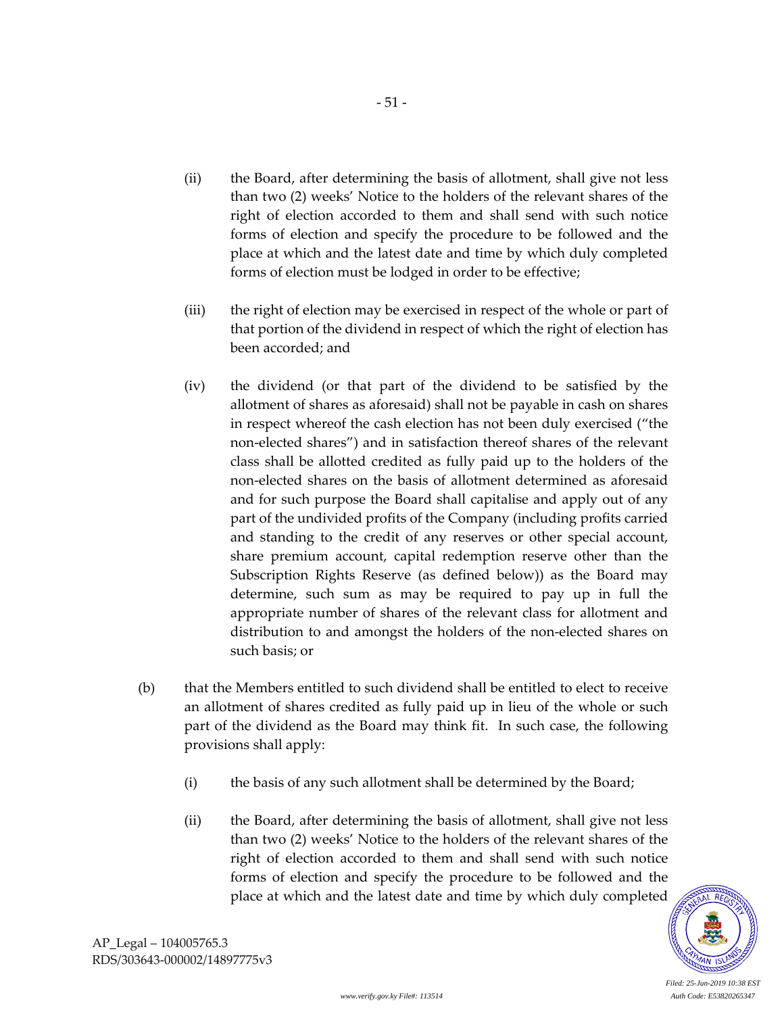(ii) the Board, after determining the basis of allotment, shall give not less than two (2) weeks' Notice to the holders of the relevant shares of the right of election accorded to them and shall send with such notice forms of election and specify the procedure to be followed and the place at which and the latest date and time by which duly completed forms of election must be lodged in order to be effective;

- 51 -

- (iii) the right of election may be exercised in respect of the whole or part of that portion of the dividend in respect of which the right of election has been accorded; and
- (iv) the dividend (or that part of the dividend to be satisfied by the allotment of shares as aforesaid) shall not be payable in cash on shares in respect whereof the cash election has not been duly exercised ("the non-elected shares") and in satisfaction thereof shares of the relevant class shall be allotted credited as fully paid up to the holders of the non-elected shares on the basis of allotment determined as aforesaid and for such purpose the Board shall capitalise and apply out of any part of the undivided profits of the Company (including profits carried and standing to the credit of any reserves or other special account, share premium account, capital redemption reserve other than the Subscription Rights Reserve (as defined below)) as the Board may determine, such sum as may be required to pay up in full the appropriate number of shares of the relevant class for allotment and distribution to and amongst the holders of the non-elected shares on such basis; or
- (b) that the Members entitled to such dividend shall be entitled to elect to receive an allotment of shares credited as fully paid up in lieu of the whole or such part of the dividend as the Board may think fit. In such case, the following provisions shall apply:
	- (i) the basis of any such allotment shall be determined by the Board;
	- (ii) the Board, after determining the basis of allotment, shall give not less than two (2) weeks' Notice to the holders of the relevant shares of the right of election accorded to them and shall send with such notice forms of election and specify the procedure to be followed and the place at which and the latest date and time by which duly completed

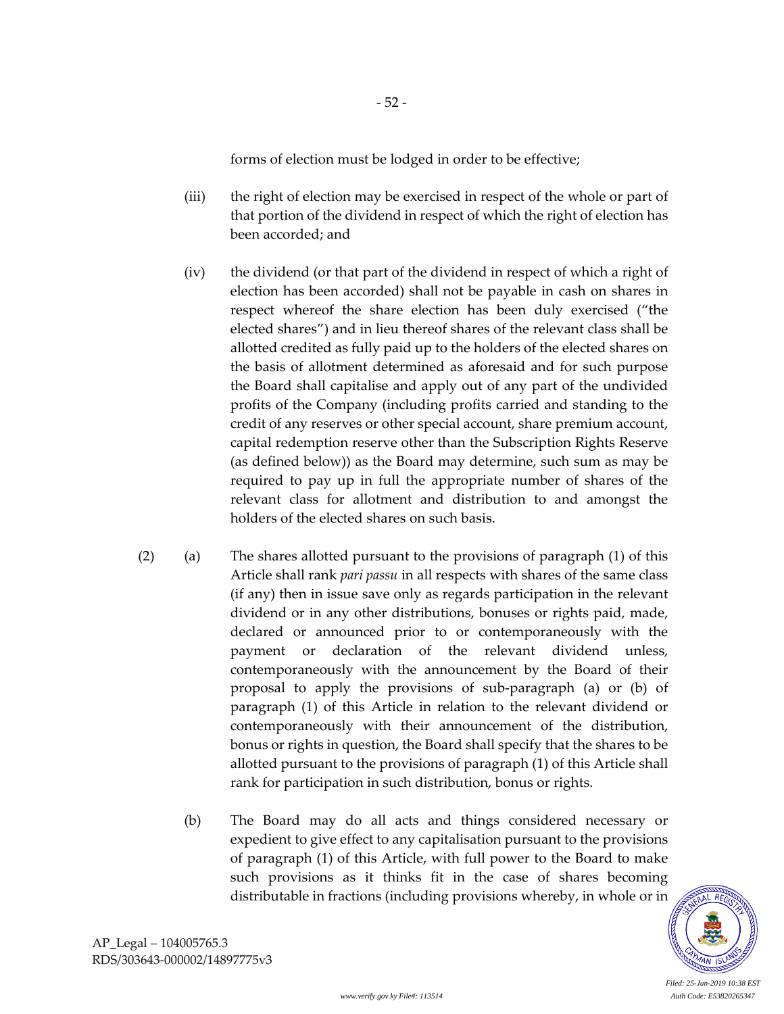forms of election must be lodged in order to be effective;

- 52 -

- (iii) the right of election may be exercised in respect of the whole or part of that portion of the dividend in respect of which the right of election has been accorded; and
- (iv) the dividend (or that part of the dividend in respect of which a right of election has been accorded) shall not be payable in cash on shares in respect whereof the share election has been duly exercised ("the elected shares") and in lieu thereof shares of the relevant class shall be allotted credited as fully paid up to the holders of the elected shares on the basis of allotment determined as aforesaid and for such purpose the Board shall capitalise and apply out of any part of the undivided profits of the Company (including profits carried and standing to the credit of any reserves or other special account, share premium account, capital redemption reserve other than the Subscription Rights Reserve (as defined below)) as the Board may determine, such sum as may be required to pay up in full the appropriate number of shares of the relevant class for allotment and distribution to and amongst the holders of the elected shares on such basis.
- (2) (a) The shares allotted pursuant to the provisions of paragraph (1) of this Article shall rank *pari passu* in all respects with shares of the same class (if any) then in issue save only as regards participation in the relevant dividend or in any other distributions, bonuses or rights paid, made, declared or announced prior to or contemporaneously with the payment or declaration of the relevant dividend unless, contemporaneously with the announcement by the Board of their proposal to apply the provisions of sub-paragraph (a) or (b) of paragraph (1) of this Article in relation to the relevant dividend or contemporaneously with their announcement of the distribution, bonus or rights in question, the Board shall specify that the shares to be allotted pursuant to the provisions of paragraph (1) of this Article shall rank for participation in such distribution, bonus or rights.
	- (b) The Board may do all acts and things considered necessary or expedient to give effect to any capitalisation pursuant to the provisions of paragraph (1) of this Article, with full power to the Board to make such provisions as it thinks fit in the case of shares becoming distributable in fractions (including provisions whereby, in whole or in

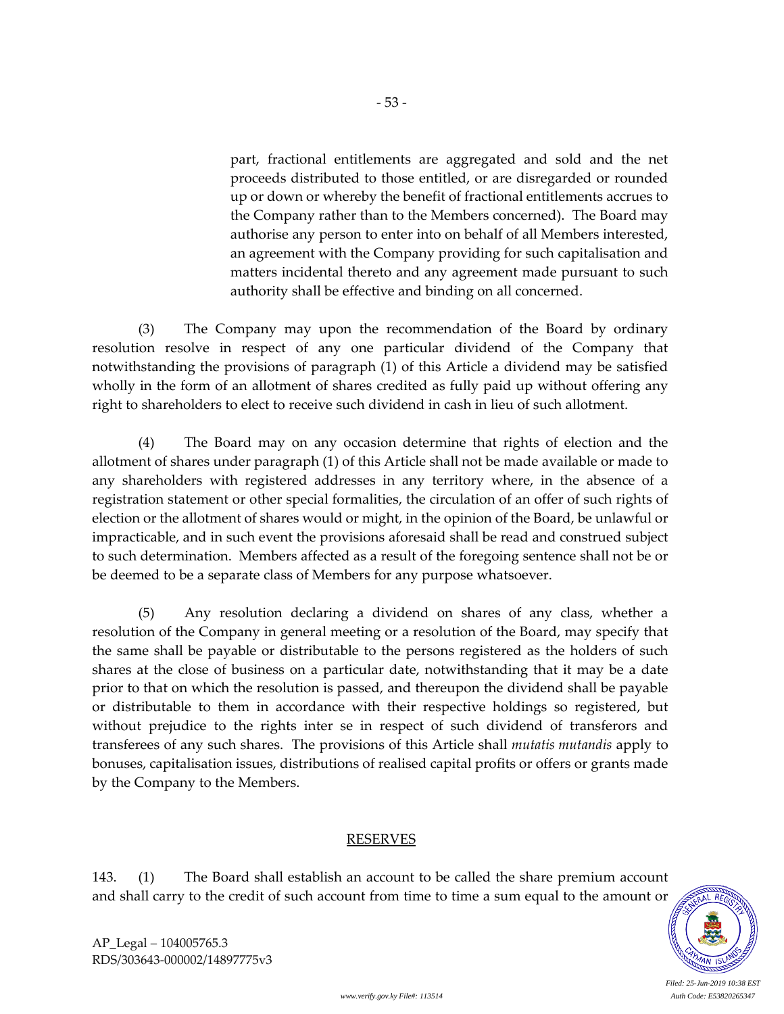part, fractional entitlements are aggregated and sold and the net proceeds distributed to those entitled, or are disregarded or rounded up or down or whereby the benefit of fractional entitlements accrues to the Company rather than to the Members concerned). The Board may authorise any person to enter into on behalf of all Members interested, an agreement with the Company providing for such capitalisation and matters incidental thereto and any agreement made pursuant to such authority shall be effective and binding on all concerned.

(3) The Company may upon the recommendation of the Board by ordinary resolution resolve in respect of any one particular dividend of the Company that notwithstanding the provisions of paragraph (1) of this Article a dividend may be satisfied wholly in the form of an allotment of shares credited as fully paid up without offering any right to shareholders to elect to receive such dividend in cash in lieu of such allotment.

- 53 -

(4) The Board may on any occasion determine that rights of election and the allotment of shares under paragraph (1) of this Article shall not be made available or made to any shareholders with registered addresses in any territory where, in the absence of a registration statement or other special formalities, the circulation of an offer of such rights of election or the allotment of shares would or might, in the opinion of the Board, be unlawful or impracticable, and in such event the provisions aforesaid shall be read and construed subject to such determination. Members affected as a result of the foregoing sentence shall not be or be deemed to be a separate class of Members for any purpose whatsoever.

(5) Any resolution declaring a dividend on shares of any class, whether a resolution of the Company in general meeting or a resolution of the Board, may specify that the same shall be payable or distributable to the persons registered as the holders of such shares at the close of business on a particular date, notwithstanding that it may be a date prior to that on which the resolution is passed, and thereupon the dividend shall be payable or distributable to them in accordance with their respective holdings so registered, but without prejudice to the rights inter se in respect of such dividend of transferors and transferees of any such shares. The provisions of this Article shall *mutatis mutandis* apply to bonuses, capitalisation issues, distributions of realised capital profits or offers or grants made by the Company to the Members.

#### RESERVES

143. (1) The Board shall establish an account to be called the share premium account and shall carry to the credit of such account from time to time a sum equal to the amount or

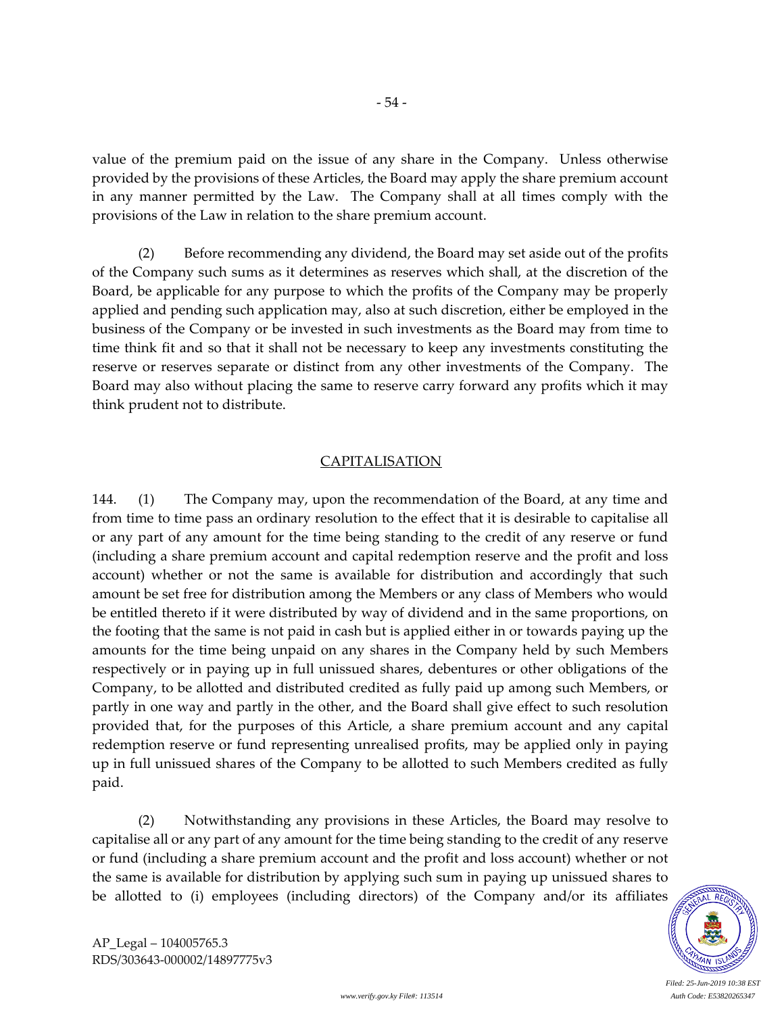value of the premium paid on the issue of any share in the Company. Unless otherwise provided by the provisions of these Articles, the Board may apply the share premium account in any manner permitted by the Law. The Company shall at all times comply with the provisions of the Law in relation to the share premium account.

- 54 -

(2) Before recommending any dividend, the Board may set aside out of the profits of the Company such sums as it determines as reserves which shall, at the discretion of the Board, be applicable for any purpose to which the profits of the Company may be properly applied and pending such application may, also at such discretion, either be employed in the business of the Company or be invested in such investments as the Board may from time to time think fit and so that it shall not be necessary to keep any investments constituting the reserve or reserves separate or distinct from any other investments of the Company. The Board may also without placing the same to reserve carry forward any profits which it may think prudent not to distribute.

## CAPITALISATION

144. (1) The Company may, upon the recommendation of the Board, at any time and from time to time pass an ordinary resolution to the effect that it is desirable to capitalise all or any part of any amount for the time being standing to the credit of any reserve or fund (including a share premium account and capital redemption reserve and the profit and loss account) whether or not the same is available for distribution and accordingly that such amount be set free for distribution among the Members or any class of Members who would be entitled thereto if it were distributed by way of dividend and in the same proportions, on the footing that the same is not paid in cash but is applied either in or towards paying up the amounts for the time being unpaid on any shares in the Company held by such Members respectively or in paying up in full unissued shares, debentures or other obligations of the Company, to be allotted and distributed credited as fully paid up among such Members, or partly in one way and partly in the other, and the Board shall give effect to such resolution provided that, for the purposes of this Article, a share premium account and any capital redemption reserve or fund representing unrealised profits, may be applied only in paying up in full unissued shares of the Company to be allotted to such Members credited as fully paid.

(2) Notwithstanding any provisions in these Articles, the Board may resolve to capitalise all or any part of any amount for the time being standing to the credit of any reserve or fund (including a share premium account and the profit and loss account) whether or not the same is available for distribution by applying such sum in paying up unissued shares to be allotted to (i) employees (including directors) of the Company and/or its affiliates



AP\_Legal – 104005765.3 RDS/303643-000002/14897775v3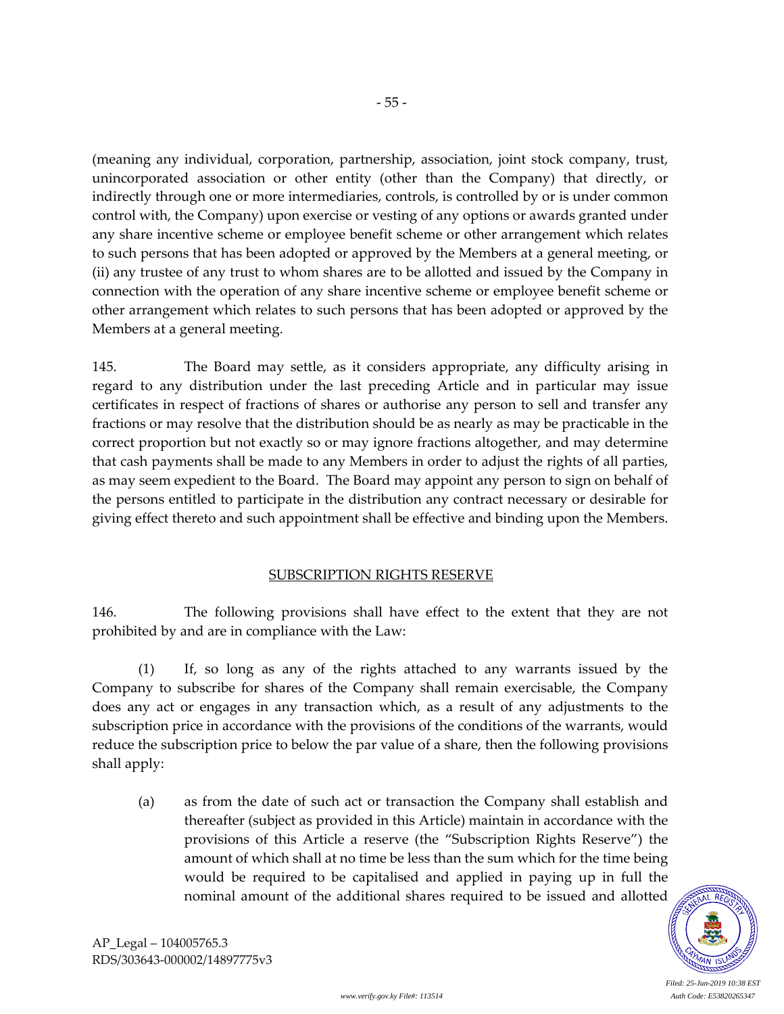(meaning any individual, corporation, partnership, association, joint stock company, trust, unincorporated association or other entity (other than the Company) that directly, or indirectly through one or more intermediaries, controls, is controlled by or is under common control with, the Company) upon exercise or vesting of any options or awards granted under any share incentive scheme or employee benefit scheme or other arrangement which relates to such persons that has been adopted or approved by the Members at a general meeting, or (ii) any trustee of any trust to whom shares are to be allotted and issued by the Company in connection with the operation of any share incentive scheme or employee benefit scheme or other arrangement which relates to such persons that has been adopted or approved by the Members at a general meeting.

- 55 -

145. The Board may settle, as it considers appropriate, any difficulty arising in regard to any distribution under the last preceding Article and in particular may issue certificates in respect of fractions of shares or authorise any person to sell and transfer any fractions or may resolve that the distribution should be as nearly as may be practicable in the correct proportion but not exactly so or may ignore fractions altogether, and may determine that cash payments shall be made to any Members in order to adjust the rights of all parties, as may seem expedient to the Board. The Board may appoint any person to sign on behalf of the persons entitled to participate in the distribution any contract necessary or desirable for giving effect thereto and such appointment shall be effective and binding upon the Members.

# SUBSCRIPTION RIGHTS RESERVE

146. The following provisions shall have effect to the extent that they are not prohibited by and are in compliance with the Law:

(1) If, so long as any of the rights attached to any warrants issued by the Company to subscribe for shares of the Company shall remain exercisable, the Company does any act or engages in any transaction which, as a result of any adjustments to the subscription price in accordance with the provisions of the conditions of the warrants, would reduce the subscription price to below the par value of a share, then the following provisions shall apply:

(a) as from the date of such act or transaction the Company shall establish and thereafter (subject as provided in this Article) maintain in accordance with the provisions of this Article a reserve (the "Subscription Rights Reserve") the amount of which shall at no time be less than the sum which for the time being would be required to be capitalised and applied in paying up in full the nominal amount of the additional shares required to be issued and allotted

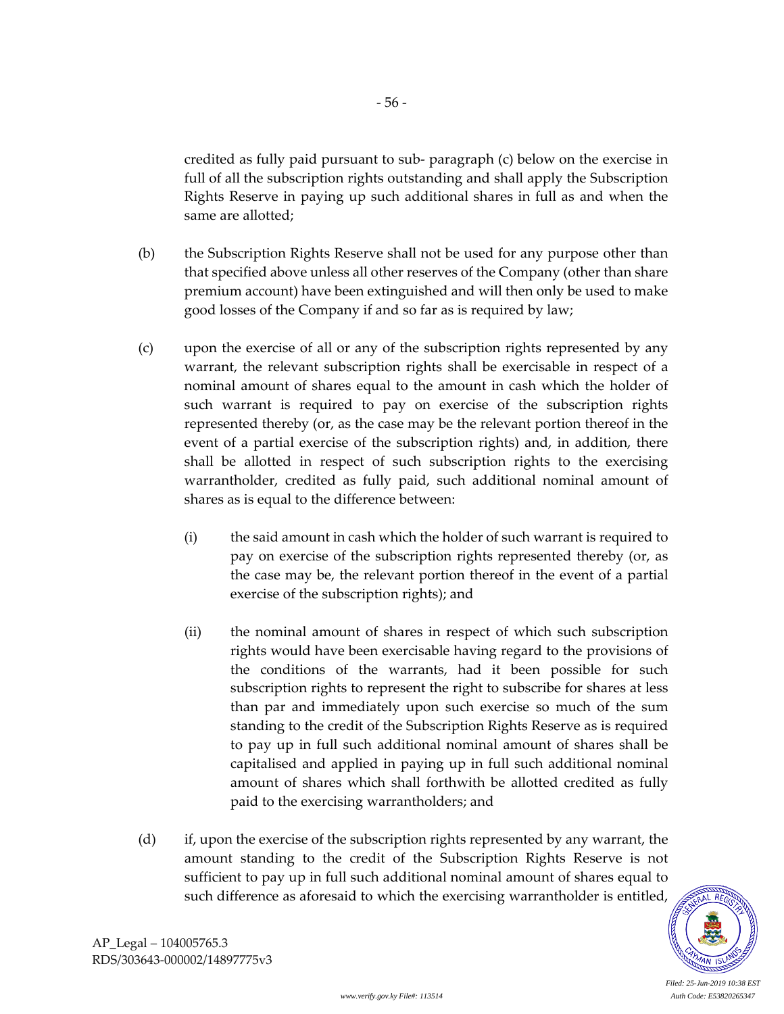credited as fully paid pursuant to sub- paragraph (c) below on the exercise in full of all the subscription rights outstanding and shall apply the Subscription Rights Reserve in paying up such additional shares in full as and when the same are allotted;

- (b) the Subscription Rights Reserve shall not be used for any purpose other than that specified above unless all other reserves of the Company (other than share premium account) have been extinguished and will then only be used to make good losses of the Company if and so far as is required by law;
- (c) upon the exercise of all or any of the subscription rights represented by any warrant, the relevant subscription rights shall be exercisable in respect of a nominal amount of shares equal to the amount in cash which the holder of such warrant is required to pay on exercise of the subscription rights represented thereby (or, as the case may be the relevant portion thereof in the event of a partial exercise of the subscription rights) and, in addition, there shall be allotted in respect of such subscription rights to the exercising warrantholder, credited as fully paid, such additional nominal amount of shares as is equal to the difference between:
	- (i) the said amount in cash which the holder of such warrant is required to pay on exercise of the subscription rights represented thereby (or, as the case may be, the relevant portion thereof in the event of a partial exercise of the subscription rights); and
	- (ii) the nominal amount of shares in respect of which such subscription rights would have been exercisable having regard to the provisions of the conditions of the warrants, had it been possible for such subscription rights to represent the right to subscribe for shares at less than par and immediately upon such exercise so much of the sum standing to the credit of the Subscription Rights Reserve as is required to pay up in full such additional nominal amount of shares shall be capitalised and applied in paying up in full such additional nominal amount of shares which shall forthwith be allotted credited as fully paid to the exercising warrantholders; and
- (d) if, upon the exercise of the subscription rights represented by any warrant, the amount standing to the credit of the Subscription Rights Reserve is not sufficient to pay up in full such additional nominal amount of shares equal to such difference as aforesaid to which the exercising warrantholder is entitled,

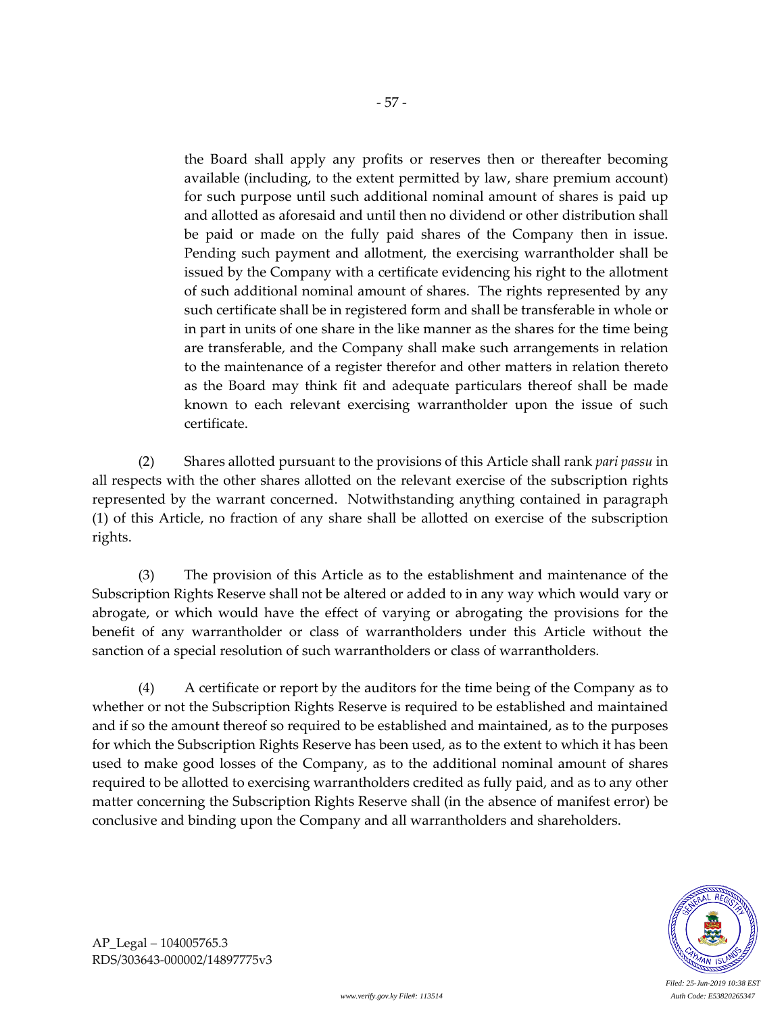the Board shall apply any profits or reserves then or thereafter becoming available (including, to the extent permitted by law, share premium account) for such purpose until such additional nominal amount of shares is paid up and allotted as aforesaid and until then no dividend or other distribution shall be paid or made on the fully paid shares of the Company then in issue. Pending such payment and allotment, the exercising warrantholder shall be issued by the Company with a certificate evidencing his right to the allotment of such additional nominal amount of shares. The rights represented by any such certificate shall be in registered form and shall be transferable in whole or in part in units of one share in the like manner as the shares for the time being are transferable, and the Company shall make such arrangements in relation to the maintenance of a register therefor and other matters in relation thereto as the Board may think fit and adequate particulars thereof shall be made known to each relevant exercising warrantholder upon the issue of such certificate.

(2) Shares allotted pursuant to the provisions of this Article shall rank *pari passu* in all respects with the other shares allotted on the relevant exercise of the subscription rights represented by the warrant concerned. Notwithstanding anything contained in paragraph (1) of this Article, no fraction of any share shall be allotted on exercise of the subscription rights.

(3) The provision of this Article as to the establishment and maintenance of the Subscription Rights Reserve shall not be altered or added to in any way which would vary or abrogate, or which would have the effect of varying or abrogating the provisions for the benefit of any warrantholder or class of warrantholders under this Article without the sanction of a special resolution of such warrantholders or class of warrantholders.

(4) A certificate or report by the auditors for the time being of the Company as to whether or not the Subscription Rights Reserve is required to be established and maintained and if so the amount thereof so required to be established and maintained, as to the purposes for which the Subscription Rights Reserve has been used, as to the extent to which it has been used to make good losses of the Company, as to the additional nominal amount of shares required to be allotted to exercising warrantholders credited as fully paid, and as to any other matter concerning the Subscription Rights Reserve shall (in the absence of manifest error) be conclusive and binding upon the Company and all warrantholders and shareholders.



AP\_Legal – 104005765.3 RDS/303643-000002/14897775v3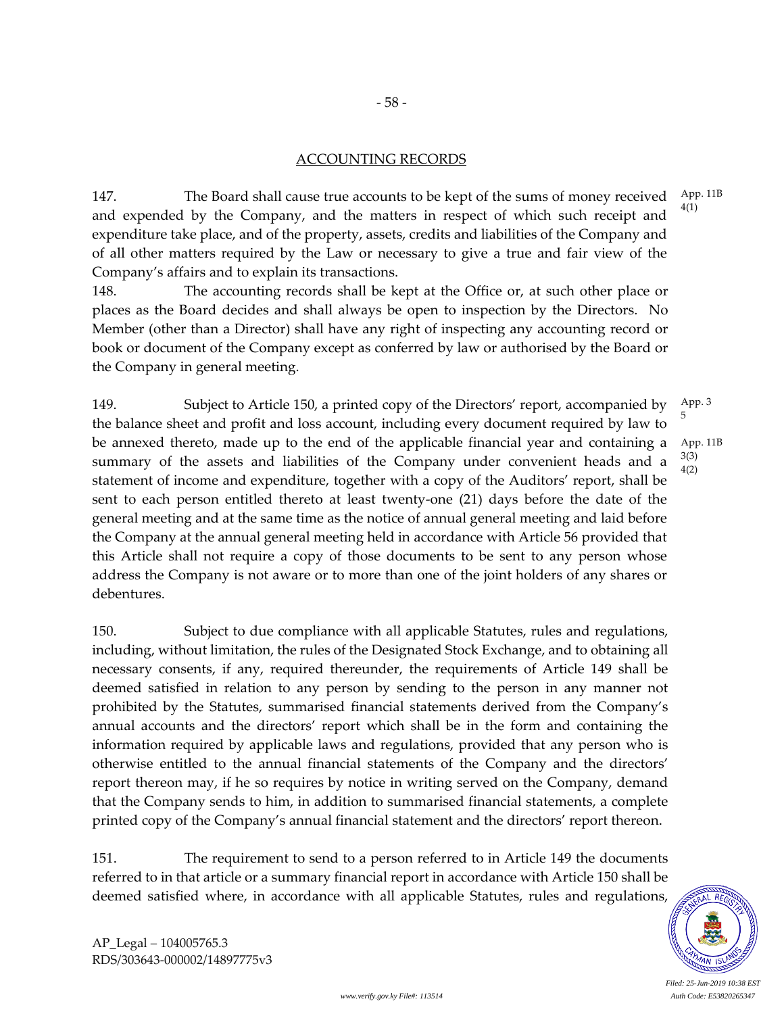## ACCOUNTING RECORDS

147. The Board shall cause true accounts to be kept of the sums of money received and expended by the Company, and the matters in respect of which such receipt and expenditure take place, and of the property, assets, credits and liabilities of the Company and of all other matters required by the Law or necessary to give a true and fair view of the Company's affairs and to explain its transactions. 4(1)

148. The accounting records shall be kept at the Office or, at such other place or places as the Board decides and shall always be open to inspection by the Directors. No Member (other than a Director) shall have any right of inspecting any accounting record or book or document of the Company except as conferred by law or authorised by the Board or the Company in general meeting.

149. Subject to Article 150, a printed copy of the Directors' report, accompanied by the balance sheet and profit and loss account, including every document required by law to be annexed thereto, made up to the end of the applicable financial year and containing a summary of the assets and liabilities of the Company under convenient heads and a statement of income and expenditure, together with a copy of the Auditors' report, shall be sent to each person entitled thereto at least twenty-one (21) days before the date of the general meeting and at the same time as the notice of annual general meeting and laid before the Company at the annual general meeting held in accordance with Article 56 provided that this Article shall not require a copy of those documents to be sent to any person whose address the Company is not aware or to more than one of the joint holders of any shares or debentures. App. 3 5 App. 11B 3(3) 4(2)

150. Subject to due compliance with all applicable Statutes, rules and regulations, including, without limitation, the rules of the Designated Stock Exchange, and to obtaining all necessary consents, if any, required thereunder, the requirements of Article 149 shall be deemed satisfied in relation to any person by sending to the person in any manner not prohibited by the Statutes, summarised financial statements derived from the Company's annual accounts and the directors' report which shall be in the form and containing the information required by applicable laws and regulations, provided that any person who is otherwise entitled to the annual financial statements of the Company and the directors' report thereon may, if he so requires by notice in writing served on the Company, demand that the Company sends to him, in addition to summarised financial statements, a complete printed copy of the Company's annual financial statement and the directors' report thereon.

151. The requirement to send to a person referred to in Article 149 the documents referred to in that article or a summary financial report in accordance with Article 150 shall be deemed satisfied where, in accordance with all applicable Statutes, rules and regulations,

App. 11B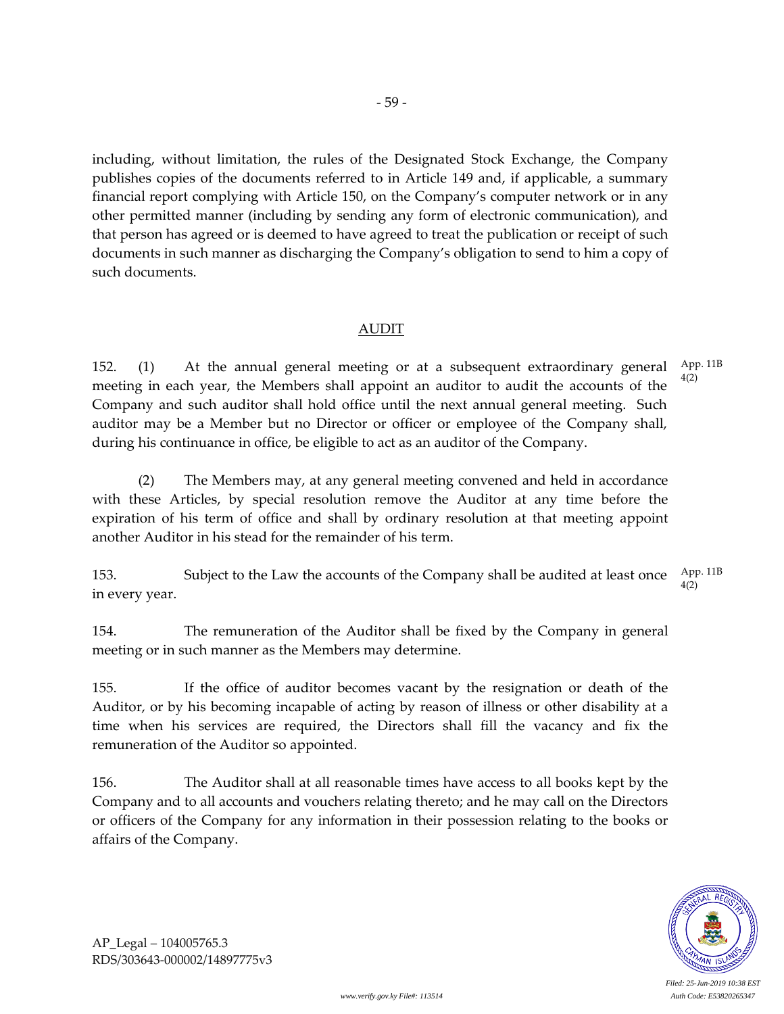including, without limitation, the rules of the Designated Stock Exchange, the Company publishes copies of the documents referred to in Article 149 and, if applicable, a summary financial report complying with Article 150, on the Company's computer network or in any other permitted manner (including by sending any form of electronic communication), and that person has agreed or is deemed to have agreed to treat the publication or receipt of such documents in such manner as discharging the Company's obligation to send to him a copy of such documents.

### AUDIT

152. (1) At the annual general meeting or at a subsequent extraordinary general meeting in each year, the Members shall appoint an auditor to audit the accounts of the Company and such auditor shall hold office until the next annual general meeting. Such auditor may be a Member but no Director or officer or employee of the Company shall, during his continuance in office, be eligible to act as an auditor of the Company. App. 11B 4(2)

(2) The Members may, at any general meeting convened and held in accordance with these Articles, by special resolution remove the Auditor at any time before the expiration of his term of office and shall by ordinary resolution at that meeting appoint another Auditor in his stead for the remainder of his term.

153. Subject to the Law the accounts of the Company shall be audited at least once in every year. App. 11B 4(2)

154. The remuneration of the Auditor shall be fixed by the Company in general meeting or in such manner as the Members may determine.

155. If the office of auditor becomes vacant by the resignation or death of the Auditor, or by his becoming incapable of acting by reason of illness or other disability at a time when his services are required, the Directors shall fill the vacancy and fix the remuneration of the Auditor so appointed.

156. The Auditor shall at all reasonable times have access to all books kept by the Company and to all accounts and vouchers relating thereto; and he may call on the Directors or officers of the Company for any information in their possession relating to the books or affairs of the Company.

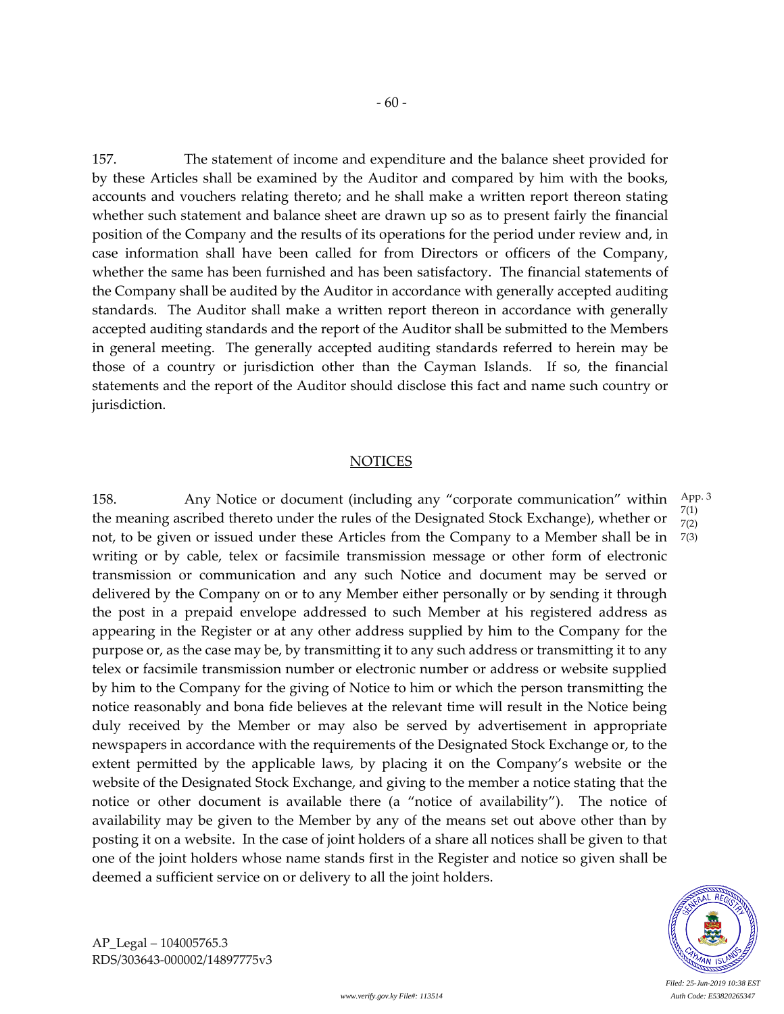157. The statement of income and expenditure and the balance sheet provided for by these Articles shall be examined by the Auditor and compared by him with the books, accounts and vouchers relating thereto; and he shall make a written report thereon stating whether such statement and balance sheet are drawn up so as to present fairly the financial position of the Company and the results of its operations for the period under review and, in case information shall have been called for from Directors or officers of the Company, whether the same has been furnished and has been satisfactory. The financial statements of the Company shall be audited by the Auditor in accordance with generally accepted auditing standards. The Auditor shall make a written report thereon in accordance with generally accepted auditing standards and the report of the Auditor shall be submitted to the Members in general meeting. The generally accepted auditing standards referred to herein may be those of a country or jurisdiction other than the Cayman Islands. If so, the financial statements and the report of the Auditor should disclose this fact and name such country or jurisdiction.

#### **NOTICES**

158. Any Notice or document (including any "corporate communication" within the meaning ascribed thereto under the rules of the Designated Stock Exchange), whether or not, to be given or issued under these Articles from the Company to a Member shall be in writing or by cable, telex or facsimile transmission message or other form of electronic transmission or communication and any such Notice and document may be served or delivered by the Company on or to any Member either personally or by sending it through the post in a prepaid envelope addressed to such Member at his registered address as appearing in the Register or at any other address supplied by him to the Company for the purpose or, as the case may be, by transmitting it to any such address or transmitting it to any telex or facsimile transmission number or electronic number or address or website supplied by him to the Company for the giving of Notice to him or which the person transmitting the notice reasonably and bona fide believes at the relevant time will result in the Notice being duly received by the Member or may also be served by advertisement in appropriate newspapers in accordance with the requirements of the Designated Stock Exchange or, to the extent permitted by the applicable laws, by placing it on the Company's website or the website of the Designated Stock Exchange, and giving to the member a notice stating that the notice or other document is available there (a "notice of availability"). The notice of availability may be given to the Member by any of the means set out above other than by posting it on a website. In the case of joint holders of a share all notices shall be given to that one of the joint holders whose name stands first in the Register and notice so given shall be deemed a sufficient service on or delivery to all the joint holders. App. 3 7(1) 7(2) 7(3)

*www.verify.gov.ky File#: 113514 Auth Code: E53820265347*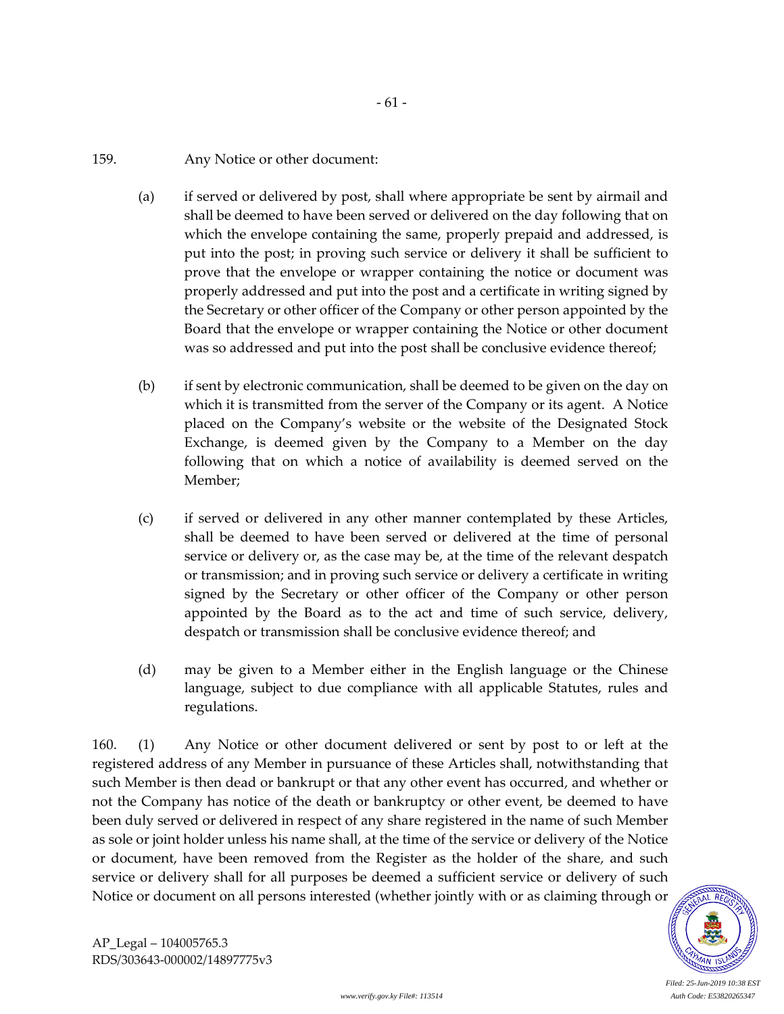## 159. Any Notice or other document:

(a) if served or delivered by post, shall where appropriate be sent by airmail and shall be deemed to have been served or delivered on the day following that on which the envelope containing the same, properly prepaid and addressed, is put into the post; in proving such service or delivery it shall be sufficient to prove that the envelope or wrapper containing the notice or document was properly addressed and put into the post and a certificate in writing signed by the Secretary or other officer of the Company or other person appointed by the Board that the envelope or wrapper containing the Notice or other document was so addressed and put into the post shall be conclusive evidence thereof;

- 61 -

- (b) if sent by electronic communication, shall be deemed to be given on the day on which it is transmitted from the server of the Company or its agent. A Notice placed on the Company's website or the website of the Designated Stock Exchange, is deemed given by the Company to a Member on the day following that on which a notice of availability is deemed served on the Member;
- (c) if served or delivered in any other manner contemplated by these Articles, shall be deemed to have been served or delivered at the time of personal service or delivery or, as the case may be, at the time of the relevant despatch or transmission; and in proving such service or delivery a certificate in writing signed by the Secretary or other officer of the Company or other person appointed by the Board as to the act and time of such service, delivery, despatch or transmission shall be conclusive evidence thereof; and
- (d) may be given to a Member either in the English language or the Chinese language, subject to due compliance with all applicable Statutes, rules and regulations.

160. (1) Any Notice or other document delivered or sent by post to or left at the registered address of any Member in pursuance of these Articles shall, notwithstanding that such Member is then dead or bankrupt or that any other event has occurred, and whether or not the Company has notice of the death or bankruptcy or other event, be deemed to have been duly served or delivered in respect of any share registered in the name of such Member as sole or joint holder unless his name shall, at the time of the service or delivery of the Notice or document, have been removed from the Register as the holder of the share, and such service or delivery shall for all purposes be deemed a sufficient service or delivery of such Notice or document on all persons interested (whether jointly with or as claiming through or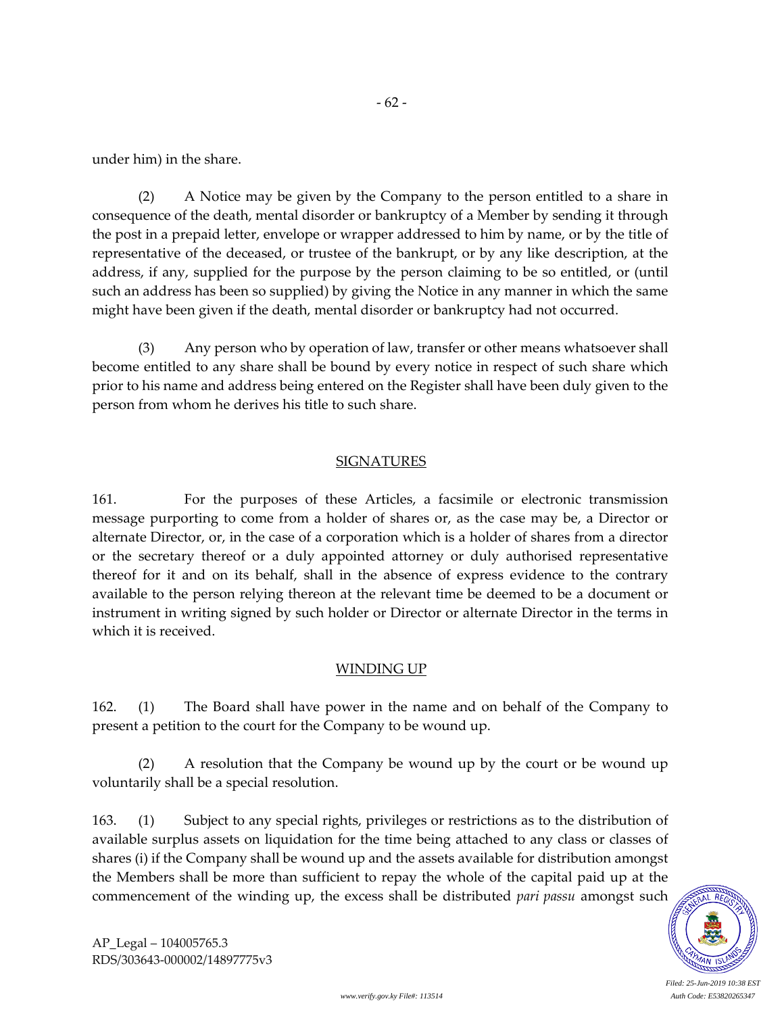- 62 -

under him) in the share.

(2) A Notice may be given by the Company to the person entitled to a share in consequence of the death, mental disorder or bankruptcy of a Member by sending it through the post in a prepaid letter, envelope or wrapper addressed to him by name, or by the title of representative of the deceased, or trustee of the bankrupt, or by any like description, at the address, if any, supplied for the purpose by the person claiming to be so entitled, or (until such an address has been so supplied) by giving the Notice in any manner in which the same might have been given if the death, mental disorder or bankruptcy had not occurred.

(3) Any person who by operation of law, transfer or other means whatsoever shall become entitled to any share shall be bound by every notice in respect of such share which prior to his name and address being entered on the Register shall have been duly given to the person from whom he derives his title to such share.

## **SIGNATURES**

161. For the purposes of these Articles, a facsimile or electronic transmission message purporting to come from a holder of shares or, as the case may be, a Director or alternate Director, or, in the case of a corporation which is a holder of shares from a director or the secretary thereof or a duly appointed attorney or duly authorised representative thereof for it and on its behalf, shall in the absence of express evidence to the contrary available to the person relying thereon at the relevant time be deemed to be a document or instrument in writing signed by such holder or Director or alternate Director in the terms in which it is received.

## WINDING UP

162. (1) The Board shall have power in the name and on behalf of the Company to present a petition to the court for the Company to be wound up.

(2) A resolution that the Company be wound up by the court or be wound up voluntarily shall be a special resolution.

163. (1) Subject to any special rights, privileges or restrictions as to the distribution of available surplus assets on liquidation for the time being attached to any class or classes of shares (i) if the Company shall be wound up and the assets available for distribution amongst the Members shall be more than sufficient to repay the whole of the capital paid up at the commencement of the winding up, the excess shall be distributed *pari passu* amongst such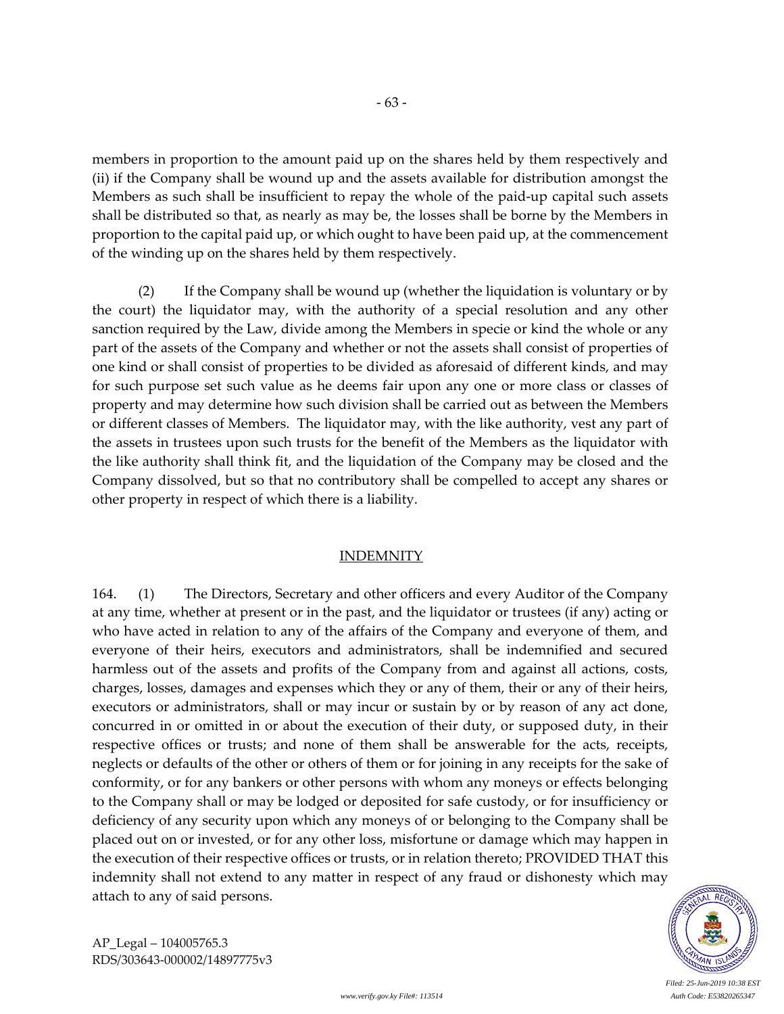members in proportion to the amount paid up on the shares held by them respectively and (ii) if the Company shall be wound up and the assets available for distribution amongst the Members as such shall be insufficient to repay the whole of the paid-up capital such assets shall be distributed so that, as nearly as may be, the losses shall be borne by the Members in proportion to the capital paid up, or which ought to have been paid up, at the commencement of the winding up on the shares held by them respectively.

(2) If the Company shall be wound up (whether the liquidation is voluntary or by the court) the liquidator may, with the authority of a special resolution and any other sanction required by the Law, divide among the Members in specie or kind the whole or any part of the assets of the Company and whether or not the assets shall consist of properties of one kind or shall consist of properties to be divided as aforesaid of different kinds, and may for such purpose set such value as he deems fair upon any one or more class or classes of property and may determine how such division shall be carried out as between the Members or different classes of Members. The liquidator may, with the like authority, vest any part of the assets in trustees upon such trusts for the benefit of the Members as the liquidator with the like authority shall think fit, and the liquidation of the Company may be closed and the Company dissolved, but so that no contributory shall be compelled to accept any shares or other property in respect of which there is a liability.

## INDEMNITY

164. (1) The Directors, Secretary and other officers and every Auditor of the Company at any time, whether at present or in the past, and the liquidator or trustees (if any) acting or who have acted in relation to any of the affairs of the Company and everyone of them, and everyone of their heirs, executors and administrators, shall be indemnified and secured harmless out of the assets and profits of the Company from and against all actions, costs, charges, losses, damages and expenses which they or any of them, their or any of their heirs, executors or administrators, shall or may incur or sustain by or by reason of any act done, concurred in or omitted in or about the execution of their duty, or supposed duty, in their respective offices or trusts; and none of them shall be answerable for the acts, receipts, neglects or defaults of the other or others of them or for joining in any receipts for the sake of conformity, or for any bankers or other persons with whom any moneys or effects belonging to the Company shall or may be lodged or deposited for safe custody, or for insufficiency or deficiency of any security upon which any moneys of or belonging to the Company shall be placed out on or invested, or for any other loss, misfortune or damage which may happen in the execution of their respective offices or trusts, or in relation thereto; PROVIDED THAT this indemnity shall not extend to any matter in respect of any fraud or dishonesty which may attach to any of said persons.



*Filed: 25-Jun-2019 10:38 EST*

AP\_Legal – 104005765.3 RDS/303643-000002/14897775v3